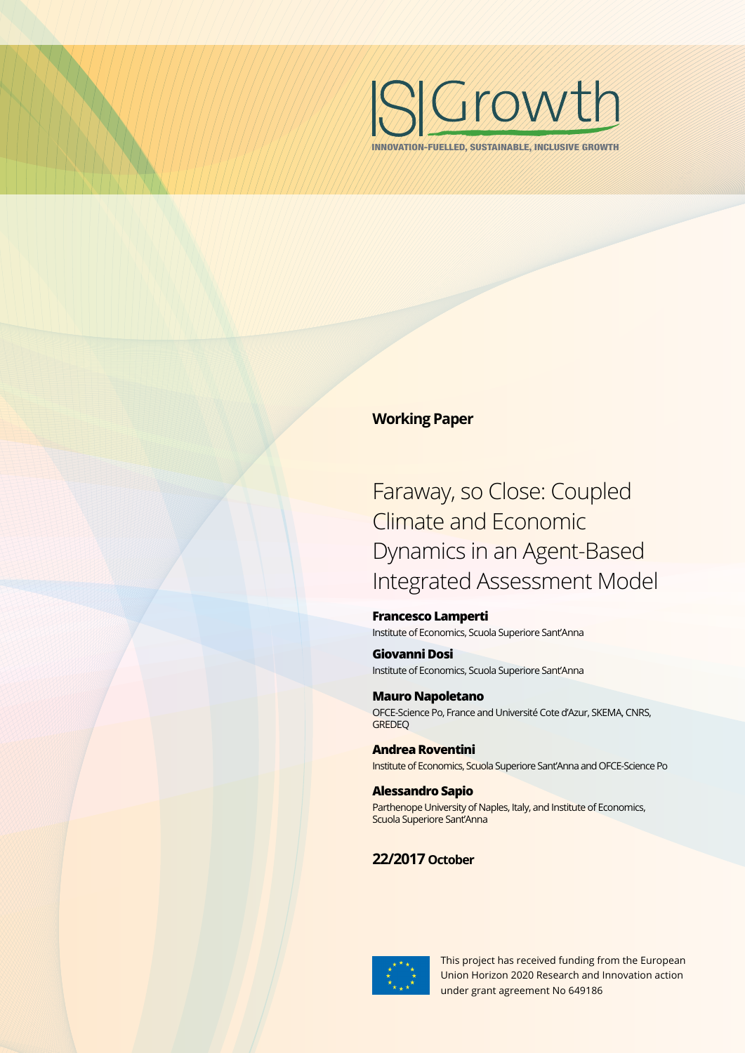

INNOVATION-FUELLED, SUSTAINABLE, INCLUSIVE GROWTH

## **Working Paper**

# Faraway, so Close: Coupled Climate and Economic Dynamics in an Agent-Based Integrated Assessment Model

#### **Francesco Lamperti**  Institute of Economics, Scuola Superiore Sant'Anna

**Giovanni Dosi** Institute of Economics, Scuola Superiore Sant'Anna

**Mauro Napoletano** OFCE-Science Po, France and Université Cote d'Azur, SKEMA, CNRS, **GREDEO** 

**Andrea Roventini** Institute of Economics, Scuola Superiore Sant'Anna and OFCE-Science Po

**Alessandro Sapio**  Parthenope University of Naples, Italy, and Institute of Economics, Scuola Superiore Sant'Anna

# **22/2017 October**



This project has received funding from the European Union Horizon 2020 Research and Innovation action under grant agreement No 649186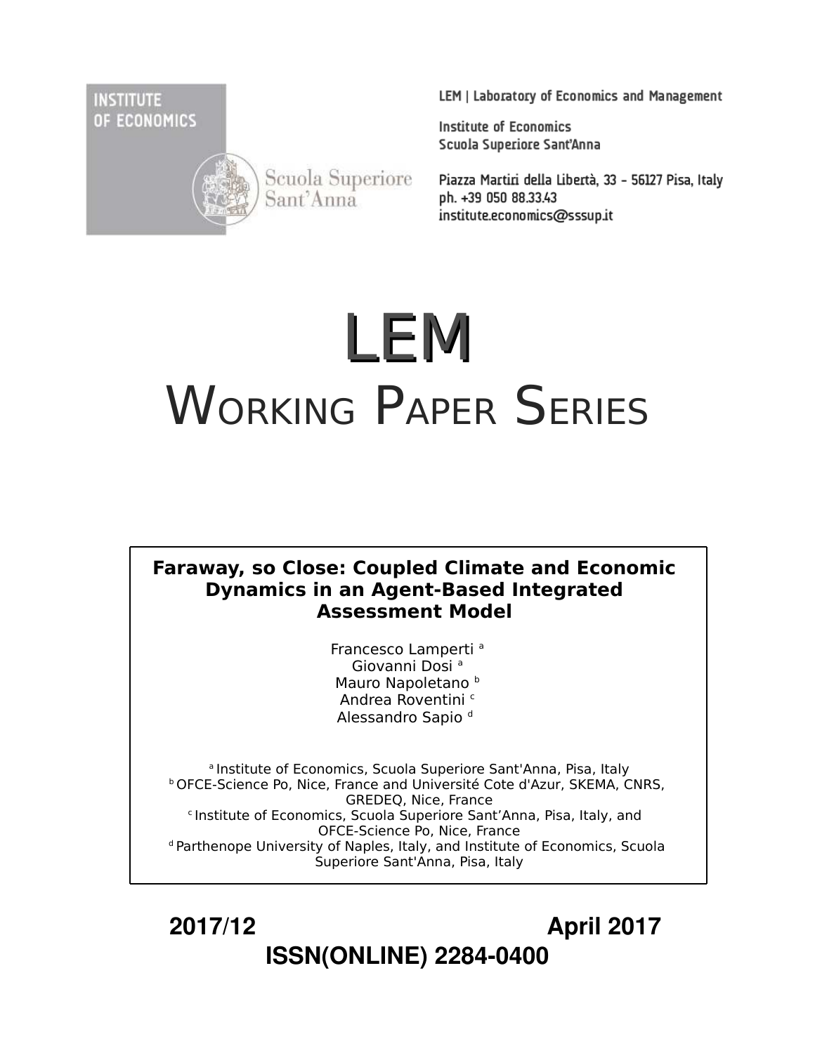**INSTITUTE** OF ECONOMICS



Scuola Superiore Sant'Anna

LEM | Laboratory of Economics and Management

**Institute of Economics** Scuola Superiore Sant'Anna

Piazza Martiri della Libertà, 33 - 56127 Pisa, Italy ph. +39 050 88.33.43 institute.economics@sssup.it

# LEM WORKING PAPER SERIES

# **Faraway, so Close: Coupled Climate and Economic Dynamics in an Agent-Based Integrated Assessment Model**

Francesco Lamperti<sup>a</sup> Giovanni Dosi<sup>a</sup> Mauro Napoletano<sup>b</sup> Andrea Roventini <sup>c</sup> Alessandro Sapio d

<sup>a</sup> Institute of Economics, Scuola Superiore Sant'Anna, Pisa, Italy **b OFCE-Science Po, Nice, France and Université Cote d'Azur, SKEMA, CNRS,** GREDEQ, Nice, France <sup>c</sup> Institute of Economics, Scuola Superiore Sant'Anna, Pisa, Italy, and OFCE-Science Po, Nice, France <sup>d</sup> Parthenope University of Naples, Italy, and Institute of Economics, Scuola Superiore Sant'Anna, Pisa, Italy

 **2017/12 April 2017 ISSN(ONLINE) 2284-0400**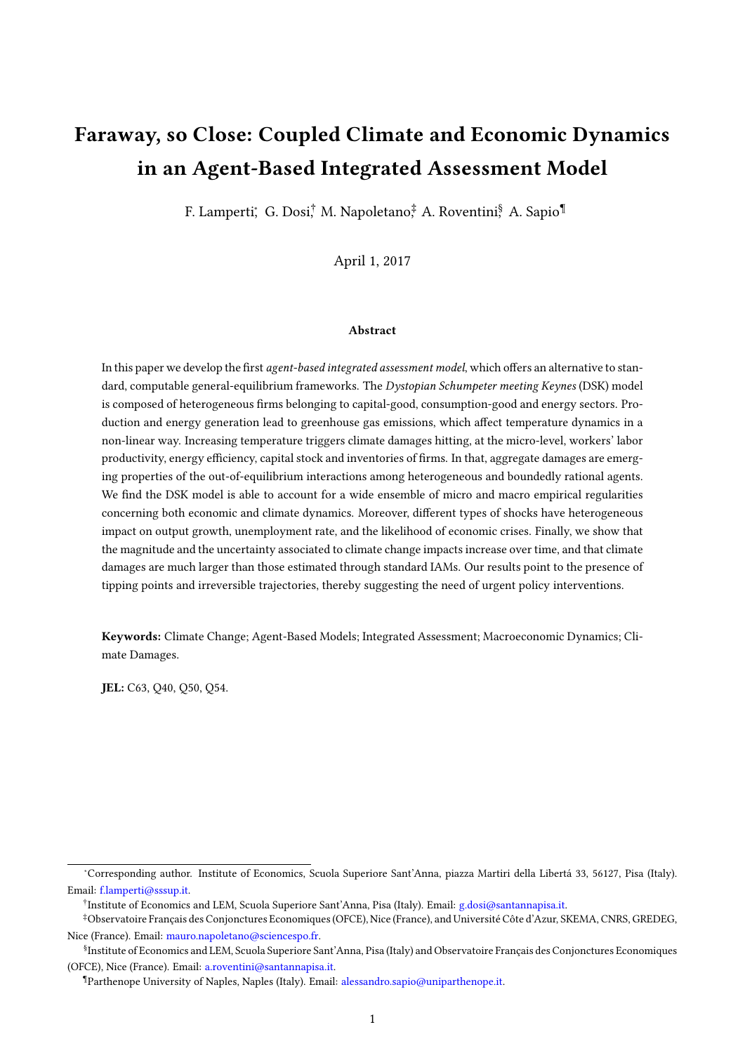# <span id="page-2-0"></span>Faraway, so Close: Coupled Climate and Economic Dynamics in an Agent-Based Integrated Assessment Model

F. Lamperti', G. Dosi, ⊤M. Napoletano,‡A. Roventini, A. Sapio¶

April 1, 2017

#### Abstract

In this paper we develop the first agent-based integrated assessment model, which offers an alternative to standard, computable general-equilibrium frameworks. The Dystopian Schumpeter meeting Keynes (DSK) model is composed of heterogeneous firms belonging to capital-good, consumption-good and energy sectors. Production and energy generation lead to greenhouse gas emissions, which affect temperature dynamics in a non-linear way. Increasing temperature triggers climate damages hitting, at the micro-level, workers' labor productivity, energy efficiency, capital stock and inventories of firms. In that, aggregate damages are emerging properties of the out-of-equilibrium interactions among heterogeneous and boundedly rational agents. We find the DSK model is able to account for a wide ensemble of micro and macro empirical regularities concerning both economic and climate dynamics. Moreover, different types of shocks have heterogeneous impact on output growth, unemployment rate, and the likelihood of economic crises. Finally, we show that the magnitude and the uncertainty associated to climate change impacts increase over time, and that climate damages are much larger than those estimated through standard IAMs. Our results point to the presence of tipping points and irreversible trajectories, thereby suggesting the need of urgent policy interventions.

Keywords: Climate Change; Agent-Based Models; Integrated Assessment; Macroeconomic Dynamics; Climate Damages.

JEL: C63, Q40, Q50, Q54.

<sup>∗</sup>Corresponding author. Institute of Economics, Scuola Superiore Sant'Anna, piazza Martiri della Libertá 33, 56127, Pisa (Italy). Email: [f.lamperti@sssup.it.](mailto:f.lamperti@sssup.it)

<sup>†</sup> Institute of Economics and LEM, Scuola Superiore Sant'Anna, Pisa (Italy). Email: [g.dosi@santannapisa.it.](mailto:g.dosi@santannapisa.it)

<sup>‡</sup>Observatoire Français des Conjonctures Economiques (OFCE), Nice (France), and Université Côte d'Azur, SKEMA, CNRS, GREDEG, Nice (France). Email: [mauro.napoletano@sciencespo.fr.](mailto:mauro.napoletano@sciencespo.fr)

<sup>§</sup> Institute of Economics and LEM, Scuola Superiore Sant'Anna, Pisa (Italy) and Observatoire Français des Conjonctures Economiques (OFCE), Nice (France). Email: [a.roventini@santannapisa.it.](mailto:a.roventini@santannapisa.it)

<sup>¶</sup>Parthenope University of Naples, Naples (Italy). Email: [alessandro.sapio@uniparthenope.it.](mailto:alessandro.sapio@uniparthenope.it)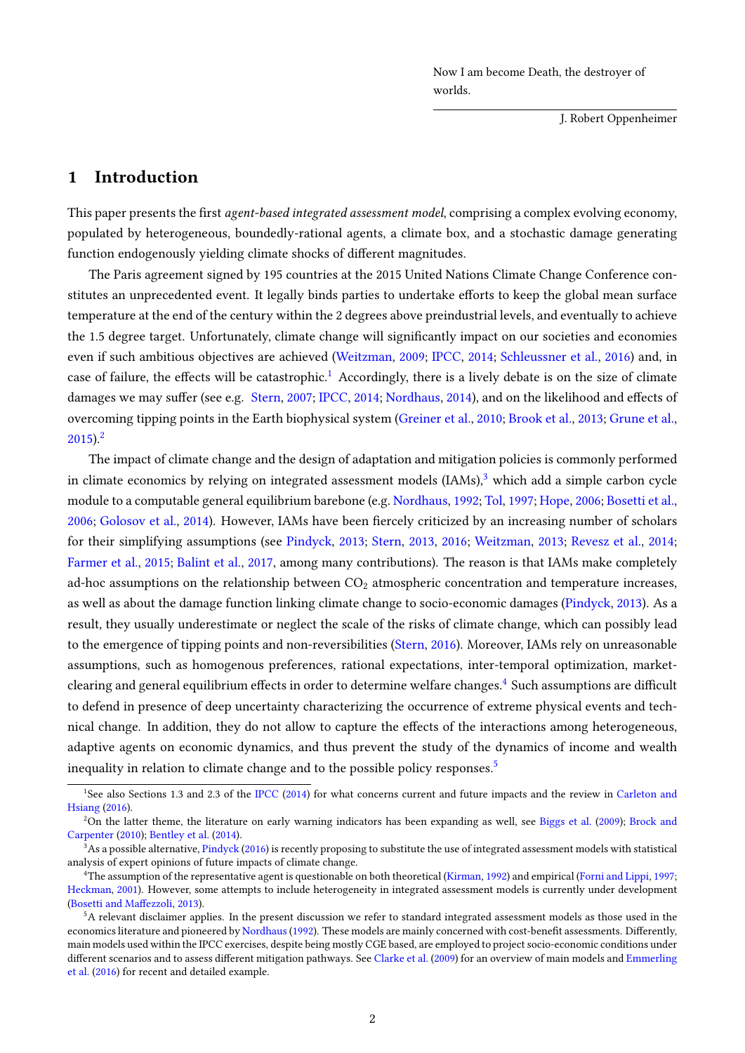Now I am become Death, the destroyer of worlds.

J. Robert Oppenheimer

# 1 Introduction

This paper presents the first *agent-based integrated assessment model*, comprising a complex evolving economy, populated by heterogeneous, boundedly-rational agents, a climate box, and a stochastic damage generating function endogenously yielding climate shocks of different magnitudes.

The Paris agreement signed by 195 countries at the 2015 United Nations Climate Change Conference constitutes an unprecedented event. It legally binds parties to undertake efforts to keep the global mean surface temperature at the end of the century within the 2 degrees above preindustrial levels, and eventually to achieve the 1.5 degree target. Unfortunately, climate change will significantly impact on our societies and economies even if such ambitious objectives are achieved [\(Weitzman,](#page-34-0) [2009;](#page-34-0) [IPCC,](#page-31-0) [2014;](#page-31-0) [Schleussner et al.,](#page-33-0) [2016\)](#page-33-0) and, in case of failure, the effects will be catastrophic.<sup>[1](#page-2-0)</sup> Accordingly, there is a lively debate is on the size of climate damages we may suffer (see e.g. [Stern,](#page-33-1) [2007;](#page-33-1) [IPCC,](#page-31-0) [2014;](#page-31-0) [Nordhaus,](#page-32-0) [2014\)](#page-32-0), and on the likelihood and effects of overcoming tipping points in the Earth biophysical system [\(Greiner et al.,](#page-30-0) [2010;](#page-30-0) [Brook et al.,](#page-28-0) [2013;](#page-28-0) [Grune et al.,](#page-30-1)  $2015$  $2015$ ).<sup>2</sup>

The impact of climate change and the design of adaptation and mitigation policies is commonly performed in climate economics by relying on integrated assessment models  $(IAMs)<sup>3</sup>$  $(IAMs)<sup>3</sup>$  $(IAMs)<sup>3</sup>$  which add a simple carbon cycle module to a computable general equilibrium barebone (e.g. [Nordhaus,](#page-32-1) [1992;](#page-32-1) [Tol,](#page-34-1) [1997;](#page-34-1) [Hope,](#page-30-2) [2006;](#page-30-2) [Bosetti et al.,](#page-27-0) [2006;](#page-27-0) [Golosov et al.,](#page-30-3) [2014\)](#page-30-3). However, IAMs have been fiercely criticized by an increasing number of scholars for their simplifying assumptions (see [Pindyck,](#page-32-2) [2013;](#page-32-2) [Stern,](#page-33-2) [2013,](#page-33-2) [2016;](#page-33-3) [Weitzman,](#page-34-2) [2013;](#page-34-2) [Revesz et al.,](#page-33-4) [2014;](#page-33-4) [Farmer et al.,](#page-30-4) [2015;](#page-30-4) [Balint et al.,](#page-27-1) [2017,](#page-27-1) among many contributions). The reason is that IAMs make completely ad-hoc assumptions on the relationship between  $CO<sub>2</sub>$  atmospheric concentration and temperature increases, as well as about the damage function linking climate change to socio-economic damages [\(Pindyck,](#page-32-2) [2013\)](#page-32-2). As a result, they usually underestimate or neglect the scale of the risks of climate change, which can possibly lead to the emergence of tipping points and non-reversibilities [\(Stern,](#page-33-3) [2016\)](#page-33-3). Moreover, IAMs rely on unreasonable assumptions, such as homogenous preferences, rational expectations, inter-temporal optimization, market-clearing and general equilibrium effects in order to determine welfare changes.<sup>[4](#page-2-0)</sup> Such assumptions are difficult to defend in presence of deep uncertainty characterizing the occurrence of extreme physical events and technical change. In addition, they do not allow to capture the effects of the interactions among heterogeneous, adaptive agents on economic dynamics, and thus prevent the study of the dynamics of income and wealth inequality in relation to climate change and to the possible policy responses.<sup>[5](#page-2-0)</sup>

<sup>&</sup>lt;sup>1</sup>See also Sections 1.3 and 2.3 of the [IPCC](#page-31-0) [\(2014\)](#page-31-0) for what concerns current and future impacts and the review in [Carleton and](#page-28-1) [Hsiang](#page-28-1) [\(2016\)](#page-28-1).

<sup>&</sup>lt;sup>2</sup>On the latter theme, the literature on early warning indicators has been expanding as well, see [Biggs et al.](#page-27-2) [\(2009\)](#page-27-2); [Brock and](#page-28-2) [Carpenter](#page-28-2) [\(2010\)](#page-28-2); [Bentley et al.](#page-27-3) [\(2014\)](#page-27-3).

 $3$ As a possible alternative, [Pindyck](#page-32-3) [\(2016\)](#page-32-3) is recently proposing to substitute the use of integrated assessment models with statistical analysis of expert opinions of future impacts of climate change.

<sup>4</sup>The assumption of the representative agent is questionable on both theoretical [\(Kirman,](#page-31-1) [1992\)](#page-31-1) and empirical [\(Forni and Lippi,](#page-30-5) [1997;](#page-30-5) [Heckman,](#page-30-6) [2001\)](#page-30-6). However, some attempts to include heterogeneity in integrated assessment models is currently under development (Bosetti and Maffezzoli, [2013\)](#page-27-4).

<sup>&</sup>lt;sup>5</sup>A relevant disclaimer applies. In the present discussion we refer to standard integrated assessment models as those used in the economics literature and pioneered by Nordhaus (1992). These models are mainly concerned with cost-benefit assessments. Differently, main models used within the IPCC exercises, despite being mostly CGE based, are employed to project socio-economic conditions under different scenarios and to assess different mitigation pathways. See [Clarke et al.](#page-28-3) [\(2009\)](#page-28-3) for an overview of main models and [Emmerling](#page-29-0) [et al.](#page-29-0) [\(2016\)](#page-29-0) for recent and detailed example.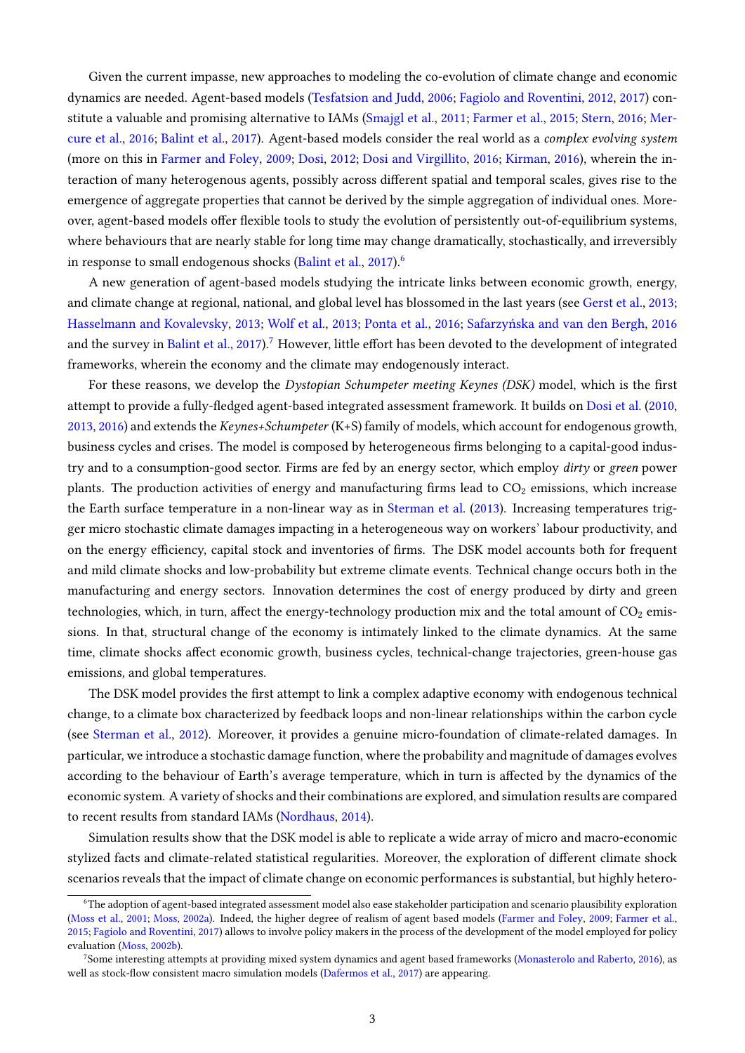Given the current impasse, new approaches to modeling the co-evolution of climate change and economic dynamics are needed. Agent-based models [\(Tesfatsion and Judd,](#page-33-5) [2006;](#page-33-5) [Fagiolo and Roventini,](#page-29-1) [2012,](#page-29-1) [2017\)](#page-29-2) constitute a valuable and promising alternative to IAMs [\(Smajgl et al.,](#page-33-6) [2011;](#page-33-6) [Farmer et al.,](#page-30-4) [2015;](#page-30-4) [Stern,](#page-33-3) [2016;](#page-33-3) [Mer](#page-32-4)[cure et al.,](#page-32-4) [2016;](#page-32-4) [Balint et al.,](#page-27-1) [2017\)](#page-27-1). Agent-based models consider the real world as a complex evolving system (more on this in [Farmer and Foley,](#page-29-3) [2009;](#page-29-3) [Dosi,](#page-29-4) [2012;](#page-29-4) [Dosi and Virgillito,](#page-29-5) [2016;](#page-29-5) [Kirman,](#page-31-2) [2016\)](#page-31-2), wherein the interaction of many heterogenous agents, possibly across different spatial and temporal scales, gives rise to the emergence of aggregate properties that cannot be derived by the simple aggregation of individual ones. Moreover, agent-based models offer flexible tools to study the evolution of persistently out-of-equilibrium systems, where behaviours that are nearly stable for long time may change dramatically, stochastically, and irreversibly in response to small endogenous shocks [\(Balint et al.,](#page-27-1) [2017\)](#page-27-1).<sup>[6](#page-2-0)</sup>

A new generation of agent-based models studying the intricate links between economic growth, energy, and climate change at regional, national, and global level has blossomed in the last years (see [Gerst et al.,](#page-30-7) [2013;](#page-30-7) [Hasselmann and Kovalevsky,](#page-30-8) [2013;](#page-30-8) [Wolf et al.,](#page-34-3) [2013;](#page-34-3) [Ponta et al.,](#page-32-5) [2016;](#page-32-5) [Safarzyńska and van den Bergh,](#page-33-7) [2016](#page-33-7) and the survey in [Balint et al.,](#page-27-1) [2017\)](#page-27-1).<sup>[7](#page-2-0)</sup> However, little effort has been devoted to the development of integrated frameworks, wherein the economy and the climate may endogenously interact.

For these reasons, we develop the Dystopian Schumpeter meeting Keynes (DSK) model, which is the first attempt to provide a fully-fledged agent-based integrated assessment framework. It builds on [Dosi et al.](#page-29-6) [\(2010,](#page-29-6) [2013,](#page-29-7) [2016\)](#page-29-8) and extends the Keynes+Schumpeter (K+S) family of models, which account for endogenous growth, business cycles and crises. The model is composed by heterogeneous firms belonging to a capital-good industry and to a consumption-good sector. Firms are fed by an energy sector, which employ dirty or green power plants. The production activities of energy and manufacturing firms lead to  $CO<sub>2</sub>$  emissions, which increase the Earth surface temperature in a non-linear way as in [Sterman et al.](#page-33-8) [\(2013\)](#page-33-8). Increasing temperatures trigger micro stochastic climate damages impacting in a heterogeneous way on workers' labour productivity, and on the energy efficiency, capital stock and inventories of firms. The DSK model accounts both for frequent and mild climate shocks and low-probability but extreme climate events. Technical change occurs both in the manufacturing and energy sectors. Innovation determines the cost of energy produced by dirty and green technologies, which, in turn, affect the energy-technology production mix and the total amount of  $CO<sub>2</sub>$  emissions. In that, structural change of the economy is intimately linked to the climate dynamics. At the same time, climate shocks affect economic growth, business cycles, technical-change trajectories, green-house gas emissions, and global temperatures.

The DSK model provides the first attempt to link a complex adaptive economy with endogenous technical change, to a climate box characterized by feedback loops and non-linear relationships within the carbon cycle (see [Sterman et al.,](#page-33-9) [2012\)](#page-33-9). Moreover, it provides a genuine micro-foundation of climate-related damages. In particular, we introduce a stochastic damage function, where the probability and magnitude of damages evolves according to the behaviour of Earth's average temperature, which in turn is affected by the dynamics of the economic system. A variety of shocks and their combinations are explored, and simulation results are compared to recent results from standard IAMs [\(Nordhaus,](#page-32-0) [2014\)](#page-32-0).

Simulation results show that the DSK model is able to replicate a wide array of micro and macro-economic stylized facts and climate-related statistical regularities. Moreover, the exploration of different climate shock scenarios reveals that the impact of climate change on economic performances is substantial, but highly hetero-

<sup>6</sup>The adoption of agent-based integrated assessment model also ease stakeholder participation and scenario plausibility exploration [\(Moss et al.,](#page-32-6) [2001;](#page-32-6) [Moss,](#page-32-7) [2002a\)](#page-32-7). Indeed, the higher degree of realism of agent based models [\(Farmer and Foley,](#page-29-3) [2009;](#page-29-3) [Farmer et al.,](#page-30-4) [2015;](#page-30-4) [Fagiolo and Roventini,](#page-29-2) [2017\)](#page-29-2) allows to involve policy makers in the process of the development of the model employed for policy evaluation [\(Moss,](#page-32-8) [2002b\)](#page-32-8).

<sup>7</sup>Some interesting attempts at providing mixed system dynamics and agent based frameworks [\(Monasterolo and Raberto,](#page-32-9) [2016\)](#page-32-9), as well as stock-flow consistent macro simulation models [\(Dafermos et al.,](#page-28-4) [2017\)](#page-28-4) are appearing.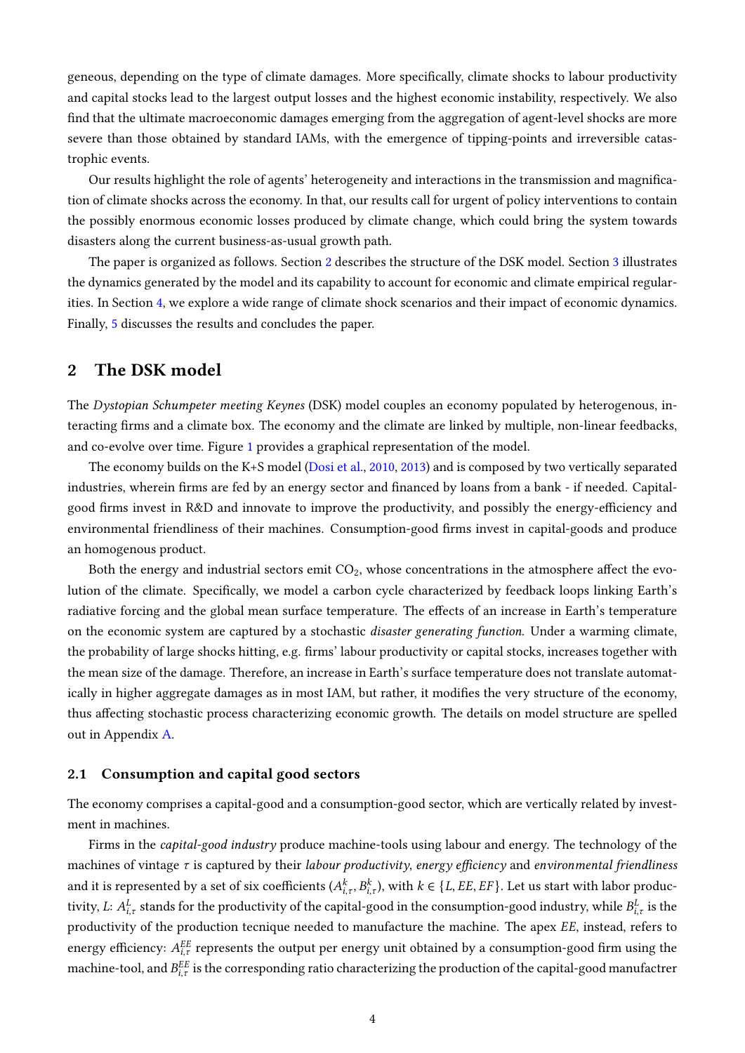geneous, depending on the type of climate damages. More specifically, climate shocks to labour productivity and capital stocks lead to the largest output losses and the highest economic instability, respectively. We also find that the ultimate macroeconomic damages emerging from the aggregation of agent-level shocks are more severe than those obtained by standard IAMs, with the emergence of tipping-points and irreversible catastrophic events.

Our results highlight the role of agents' heterogeneity and interactions in the transmission and magnication of climate shocks across the economy. In that, our results call for urgent of policy interventions to contain the possibly enormous economic losses produced by climate change, which could bring the system towards disasters along the current business-as-usual growth path.

The paper is organized as follows. Section [2](#page-5-0) describes the structure of the DSK model. Section [3](#page-15-0) illustrates the dynamics generated by the model and its capability to account for economic and climate empirical regularities. In Section [4,](#page-18-0) we explore a wide range of climate shock scenarios and their impact of economic dynamics. Finally, [5](#page-25-0) discusses the results and concludes the paper.

## <span id="page-5-0"></span>2 The DSK model

The Dystopian Schumpeter meeting Keynes (DSK) model couples an economy populated by heterogenous, interacting firms and a climate box. The economy and the climate are linked by multiple, non-linear feedbacks, and co-evolve over time. Figure [1](#page-6-0) provides a graphical representation of the model.

The economy builds on the K+S model [\(Dosi et al.,](#page-29-6) [2010,](#page-29-6) [2013\)](#page-29-7) and is composed by two vertically separated industries, wherein firms are fed by an energy sector and financed by loans from a bank - if needed. Capitalgood firms invest in R&D and innovate to improve the productivity, and possibly the energy-efficiency and environmental friendliness of their machines. Consumption-good firms invest in capital-goods and produce an homogenous product.

Both the energy and industrial sectors emit  $CO<sub>2</sub>$ , whose concentrations in the atmosphere affect the evolution of the climate. Specifically, we model a carbon cycle characterized by feedback loops linking Earth's radiative forcing and the global mean surface temperature. The effects of an increase in Earth's temperature on the economic system are captured by a stochastic disaster generating function. Under a warming climate, the probability of large shocks hitting, e.g. firms' labour productivity or capital stocks, increases together with the mean size of the damage. Therefore, an increase in Earth's surface temperature does not translate automatically in higher aggregate damages as in most IAM, but rather, it modifies the very structure of the economy, thus affecting stochastic process characterizing economic growth. The details on model structure are spelled out in Appendix [A.](#page-35-0)

#### 2.1 Consumption and capital good sectors

The economy comprises a capital-good and a consumption-good sector, which are vertically related by investment in machines.

Firms in the capital-good industry produce machine-tools using labour and energy. The technology of the machines of vintage  $\tau$  is captured by their labour productivity, energy efficiency and environmental friendliness and it is represented by a set of six coefficients  $(A_{i,\tau}^k,B_{i,\tau}^k)$ , with  $k\in\{L,EE,EF\}$ . Let us start with labor productivity, L:  $A^L_{i,\tau}$  stands for the productivity of the capital-good in the consumption-good industry, while  $B^L_{i,\tau}$  is the productivity of the production tecnique needed to manufacture the machine. The apex EE, instead, refers to energy efficiency:  $A_{i,\tau}^{EE}$  represents the output per energy unit obtained by a consumption-good firm using the machine-tool, and  $B^{EE}_{i,\tau}$  is the corresponding ratio characterizing the production of the capital-good manufactrer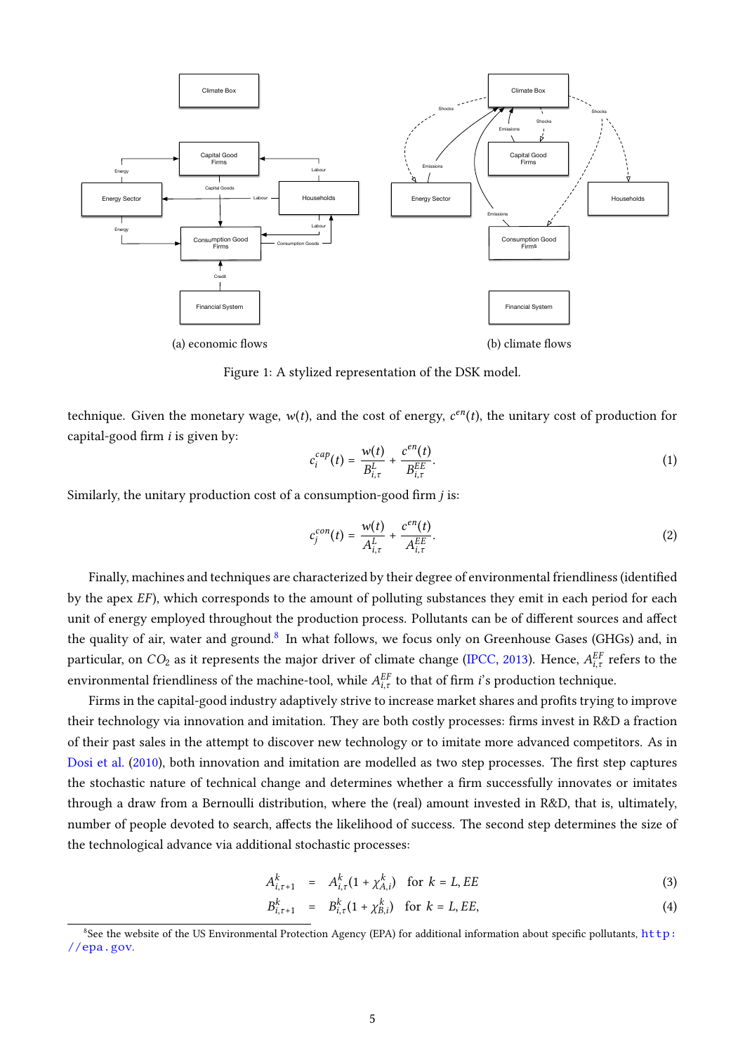<span id="page-6-0"></span>

Figure 1: A stylized representation of the DSK model.

technique. Given the monetary wage,  $w(t)$ , and the cost of energy,  $c^{en}(t)$ , the unitary cost of production for capital-good firm  $i$  is given by:

$$
c_i^{cap}(t) = \frac{w(t)}{B_{i,\tau}^L} + \frac{c^{en}(t)}{B_{i,\tau}^{EE}}.
$$
 (1)

Similarly, the unitary production cost of a consumption-good firm  $j$  is:

$$
c_j^{con}(t) = \frac{w(t)}{A_{i,\tau}^L} + \frac{c^{en}(t)}{A_{i,\tau}^{EE}}.
$$
 (2)

Finally, machines and techniques are characterized by their degree of environmental friendliness (identified by the apex *EF*), which corresponds to the amount of polluting substances they emit in each period for each unit of energy employed throughout the production process. Pollutants can be of different sources and affect the quality of air, water and ground.<sup>[8](#page-2-0)</sup> In what follows, we focus only on Greenhouse Gases (GHGs) and, in particular, on  $CO_2$  as it represents the major driver of climate change [\(IPCC,](#page-31-3) [2013\)](#page-31-3). Hence,  $A^{EF}_{i,\tau}$  refers to the environmental friendliness of the machine-tool, while  $A_{i,\tau}^{EF}$  to that of firm *i*'s production technique.

Firms in the capital-good industry adaptively strive to increase market shares and profits trying to improve their technology via innovation and imitation. They are both costly processes: firms invest in R&D a fraction of their past sales in the attempt to discover new technology or to imitate more advanced competitors. As in [Dosi et al.](#page-29-6) [\(2010\)](#page-29-6), both innovation and imitation are modelled as two step processes. The first step captures the stochastic nature of technical change and determines whether a firm successfully innovates or imitates through a draw from a Bernoulli distribution, where the (real) amount invested in R&D, that is, ultimately, number of people devoted to search, affects the likelihood of success. The second step determines the size of the technological advance via additional stochastic processes:

<span id="page-6-1"></span>
$$
A_{i,\tau+1}^k = A_{i,\tau}^k (1 + \chi_{A,i}^k) \quad \text{for } k = L, EE \tag{3}
$$

$$
B_{i,\tau+1}^k = B_{i,\tau}^k (1 + \chi_{B,i}^k) \quad \text{for } k = L, EE,
$$
 (4)

<sup>8</sup>See the website of the US Environmental Protection Agency (EPA) for additional information about specic pollutants, [http:](http://epa.gov) [//epa.gov](http://epa.gov).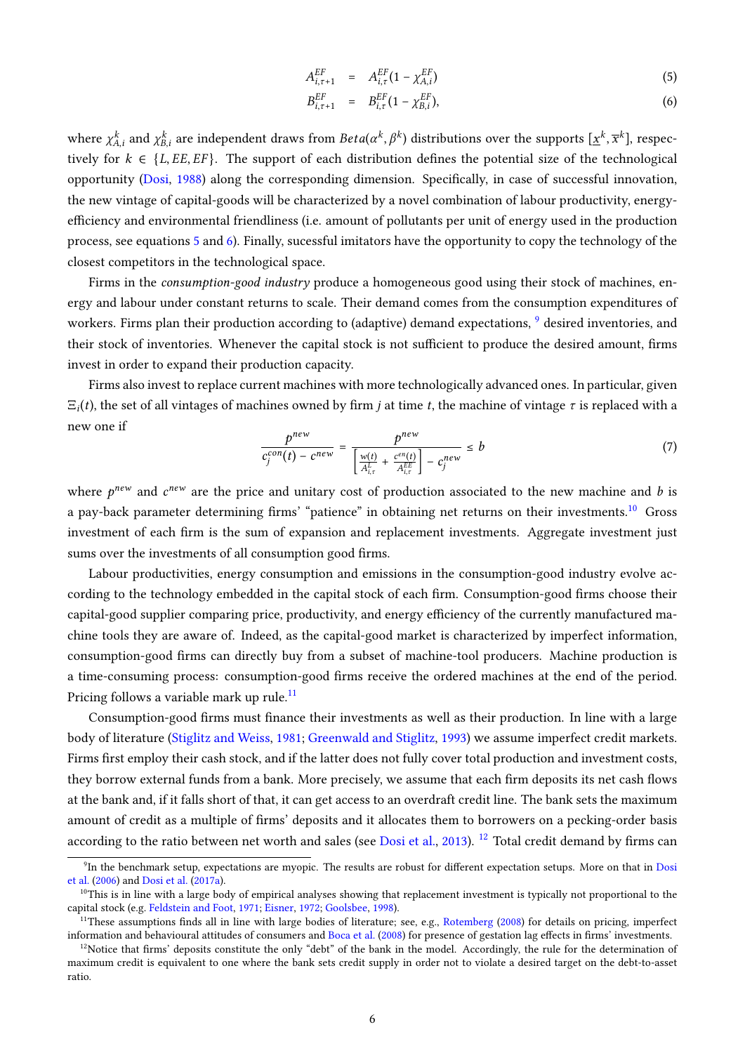<span id="page-7-0"></span>
$$
A_{i,\tau+1}^{EF} = A_{i,\tau}^{EF} (1 - \chi_{A,i}^{EF})
$$
 (5)

$$
B_{i,\tau+1}^{EF} = B_{i,\tau}^{EF} (1 - \chi_{B,i}^{EF}), \tag{6}
$$

where  $\chi^k_{A,i}$  and  $\chi^k_{B,i}$  are independent draws from  $Beta(\alpha^k, \beta^k)$  distributions over the supports  $[\underline{x}^k, \overline{x}^k]$ , respectively for  $k \in \{L, EE, EF\}$ . The support of each distribution defines the potential size of the technological opportunity [\(Dosi,](#page-29-9) [1988\)](#page-29-9) along the corresponding dimension. Specifically, in case of successful innovation, the new vintage of capital-goods will be characterized by a novel combination of labour productivity, energyefficiency and environmental friendliness (i.e. amount of pollutants per unit of energy used in the production process, see equations [5](#page-7-0) and [6\)](#page-7-0). Finally, sucessful imitators have the opportunity to copy the technology of the closest competitors in the technological space.

Firms in the consumption-good industry produce a homogeneous good using their stock of machines, energy and labour under constant returns to scale. Their demand comes from the consumption expenditures of workers. Firms plan their production according to (adaptive) demand expectations, <sup>[9](#page-2-0)</sup> desired inventories, and their stock of inventories. Whenever the capital stock is not sufficient to produce the desired amount, firms invest in order to expand their production capacity.

Firms also invest to replace current machines with more technologically advanced ones. In particular, given  $\Xi_i(t)$ , the set of all vintages of machines owned by firm *j* at time *t*, the machine of vintage  $\tau$  is replaced with a new one if

<span id="page-7-1"></span>
$$
\frac{p^{new}}{c_j^{con}(t) - c^{new}} = \frac{p^{new}}{\left[\frac{w(t)}{A_{i,\tau}^L} + \frac{c^{en}(t)}{A_{i,\tau}^{EE}}\right] - c_j^{new}} \le b
$$
\n(7)

where  $p^{new}$  and  $c^{new}$  are the price and unitary cost of production associated to the new machine and b is a pay-back parameter determining firms' "patience" in obtaining net returns on their investments.<sup>[10](#page-2-0)</sup> Gross investment of each firm is the sum of expansion and replacement investments. Aggregate investment just sums over the investments of all consumption good firms.

Labour productivities, energy consumption and emissions in the consumption-good industry evolve according to the technology embedded in the capital stock of each firm. Consumption-good firms choose their capital-good supplier comparing price, productivity, and energy efficiency of the currently manufactured machine tools they are aware of. Indeed, as the capital-good market is characterized by imperfect information, consumption-good firms can directly buy from a subset of machine-tool producers. Machine production is a time-consuming process: consumption-good firms receive the ordered machines at the end of the period. Pricing follows a variable mark up rule.<sup>[11](#page-2-0)</sup>

Consumption-good firms must finance their investments as well as their production. In line with a large body of literature [\(Stiglitz and Weiss,](#page-33-10) [1981;](#page-33-10) [Greenwald and Stiglitz,](#page-30-9) [1993\)](#page-30-9) we assume imperfect credit markets. Firms first employ their cash stock, and if the latter does not fully cover total production and investment costs, they borrow external funds from a bank. More precisely, we assume that each firm deposits its net cash flows at the bank and, if it falls short of that, it can get access to an overdraft credit line. The bank sets the maximum amount of credit as a multiple of firms' deposits and it allocates them to borrowers on a pecking-order basis according to the ratio between net worth and sales (see [Dosi et al.,](#page-29-7) [2013\)](#page-29-7). <sup>[12](#page-2-0)</sup> Total credit demand by firms can

<sup>&</sup>lt;sup>9</sup>In the benchmark setup, expectations are myopic. The results are robust for different expectation setups. More on that in [Dosi](#page-29-10) [et al.](#page-29-10) [\(2006\)](#page-29-10) and [Dosi et al.](#page-29-11) [\(2017a\)](#page-29-11).

<sup>&</sup>lt;sup>10</sup>This is in line with a large body of empirical analyses showing that replacement investment is typically not proportional to the capital stock (e.g. [Feldstein and Foot,](#page-30-10) [1971;](#page-30-10) [Eisner,](#page-29-12) [1972;](#page-29-12) [Goolsbee,](#page-30-11) [1998\)](#page-30-11).

<sup>&</sup>lt;sup>11</sup>These assumptions finds all in line with large bodies of literature; see, e.g., [Rotemberg](#page-33-11) [\(2008\)](#page-33-11) for details on pricing, imperfect information and behavioural attitudes of consumers and [Boca et al.](#page-27-5) [\(2008\)](#page-27-5) for presence of gestation lag effects in firms' investments.

 $12$ Notice that firms' deposits constitute the only "debt" of the bank in the model. Accordingly, the rule for the determination of maximum credit is equivalent to one where the bank sets credit supply in order not to violate a desired target on the debt-to-asset ratio.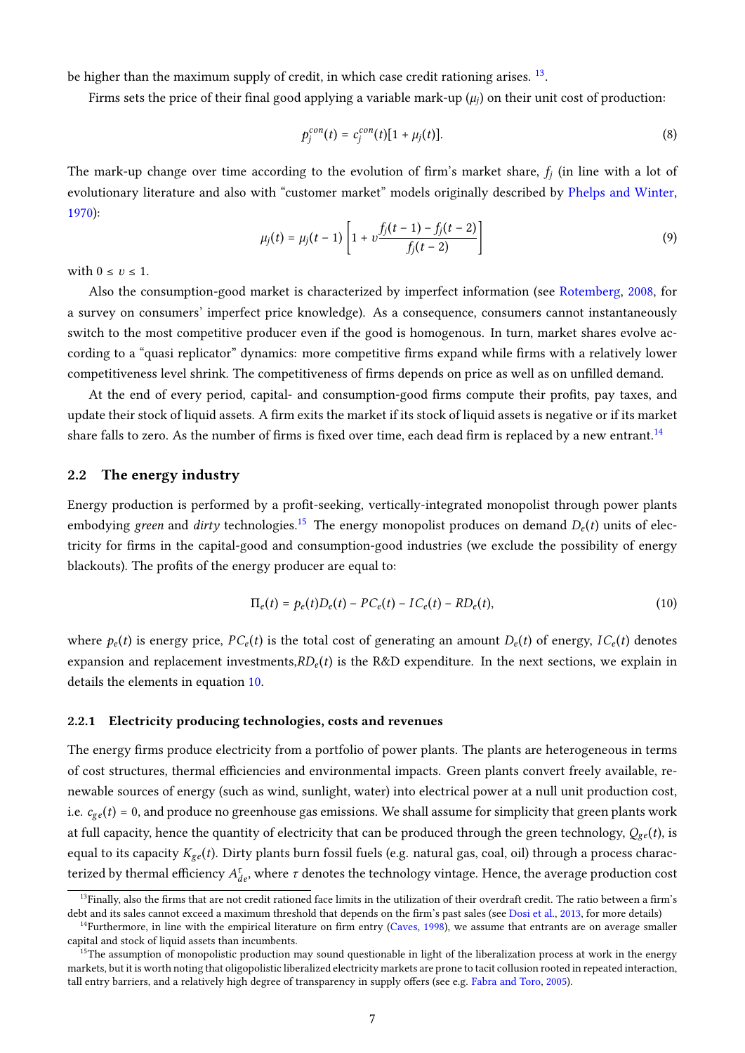be higher than the maximum supply of credit, in which case credit rationing arises.<sup>[13](#page-2-0)</sup>.

Firms sets the price of their final good applying a variable mark-up  $(\mu_j)$  on their unit cost of production:

$$
p_j^{con}(t) = c_j^{con}(t)[1 + \mu_j(t)].
$$
\n(8)

The mark-up change over time according to the evolution of firm's market share,  $f_j$  (in line with a lot of evolutionary literature and also with "customer market" models originally described by [Phelps and Winter,](#page-32-10) [1970\)](#page-32-10):

<span id="page-8-1"></span>
$$
\mu_j(t) = \mu_j(t-1) \left[ 1 + \nu \frac{f_j(t-1) - f_j(t-2)}{f_j(t-2)} \right] \tag{9}
$$

with  $0 \le v \le 1$ .

Also the consumption-good market is characterized by imperfect information (see [Rotemberg,](#page-33-11) [2008,](#page-33-11) for a survey on consumers' imperfect price knowledge). As a consequence, consumers cannot instantaneously switch to the most competitive producer even if the good is homogenous. In turn, market shares evolve according to a "quasi replicator" dynamics: more competitive firms expand while firms with a relatively lower competitiveness level shrink. The competitiveness of firms depends on price as well as on unfilled demand.

At the end of every period, capital- and consumption-good firms compute their profits, pay taxes, and update their stock of liquid assets. A firm exits the market if its stock of liquid assets is negative or if its market share falls to zero. As the number of firms is fixed over time, each dead firm is replaced by a new entrant.<sup>[14](#page-2-0)</sup>

#### 2.2 The energy industry

Energy production is performed by a profit-seeking, vertically-integrated monopolist through power plants embodying green and dirty technologies.<sup>[15](#page-2-0)</sup> The energy monopolist produces on demand  $D_e(t)$  units of electricity for firms in the capital-good and consumption-good industries (we exclude the possibility of energy blackouts). The profits of the energy producer are equal to:

<span id="page-8-0"></span>
$$
\Pi_e(t) = p_e(t)D_e(t) - PC_e(t) - IC_e(t) - RD_e(t),
$$
\n(10)

where  $p_e(t)$  is energy price,  $PC_e(t)$  is the total cost of generating an amount  $D_e(t)$  of energy,  $IC_e(t)$  denotes expansion and replacement investments, $RD_e(t)$  is the R&D expenditure. In the next sections, we explain in details the elements in equation [10.](#page-8-0)

#### 2.2.1 Electricity producing technologies, costs and revenues

The energy firms produce electricity from a portfolio of power plants. The plants are heterogeneous in terms of cost structures, thermal efficiencies and environmental impacts. Green plants convert freely available, renewable sources of energy (such as wind, sunlight, water) into electrical power at a null unit production cost, i.e.  $c_{ge}(t) = 0$ , and produce no greenhouse gas emissions. We shall assume for simplicity that green plants work at full capacity, hence the quantity of electricity that can be produced through the green technology,  $Q_{ge}(t)$ , is equal to its capacity  $K_{ge}(t)$ . Dirty plants burn fossil fuels (e.g. natural gas, coal, oil) through a process characterized by thermal efficiency  $A_{de}^{\tau}$ , where  $\tau$  denotes the technology vintage. Hence, the average production cost

 $13$ Finally, also the firms that are not credit rationed face limits in the utilization of their overdraft credit. The ratio between a firm's debt and its sales cannot exceed a maximum threshold that depends on the firm's past sales (see [Dosi et al.,](#page-29-7) [2013,](#page-29-7) for more details)

 $14$ Furthermore, in line with the empirical literature on firm entry [\(Caves,](#page-28-5) [1998\)](#page-28-5), we assume that entrants are on average smaller capital and stock of liquid assets than incumbents.

<sup>&</sup>lt;sup>15</sup>The assumption of monopolistic production may sound questionable in light of the liberalization process at work in the energy markets, but it is worth noting that oligopolistic liberalized electricity markets are prone to tacit collusion rooted in repeated interaction, tall entry barriers, and a relatively high degree of transparency in supply offers (see e.g. [Fabra and Toro,](#page-29-13) [2005\)](#page-29-13).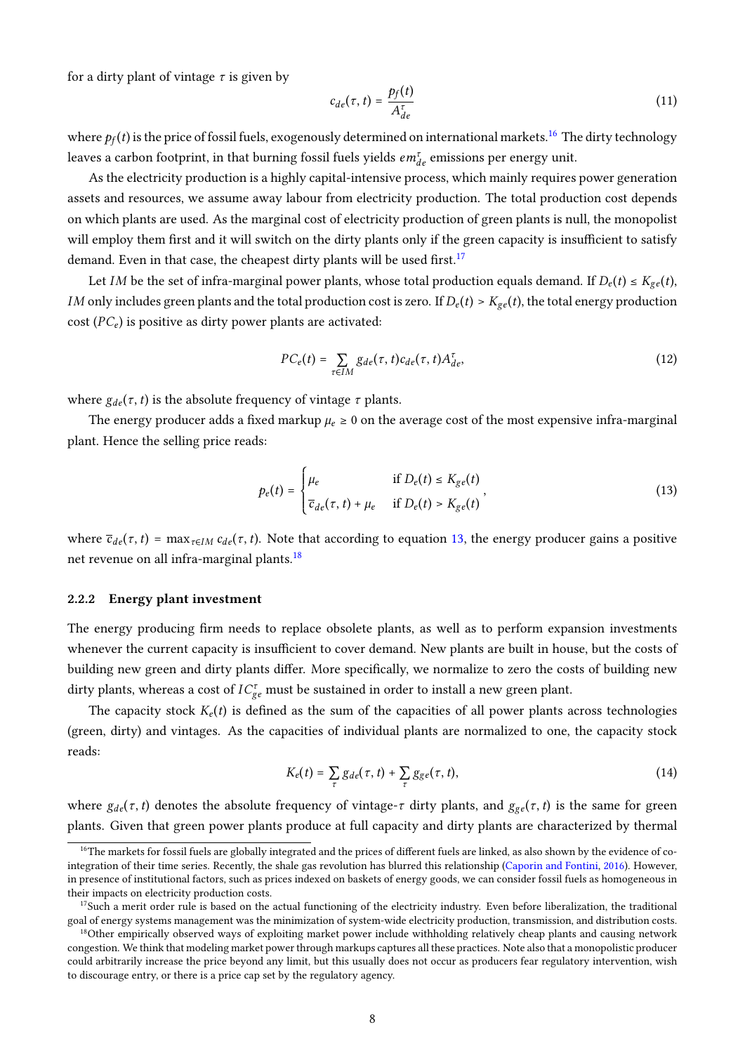for a dirty plant of vintage  $\tau$  is given by

$$
c_{de}(\tau, t) = \frac{p_f(t)}{A_{de}^{\tau}}
$$
\n(11)

where  $p_f(t)$  is the price of fossil fuels, exogenously determined on international markets.<sup>[16](#page-2-0)</sup> The dirty technology leaves a carbon footprint, in that burning fossil fuels yields  $em_{de}^{\tau}$  emissions per energy unit.

As the electricity production is a highly capital-intensive process, which mainly requires power generation assets and resources, we assume away labour from electricity production. The total production cost depends on which plants are used. As the marginal cost of electricity production of green plants is null, the monopolist will employ them first and it will switch on the dirty plants only if the green capacity is insufficient to satisfy demand. Even in that case, the cheapest dirty plants will be used first.<sup>[17](#page-2-0)</sup>

Let *IM* be the set of infra-marginal power plants, whose total production equals demand. If  $D_e(t) \le K_{ge}(t)$ , *IM* only includes green plants and the total production cost is zero. If  $D_e(t) > K_{ge}(t)$ , the total energy production cost  $(PC_e)$  is positive as dirty power plants are activated:

$$
PC_e(t) = \sum_{\tau \in IM} g_{de}(\tau, t) c_{de}(\tau, t) A_{de}^{\tau}, \qquad (12)
$$

where  $g_{de}(\tau, t)$  is the absolute frequency of vintage  $\tau$  plants.

The energy producer adds a fixed markup  $\mu_e \ge 0$  on the average cost of the most expensive infra-marginal plant. Hence the selling price reads:

<span id="page-9-0"></span>
$$
p_e(t) = \begin{cases} \mu_e & \text{if } D_e(t) \le K_{ge}(t) \\ \overline{c}_{de}(\tau, t) + \mu_e & \text{if } D_e(t) > K_{ge}(t) \end{cases}
$$
\n
$$
(13)
$$

where  $\bar{c}_{de}(\tau, t)$  = max<sub> $\tau \in I_M$ </sub>  $c_{de}(\tau, t)$ . Note that according to equation [13,](#page-9-0) the energy producer gains a positive net revenue on all infra-marginal plants.<sup>[18](#page-2-0)</sup>

#### 2.2.2 Energy plant investment

The energy producing firm needs to replace obsolete plants, as well as to perform expansion investments whenever the current capacity is insufficient to cover demand. New plants are built in house, but the costs of building new green and dirty plants differ. More specifically, we normalize to zero the costs of building new dirty plants, whereas a cost of  $IC_{ge}^{\tau}$  must be sustained in order to install a new green plant.

The capacity stock  $K_{\epsilon}(t)$  is defined as the sum of the capacities of all power plants across technologies (green, dirty) and vintages. As the capacities of individual plants are normalized to one, the capacity stock reads:

$$
K_e(t) = \sum_{\tau} g_{de}(\tau, t) + \sum_{\tau} g_{ge}(\tau, t), \qquad (14)
$$

where  $g_{de}(\tau, t)$  denotes the absolute frequency of vintage- $\tau$  dirty plants, and  $g_{ge}(\tau, t)$  is the same for green plants. Given that green power plants produce at full capacity and dirty plants are characterized by thermal

<sup>&</sup>lt;sup>16</sup>The markets for fossil fuels are globally integrated and the prices of different fuels are linked, as also shown by the evidence of cointegration of their time series. Recently, the shale gas revolution has blurred this relationship [\(Caporin and Fontini,](#page-28-6) [2016\)](#page-28-6). However, in presence of institutional factors, such as prices indexed on baskets of energy goods, we can consider fossil fuels as homogeneous in their impacts on electricity production costs.

 $17$ Such a merit order rule is based on the actual functioning of the electricity industry. Even before liberalization, the traditional goal of energy systems management was the minimization of system-wide electricity production, transmission, and distribution costs.

<sup>&</sup>lt;sup>18</sup>Other empirically observed ways of exploiting market power include withholding relatively cheap plants and causing network congestion. We think that modeling market power through markups captures all these practices. Note also that a monopolistic producer could arbitrarily increase the price beyond any limit, but this usually does not occur as producers fear regulatory intervention, wish to discourage entry, or there is a price cap set by the regulatory agency.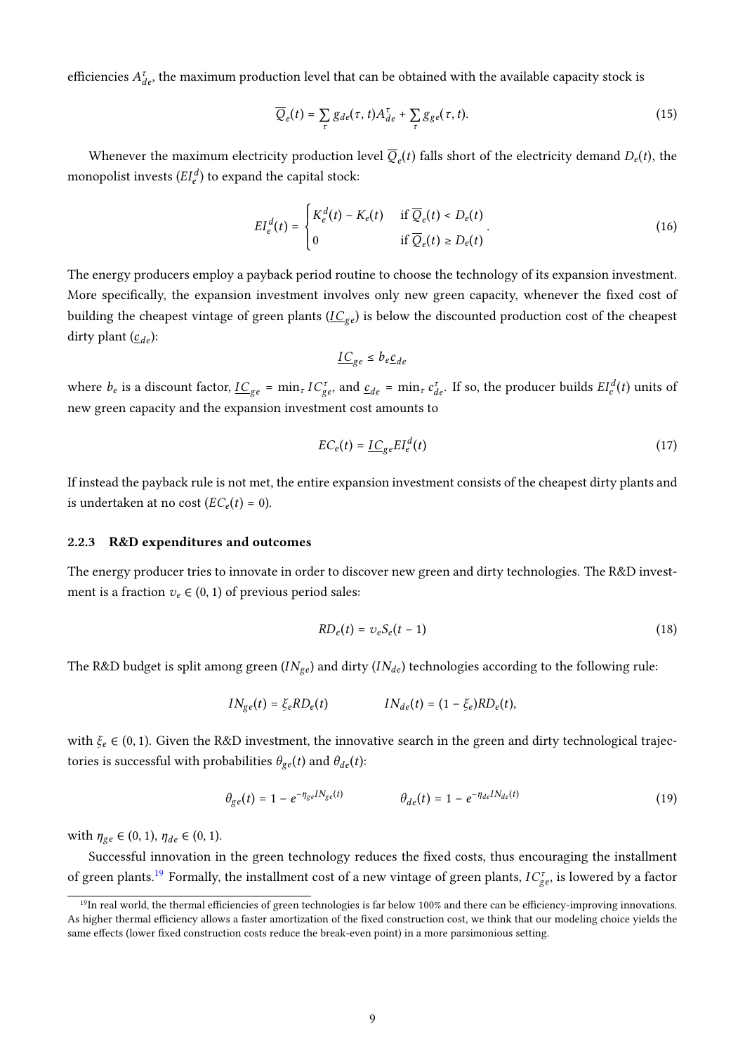efficiencies  $A_{de}^{\tau}$ , the maximum production level that can be obtained with the available capacity stock is

$$
\overline{Q}_e(t) = \sum_{\tau} g_{de}(\tau, t) A_{de}^{\tau} + \sum_{\tau} g_{ge}(\tau, t).
$$
\n(15)

Whenever the maximum electricity production level  $Q_e(t)$  falls short of the electricity demand  $D_e(t)$ , the monopolist invests  $(EI_e^d)$  to expand the capital stock:

$$
EI_e^d(t) = \begin{cases} K_e^d(t) - K_e(t) & \text{if } \overline{Q}_e(t) < D_e(t) \\ 0 & \text{if } \overline{Q}_e(t) \ge D_e(t) \end{cases} \tag{16}
$$

The energy producers employ a payback period routine to choose the technology of its expansion investment. More specifically, the expansion investment involves only new green capacity, whenever the fixed cost of building the cheapest vintage of green plants  $(\underline{IC}_{ge})$  is below the discounted production cost of the cheapest dirty plant  $(\underline{c}_{de})$ :

$$
\underline{IC}_{ge} \leq b_e \underline{c}_{de}
$$

where  $b_e$  is a discount factor,  $\underline{IC}_{ge}$  =  $\min_{\tau} IC_{ge}^{\tau}$ , and  $\underline{c}_{de}$  =  $\min_{\tau} C_{de}^{\tau}$ . If so, the producer builds  $EI_e^{d}(t)$  units of new green capacity and the expansion investment cost amounts to

$$
EC_e(t) = \underline{IC}_{ge}EI_e^d(t) \tag{17}
$$

If instead the payback rule is not met, the entire expansion investment consists of the cheapest dirty plants and is undertaken at no cost  $(EC_e(t) = 0)$ .

#### 2.2.3 R&D expenditures and outcomes

The energy producer tries to innovate in order to discover new green and dirty technologies. The R&D investment is a fraction  $v_e \in (0, 1)$  of previous period sales:

$$
RD_e(t) = v_e S_e(t-1) \tag{18}
$$

The R&D budget is split among green  $(IN_{ge})$  and dirty  $(IN_{de})$  technologies according to the following rule:

$$
IN_{ge}(t) = \xi_e R D_e(t) \qquad IN_{de}(t) = (1 - \xi_e) R D_e(t),
$$

with  $\xi_e \in (0, 1)$ . Given the R&D investment, the innovative search in the green and dirty technological trajectories is successful with probabilities  $\theta_{ge}(t)$  and  $\theta_{de}(t)$ :

$$
\theta_{ge}(t) = 1 - e^{-\eta_{ge} I N_{ge}(t)} \qquad \theta_{de}(t) = 1 - e^{-\eta_{de} I N_{de}(t)} \tag{19}
$$

with  $\eta_{ge} \in (0, 1), \eta_{de} \in (0, 1).$ 

Successful innovation in the green technology reduces the fixed costs, thus encouraging the installment of green plants.<sup>[19](#page-2-0)</sup> Formally, the installment cost of a new vintage of green plants,  $IC_{ge}^{\tau}$ , is lowered by a factor

 $19$ In real world, the thermal efficiencies of green technologies is far below 100% and there can be efficiency-improving innovations. As higher thermal efficiency allows a faster amortization of the fixed construction cost, we think that our modeling choice yields the same effects (lower fixed construction costs reduce the break-even point) in a more parsimonious setting.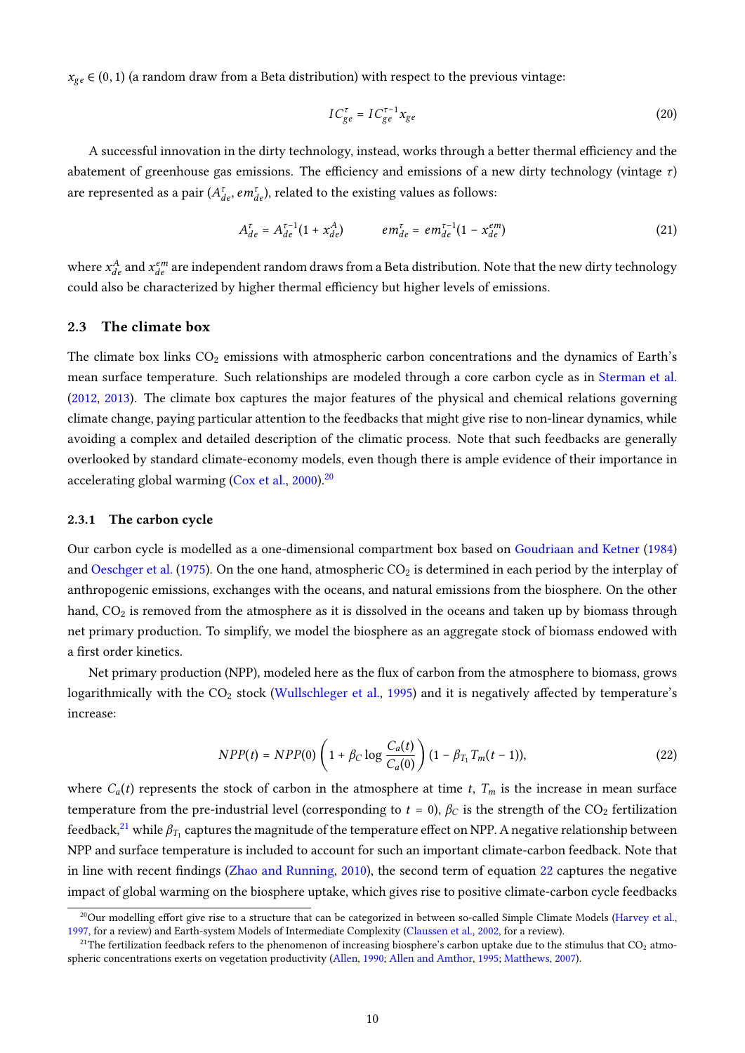$x_{ge} \in (0, 1)$  (a random draw from a Beta distribution) with respect to the previous vintage:

$$
IC_{ge}^{\tau} = IC_{ge}^{\tau-1} x_{ge}
$$
 (20)

A successful innovation in the dirty technology, instead, works through a better thermal efficiency and the abatement of greenhouse gas emissions. The efficiency and emissions of a new dirty technology (vintage  $\tau$ ) are represented as a pair  $(A_{de}^{\tau}, em_{de}^{\tau})$ , related to the existing values as follows:

$$
A_{de}^{\tau} = A_{de}^{\tau-1} (1 + x_{de}^{A}) \qquad \qquad em_{de}^{\tau} = em_{de}^{\tau-1} (1 - x_{de}^{em}) \qquad (21)
$$

where  $x_{de}^A$  and  $x_{de}^{em}$  are independent random draws from a Beta distribution. Note that the new dirty technology could also be characterized by higher thermal efficiency but higher levels of emissions.

#### <span id="page-11-1"></span>2.3 The climate box

The climate box links  $CO_2$  emissions with atmospheric carbon concentrations and the dynamics of Earth's mean surface temperature. Such relationships are modeled through a core carbon cycle as in [Sterman et al.](#page-33-9) [\(2012,](#page-33-9) [2013\)](#page-33-8). The climate box captures the major features of the physical and chemical relations governing climate change, paying particular attention to the feedbacks that might give rise to non-linear dynamics, while avoiding a complex and detailed description of the climatic process. Note that such feedbacks are generally overlooked by standard climate-economy models, even though there is ample evidence of their importance in accelerating global warming [\(Cox et al.,](#page-28-7) [2000\)](#page-28-7).<sup>[20](#page-2-0)</sup>

#### 2.3.1 The carbon cycle

Our carbon cycle is modelled as a one-dimensional compartment box based on [Goudriaan and Ketner](#page-30-12) [\(1984\)](#page-30-12) and [Oeschger et al.](#page-32-11) [\(1975\)](#page-32-11). On the one hand, atmospheric  $CO_2$  is determined in each period by the interplay of anthropogenic emissions, exchanges with the oceans, and natural emissions from the biosphere. On the other hand,  $CO<sub>2</sub>$  is removed from the atmosphere as it is dissolved in the oceans and taken up by biomass through net primary production. To simplify, we model the biosphere as an aggregate stock of biomass endowed with a first order kinetics.

Net primary production (NPP), modeled here as the flux of carbon from the atmosphere to biomass, grows logarithmically with the  $CO<sub>2</sub>$  stock [\(Wullschleger et al.,](#page-34-4) [1995\)](#page-34-4) and it is negatively affected by temperature's increase:

<span id="page-11-0"></span>
$$
NPP(t) = NPP(0) \left( 1 + \beta_C \log \frac{C_a(t)}{C_a(0)} \right) (1 - \beta_{T_1} T_m(t-1)),
$$
\n(22)

where  $C_a(t)$  represents the stock of carbon in the atmosphere at time t,  $T_m$  is the increase in mean surface temperature from the pre-industrial level (corresponding to  $t = 0$ ),  $\beta_C$  is the strength of the CO<sub>2</sub> fertilization feedback, $^{21}$  $^{21}$  $^{21}$  while  $\beta_{T_1}$  captures the magnitude of the temperature effect on NPP. A negative relationship between NPP and surface temperature is included to account for such an important climate-carbon feedback. Note that in line with recent findings [\(Zhao and Running,](#page-34-5) [2010\)](#page-34-5), the second term of equation [22](#page-11-0) captures the negative impact of global warming on the biosphere uptake, which gives rise to positive climate-carbon cycle feedbacks

 $^{20}$ Our modelling effort give rise to a structure that can be categorized in between so-called Simple Climate Models [\(Harvey et al.,](#page-30-13) [1997,](#page-30-13) for a review) and Earth-system Models of Intermediate Complexity [\(Claussen et al.,](#page-28-8) [2002,](#page-28-8) for a review).

<sup>&</sup>lt;sup>21</sup>The fertilization feedback refers to the phenomenon of increasing biosphere's carbon uptake due to the stimulus that  $CO_2$  atmospheric concentrations exerts on vegetation productivity [\(Allen,](#page-27-6) [1990;](#page-27-6) [Allen and Amthor,](#page-27-7) [1995;](#page-27-7) [Matthews,](#page-31-4) [2007\)](#page-31-4).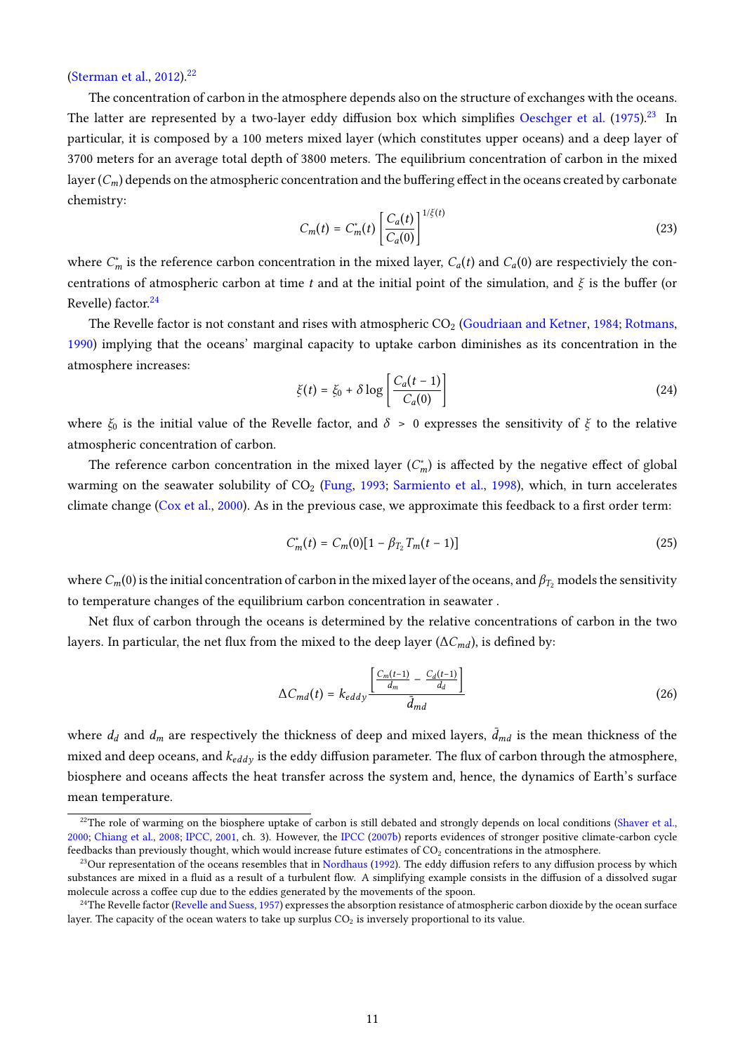# [\(Sterman et al.,](#page-33-9) [2012\)](#page-33-9).<sup>[22](#page-2-0)</sup>

The concentration of carbon in the atmosphere depends also on the structure of exchanges with the oceans. The latter are represented by a two-layer eddy diffusion box which simplifies [Oeschger et al.](#page-32-11)  $(1975)^{23}$  $(1975)^{23}$  $(1975)^{23}$  $(1975)^{23}$  In particular, it is composed by a 100 meters mixed layer (which constitutes upper oceans) and a deep layer of 3700 meters for an average total depth of 3800 meters. The equilibrium concentration of carbon in the mixed layer  $(C_m)$  depends on the atmospheric concentration and the buffering effect in the oceans created by carbonate chemistry:

$$
C_m(t) = C_m^*(t) \left[ \frac{C_a(t)}{C_a(0)} \right]^{1/\xi(t)}
$$
\n(23)

where  $C_m^*$  is the reference carbon concentration in the mixed layer,  $C_a(t)$  and  $C_a(0)$  are respectiviely the concentrations of atmospheric carbon at time t and at the initial point of the simulation, and  $\xi$  is the buffer (or Revelle) factor.<sup>[24](#page-2-0)</sup>

The Revelle factor is not constant and rises with atmospheric  $CO<sub>2</sub>$  [\(Goudriaan and Ketner,](#page-30-12) [1984;](#page-30-12) [Rotmans,](#page-33-12) [1990\)](#page-33-12) implying that the oceans' marginal capacity to uptake carbon diminishes as its concentration in the atmosphere increases:

$$
\xi(t) = \xi_0 + \delta \log \left[ \frac{C_a(t-1)}{C_a(0)} \right] \tag{24}
$$

where  $\xi_0$  is the initial value of the Revelle factor, and  $\delta > 0$  expresses the sensitivity of  $\xi$  to the relative atmospheric concentration of carbon.

The reference carbon concentration in the mixed layer  $(C_m^*)$  is affected by the negative effect of global warming on the seawater solubility of CO<sub>2</sub> [\(Fung,](#page-30-14) [1993;](#page-30-14) [Sarmiento et al.,](#page-33-13) [1998\)](#page-33-13), which, in turn accelerates climate change [\(Cox et al.,](#page-28-7) [2000\)](#page-28-7). As in the previous case, we approximate this feedback to a first order term:

<span id="page-12-0"></span>
$$
C_m^*(t) = C_m(0)[1 - \beta_{T_2}T_m(t-1)] \tag{25}
$$

where  $C_m(0)$  is the initial concentration of carbon in the mixed layer of the oceans, and  $\beta_{T_2}$  models the sensitivity to temperature changes of the equilibrium carbon concentration in seawater .

Net flux of carbon through the oceans is determined by the relative concentrations of carbon in the two layers. In particular, the net flux from the mixed to the deep layer ( $\Delta C_{md}$ ), is defined by:

$$
\Delta C_{md}(t) = k_{eddy} \frac{\left[\frac{C_m(t-1)}{d_m} - \frac{C_d(t-1)}{d_d}\right]}{\bar{d}_{md}}
$$
\n(26)

where  $d_d$  and  $d_m$  are respectively the thickness of deep and mixed layers,  $\bar{d}_{md}$  is the mean thickness of the mixed and deep oceans, and  $k_{eddy}$  is the eddy diffusion parameter. The flux of carbon through the atmosphere, biosphere and oceans affects the heat transfer across the system and, hence, the dynamics of Earth's surface mean temperature.

<sup>&</sup>lt;sup>22</sup>The role of warming on the biosphere uptake of carbon is still debated and strongly depends on local conditions [\(Shaver et al.,](#page-33-14) [2000;](#page-33-14) [Chiang et al.,](#page-28-9) [2008;](#page-28-9) [IPCC,](#page-31-5) [2001,](#page-31-5) ch. 3). However, the [IPCC](#page-31-6) [\(2007b\)](#page-31-6) reports evidences of stronger positive climate-carbon cycle feedbacks than previously thought, which would increase future estimates of  $CO<sub>2</sub>$  concentrations in the atmosphere.

 $23$ Our representation of the oceans resembles that in [Nordhaus](#page-32-1) [\(1992\)](#page-32-1). The eddy diffusion refers to any diffusion process by which substances are mixed in a fluid as a result of a turbulent flow. A simplifying example consists in the diffusion of a dissolved sugar molecule across a coffee cup due to the eddies generated by the movements of the spoon.

 $^{24}$ The Revelle factor [\(Revelle and Suess,](#page-33-15) [1957\)](#page-33-15) expresses the absorption resistance of atmospheric carbon dioxide by the ocean surface layer. The capacity of the ocean waters to take up surplus  $CO<sub>2</sub>$  is inversely proportional to its value.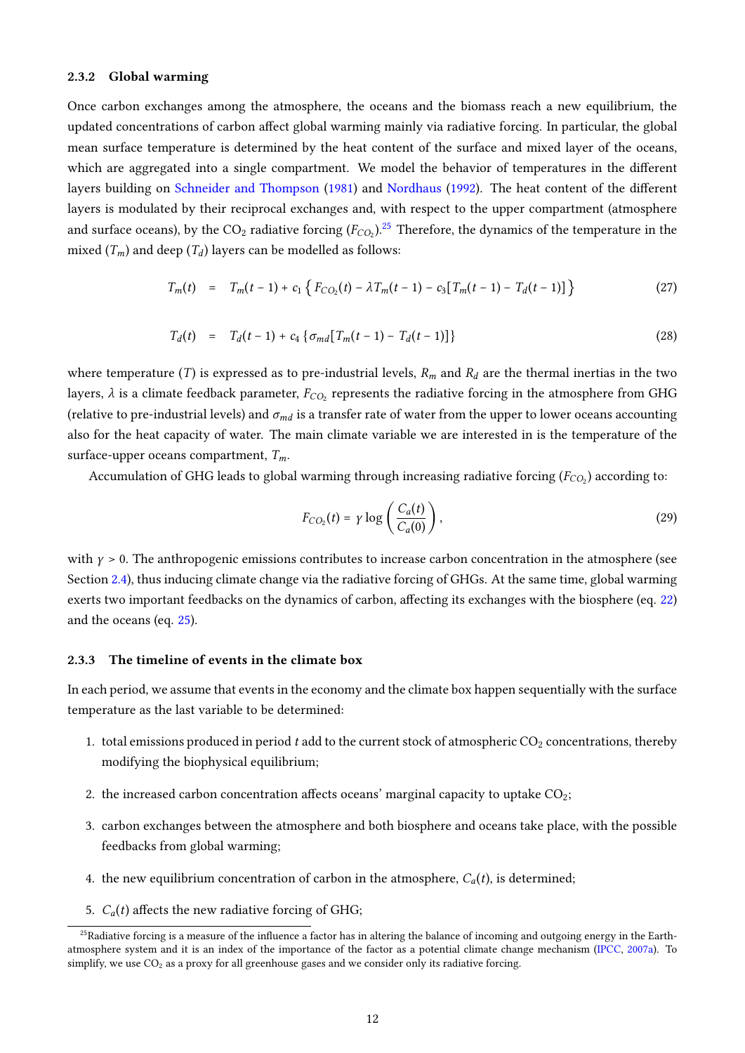#### 2.3.2 Global warming

Once carbon exchanges among the atmosphere, the oceans and the biomass reach a new equilibrium, the updated concentrations of carbon affect global warming mainly via radiative forcing. In particular, the global mean surface temperature is determined by the heat content of the surface and mixed layer of the oceans, which are aggregated into a single compartment. We model the behavior of temperatures in the different layers building on [Schneider and Thompson](#page-33-16) [\(1981\)](#page-33-16) and [Nordhaus](#page-32-1) [\(1992\)](#page-32-1). The heat content of the different layers is modulated by their reciprocal exchanges and, with respect to the upper compartment (atmosphere and surface oceans), by the  $CO_2$  radiative forcing  $(F_{CO_2})$ .<sup>[25](#page-2-0)</sup> Therefore, the dynamics of the temperature in the mixed  $(T_m)$  and deep  $(T_d)$  layers can be modelled as follows:

$$
T_m(t) = T_m(t-1) + c_1 \left\{ F_{CO_2}(t) - \lambda T_m(t-1) - c_3 \left[ T_m(t-1) - T_d(t-1) \right] \right\}
$$
 (27)

$$
T_d(t) = T_d(t-1) + c_4 \{ \sigma_{md} [T_m(t-1) - T_d(t-1)] \}
$$
\n(28)

where temperature (*T*) is expressed as to pre-industrial levels,  $R_m$  and  $R_d$  are the thermal inertias in the two layers,  $\lambda$  is a climate feedback parameter,  $F_{CO_2}$  represents the radiative forcing in the atmosphere from GHG (relative to pre-industrial levels) and  $\sigma_{md}$  is a transfer rate of water from the upper to lower oceans accounting also for the heat capacity of water. The main climate variable we are interested in is the temperature of the surface-upper oceans compartment,  $T_m$ .

Accumulation of GHG leads to global warming through increasing radiative forcing  $(F_{{CO}_2})$  according to:

$$
F_{CO_2}(t) = \gamma \log \left( \frac{C_a(t)}{C_a(0)} \right),\tag{29}
$$

with  $\gamma > 0$ . The anthropogenic emissions contributes to increase carbon concentration in the atmosphere (see Section [2.4\)](#page-14-0), thus inducing climate change via the radiative forcing of GHGs. At the same time, global warming exerts two important feedbacks on the dynamics of carbon, affecting its exchanges with the biosphere (eq. [22\)](#page-11-0) and the oceans (eq. [25\)](#page-12-0).

#### 2.3.3 The timeline of events in the climate box

In each period, we assume that events in the economy and the climate box happen sequentially with the surface temperature as the last variable to be determined:

- 1. total emissions produced in period  $t$  add to the current stock of atmospheric  $CO_2$  concentrations, thereby modifying the biophysical equilibrium;
- 2. the increased carbon concentration affects oceans' marginal capacity to uptake  $CO<sub>2</sub>$ ;
- 3. carbon exchanges between the atmosphere and both biosphere and oceans take place, with the possible feedbacks from global warming;
- 4. the new equilibrium concentration of carbon in the atmosphere,  $C_a(t)$ , is determined;
- 5.  $C_a(t)$  affects the new radiative forcing of GHG;

<sup>&</sup>lt;sup>25</sup>Radiative forcing is a measure of the influence a factor has in altering the balance of incoming and outgoing energy in the Earthatmosphere system and it is an index of the importance of the factor as a potential climate change mechanism [\(IPCC,](#page-31-7) [2007a\)](#page-31-7). To simplify, we use  $CO<sub>2</sub>$  as a proxy for all greenhouse gases and we consider only its radiative forcing.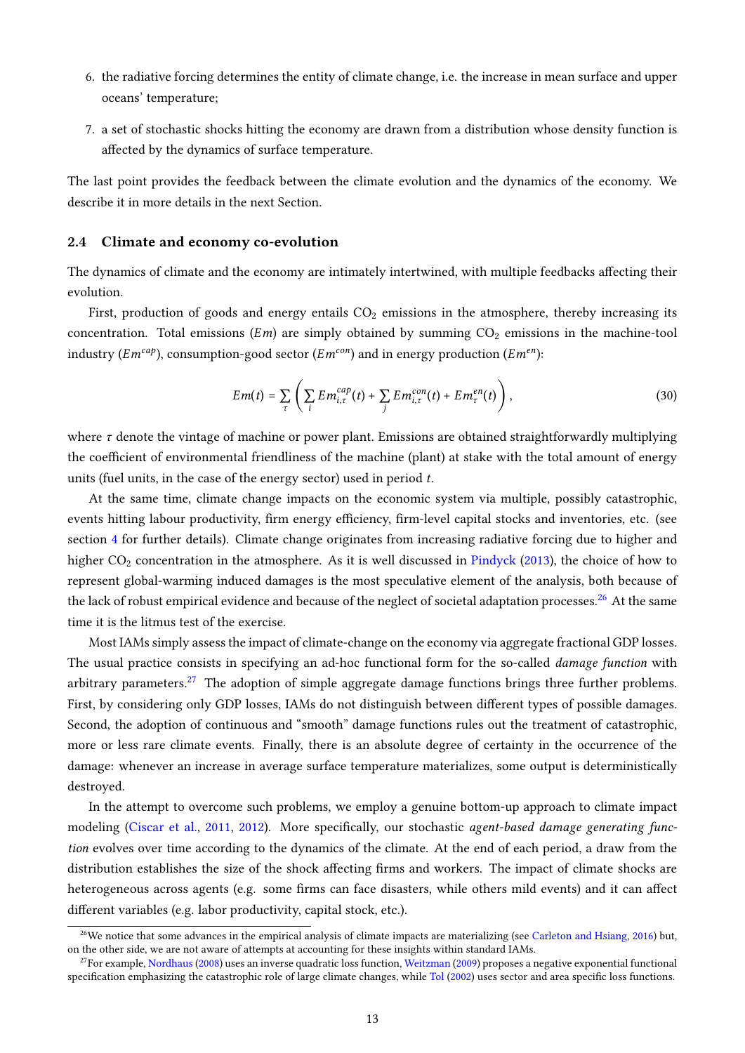- 6. the radiative forcing determines the entity of climate change, i.e. the increase in mean surface and upper oceans' temperature;
- 7. a set of stochastic shocks hitting the economy are drawn from a distribution whose density function is affected by the dynamics of surface temperature.

The last point provides the feedback between the climate evolution and the dynamics of the economy. We describe it in more details in the next Section.

#### <span id="page-14-0"></span>2.4 Climate and economy co-evolution

The dynamics of climate and the economy are intimately intertwined, with multiple feedbacks affecting their evolution.

First, production of goods and energy entails  $CO<sub>2</sub>$  emissions in the atmosphere, thereby increasing its concentration. Total emissions ( $Em$ ) are simply obtained by summing  $CO<sub>2</sub>$  emissions in the machine-tool industry ( $Em^{cap}$ ), consumption-good sector ( $Em^{con}$ ) and in energy production ( $Em^{en}$ ):

$$
Em(t) = \sum_{\tau} \left( \sum_{i} Em_{i,\tau}^{cap}(t) + \sum_{j} Em_{i,\tau}^{con}(t) + Em_{\tau}^{en}(t) \right), \qquad (30)
$$

where  $\tau$  denote the vintage of machine or power plant. Emissions are obtained straightforwardly multiplying the coefficient of environmental friendliness of the machine (plant) at stake with the total amount of energy units (fuel units, in the case of the energy sector) used in period  $t$ .

At the same time, climate change impacts on the economic system via multiple, possibly catastrophic, events hitting labour productivity, firm energy efficiency, firm-level capital stocks and inventories, etc. (see section [4](#page-18-0) for further details). Climate change originates from increasing radiative forcing due to higher and higher  $CO<sub>2</sub>$  concentration in the atmosphere. As it is well discussed in [Pindyck](#page-32-2) [\(2013\)](#page-32-2), the choice of how to represent global-warming induced damages is the most speculative element of the analysis, both because of the lack of robust empirical evidence and because of the neglect of societal adaptation processes.<sup>[26](#page-2-0)</sup> At the same time it is the litmus test of the exercise.

Most IAMs simply assess the impact of climate-change on the economy via aggregate fractional GDP losses. The usual practice consists in specifying an ad-hoc functional form for the so-called *damage function* with arbitrary parameters.<sup>[27](#page-2-0)</sup> The adoption of simple aggregate damage functions brings three further problems. First, by considering only GDP losses, IAMs do not distinguish between different types of possible damages. Second, the adoption of continuous and "smooth" damage functions rules out the treatment of catastrophic, more or less rare climate events. Finally, there is an absolute degree of certainty in the occurrence of the damage: whenever an increase in average surface temperature materializes, some output is deterministically destroyed.

In the attempt to overcome such problems, we employ a genuine bottom-up approach to climate impact modeling [\(Ciscar et al.,](#page-28-10) [2011,](#page-28-10) [2012\)](#page-28-11). More specifically, our stochastic agent-based damage generating function evolves over time according to the dynamics of the climate. At the end of each period, a draw from the distribution establishes the size of the shock affecting firms and workers. The impact of climate shocks are heterogeneous across agents (e.g. some firms can face disasters, while others mild events) and it can affect different variables (e.g. labor productivity, capital stock, etc.).

 $^{26}$ We notice that some advances in the empirical analysis of climate impacts are materializing (see [Carleton and Hsiang,](#page-28-1) [2016\)](#page-28-1) but, on the other side, we are not aware of attempts at accounting for these insights within standard IAMs.

 $27$ For example, [Nordhaus](#page-32-12) [\(2008\)](#page-32-12) uses an inverse quadratic loss function, [Weitzman](#page-34-0) [\(2009\)](#page-34-0) proposes a negative exponential functional specification emphasizing the catastrophic role of large climate changes, while [Tol](#page-34-6) [\(2002\)](#page-34-6) uses sector and area specific loss functions.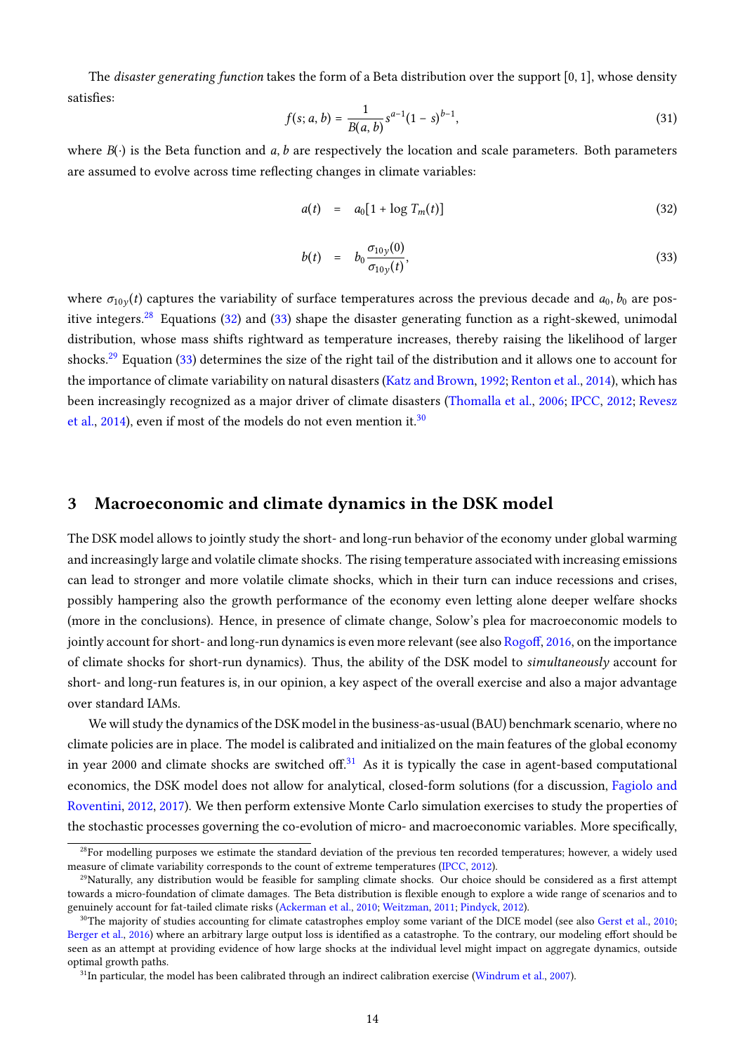The *disaster generating function* takes the form of a Beta distribution over the support  $[0, 1]$ , whose density satisfies:

$$
f(s; a, b) = \frac{1}{B(a, b)} s^{a-1} (1 - s)^{b-1},
$$
\n(31)

where  $B(\cdot)$  is the Beta function and a, b are respectively the location and scale parameters. Both parameters are assumed to evolve across time reflecting changes in climate variables:

<span id="page-15-1"></span>
$$
a(t) = a_0[1 + \log T_m(t)] \tag{32}
$$

$$
b(t) = b_0 \frac{\sigma_{10y}(0)}{\sigma_{10y}(t)},
$$
\n(33)

where  $\sigma_{10y}(t)$  captures the variability of surface temperatures across the previous decade and  $a_0$ ,  $b_0$  are pos-itive integers.<sup>[28](#page-2-0)</sup> Equations [\(32\)](#page-15-1) and [\(33\)](#page-15-1) shape the disaster generating function as a right-skewed, unimodal distribution, whose mass shifts rightward as temperature increases, thereby raising the likelihood of larger shocks.[29](#page-2-0) Equation [\(33\)](#page-15-1) determines the size of the right tail of the distribution and it allows one to account for the importance of climate variability on natural disasters [\(Katz and Brown,](#page-31-8) [1992;](#page-31-8) [Renton et al.,](#page-32-13) [2014\)](#page-32-13), which has been increasingly recognized as a major driver of climate disasters [\(Thomalla et al.,](#page-34-7) [2006;](#page-34-7) [IPCC,](#page-31-9) [2012;](#page-31-9) [Revesz](#page-33-4) [et al.,](#page-33-4) [2014\)](#page-33-4), even if most of the models do not even mention it.<sup>[30](#page-2-0)</sup>

### <span id="page-15-0"></span>3 Macroeconomic and climate dynamics in the DSK model

The DSK model allows to jointly study the short- and long-run behavior of the economy under global warming and increasingly large and volatile climate shocks. The rising temperature associated with increasing emissions can lead to stronger and more volatile climate shocks, which in their turn can induce recessions and crises, possibly hampering also the growth performance of the economy even letting alone deeper welfare shocks (more in the conclusions). Hence, in presence of climate change, Solow's plea for macroeconomic models to jointly account for short- and long-run dynamics is even more relevant (see also Rogoff, [2016,](#page-33-17) on the importance of climate shocks for short-run dynamics). Thus, the ability of the DSK model to simultaneously account for short- and long-run features is, in our opinion, a key aspect of the overall exercise and also a major advantage over standard IAMs.

We will study the dynamics of the DSK model in the business-as-usual (BAU) benchmark scenario, where no climate policies are in place. The model is calibrated and initialized on the main features of the global economy in year 2000 and climate shocks are switched off.<sup>[31](#page-2-0)</sup> As it is typically the case in agent-based computational economics, the DSK model does not allow for analytical, closed-form solutions (for a discussion, [Fagiolo and](#page-29-1) [Roventini,](#page-29-1) [2012,](#page-29-1) [2017\)](#page-29-2). We then perform extensive Monte Carlo simulation exercises to study the properties of the stochastic processes governing the co-evolution of micro- and macroeconomic variables. More specifically,

 $28$ For modelling purposes we estimate the standard deviation of the previous ten recorded temperatures; however, a widely used measure of climate variability corresponds to the count of extreme temperatures [\(IPCC,](#page-31-9) [2012\)](#page-31-9).

 $29$ Naturally, any distribution would be feasible for sampling climate shocks. Our choice should be considered as a first attempt towards a micro-foundation of climate damages. The Beta distribution is flexible enough to explore a wide range of scenarios and to genuinely account for fat-tailed climate risks [\(Ackerman et al.,](#page-27-8) [2010;](#page-27-8) [Weitzman,](#page-34-8) [2011;](#page-34-8) [Pindyck,](#page-32-14) [2012\)](#page-32-14).

 $30$ The majority of studies accounting for climate catastrophes employ some variant of the DICE model (see also [Gerst et al.,](#page-30-15) [2010;](#page-30-15) [Berger et al.,](#page-27-9) [2016\)](#page-27-9) where an arbitrary large output loss is identified as a catastrophe. To the contrary, our modeling effort should be seen as an attempt at providing evidence of how large shocks at the individual level might impact on aggregate dynamics, outside optimal growth paths.

 $31$ In particular, the model has been calibrated through an indirect calibration exercise [\(Windrum et al.,](#page-34-9) [2007\)](#page-34-9).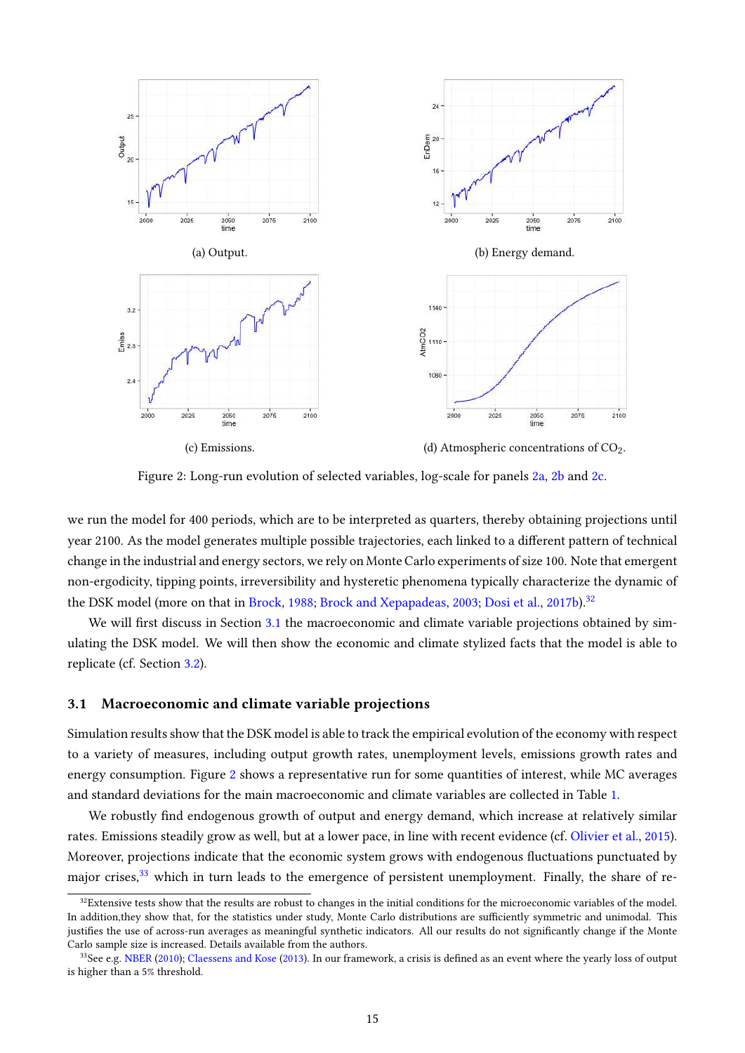<span id="page-16-0"></span>

Figure 2: Long-run evolution of selected variables, log-scale for panels [2a,](#page-16-0) [2b](#page-16-0) and [2c.](#page-16-0)

we run the model for 400 periods, which are to be interpreted as quarters, thereby obtaining projections until year 2100. As the model generates multiple possible trajectories, each linked to a different pattern of technical change in the industrial and energy sectors, we rely on Monte Carlo experiments of size 100. Note that emergent non-ergodicity, tipping points, irreversibility and hysteretic phenomena typically characterize the dynamic of the DSK model (more on that in [Brock,](#page-28-12) [1988;](#page-28-12) [Brock and Xepapadeas,](#page-28-13) [2003;](#page-28-13) [Dosi et al.,](#page-29-14) [2017b\)](#page-29-14).<sup>[32](#page-2-0)</sup>

We will first discuss in Section [3.1](#page-16-1) the macroeconomic and climate variable projections obtained by simulating the DSK model. We will then show the economic and climate stylized facts that the model is able to replicate (cf. Section [3.2\)](#page-17-0).

#### <span id="page-16-1"></span>3.1 Macroeconomic and climate variable projections

Simulation results show that the DSK model is able to track the empirical evolution of the economy with respect to a variety of measures, including output growth rates, unemployment levels, emissions growth rates and energy consumption. Figure [2](#page-16-0) shows a representative run for some quantities of interest, while MC averages and standard deviations for the main macroeconomic and climate variables are collected in Table [1.](#page-17-1)

We robustly find endogenous growth of output and energy demand, which increase at relatively similar rates. Emissions steadily grow as well, but at a lower pace, in line with recent evidence (cf. [Olivier et al.,](#page-32-15) [2015\)](#page-32-15). Moreover, projections indicate that the economic system grows with endogenous fluctuations punctuated by maior crises,<sup>[33](#page-2-0)</sup> which in turn leads to the emergence of persistent unemployment. Finally, the share of re-

 $32$ Extensive tests show that the results are robust to changes in the initial conditions for the microeconomic variables of the model. In addition,they show that, for the statistics under study, Monte Carlo distributions are sufficiently symmetric and unimodal. This justifies the use of across-run averages as meaningful synthetic indicators. All our results do not significantly change if the Monte Carlo sample size is increased. Details available from the authors.

<sup>&</sup>lt;sup>33</sup>See e.g. [NBER](#page-32-16) [\(2010\)](#page-32-16); [Claessens and Kose](#page-28-14) [\(2013\)](#page-28-14). In our framework, a crisis is defined as an event where the yearly loss of output is higher than a 5% threshold.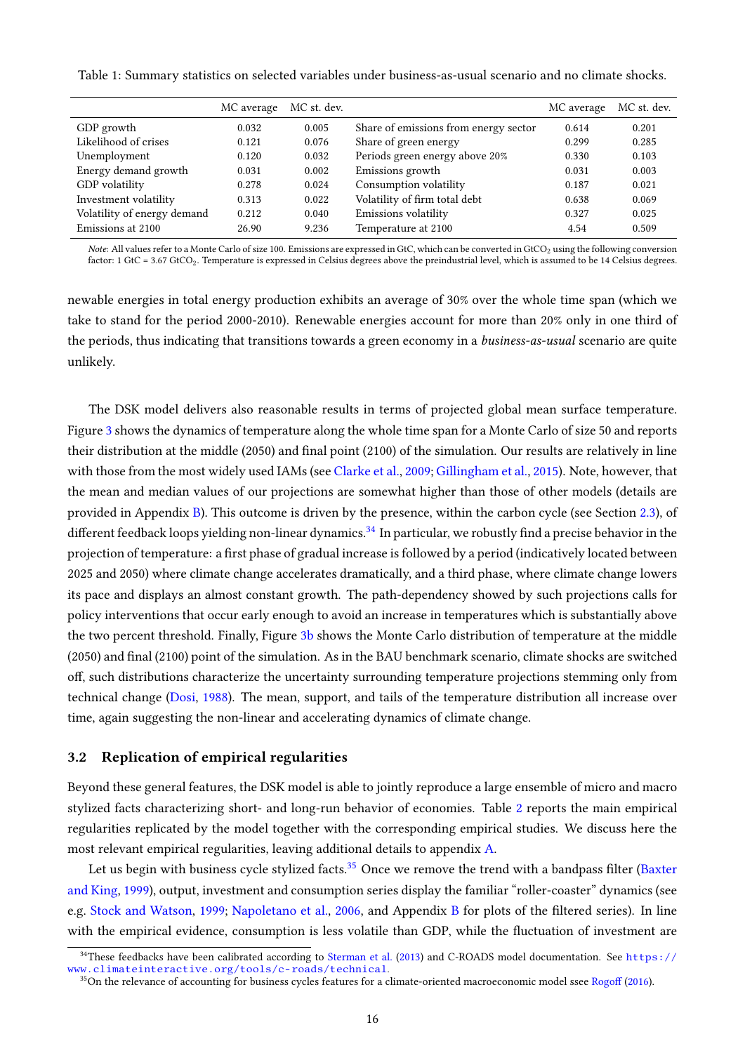<span id="page-17-1"></span>Table 1: Summary statistics on selected variables under business-as-usual scenario and no climate shocks.

|                             | MC average | MC st. dev. |                                       | MC average | MC st. dev. |
|-----------------------------|------------|-------------|---------------------------------------|------------|-------------|
| GDP growth                  | 0.032      | 0.005       | Share of emissions from energy sector | 0.614      | 0.201       |
| Likelihood of crises        | 0.121      | 0.076       | Share of green energy                 | 0.299      | 0.285       |
| Unemployment                | 0.120      | 0.032       | Periods green energy above 20%        | 0.330      | 0.103       |
| Energy demand growth        | 0.031      | 0.002       | Emissions growth                      | 0.031      | 0.003       |
| GDP volatility              | 0.278      | 0.024       | Consumption volatility                | 0.187      | 0.021       |
| Investment volatility       | 0.313      | 0.022       | Volatility of firm total debt         | 0.638      | 0.069       |
| Volatility of energy demand | 0.212      | 0.040       | Emissions volatility                  | 0.327      | 0.025       |
| Emissions at 2100           | 26.90      | 9.236       | Temperature at 2100                   | 4.54       | 0.509       |

Note: All values refer to a Monte Carlo of size 100. Emissions are expressed in GtC, which can be converted in GtCO<sub>2</sub> using the following conversion factor: 1 GtC = 3.67 GtCO<sub>2</sub>. Temperature is expressed in Celsius degrees above the preindustrial level, which is assumed to be 14 Celsius degrees.

newable energies in total energy production exhibits an average of 30% over the whole time span (which we take to stand for the period 2000-2010). Renewable energies account for more than 20% only in one third of the periods, thus indicating that transitions towards a green economy in a *business-as-usual* scenario are quite unlikely.

The DSK model delivers also reasonable results in terms of projected global mean surface temperature. Figure [3](#page-18-1) shows the dynamics of temperature along the whole time span for a Monte Carlo of size 50 and reports their distribution at the middle  $(2050)$  and final point  $(2100)$  of the simulation. Our results are relatively in line with those from the most widely used IAMs (see [Clarke et al.,](#page-28-3) [2009;](#page-28-3) [Gillingham et al.,](#page-30-16) [2015\)](#page-30-16). Note, however, that the mean and median values of our projections are somewhat higher than those of other models (details are provided in Appendix [B\)](#page-36-0). This outcome is driven by the presence, within the carbon cycle (see Section [2.3\)](#page-11-1), of different feedback loops yielding non-linear dynamics.<sup>[34](#page-2-0)</sup> In particular, we robustly find a precise behavior in the projection of temperature: a first phase of gradual increase is followed by a period (indicatively located between 2025 and 2050) where climate change accelerates dramatically, and a third phase, where climate change lowers its pace and displays an almost constant growth. The path-dependency showed by such projections calls for policy interventions that occur early enough to avoid an increase in temperatures which is substantially above the two percent threshold. Finally, Figure [3b](#page-18-1) shows the Monte Carlo distribution of temperature at the middle (2050) and final (2100) point of the simulation. As in the BAU benchmark scenario, climate shocks are switched off, such distributions characterize the uncertainty surrounding temperature projections stemming only from technical change [\(Dosi,](#page-29-9) [1988\)](#page-29-9). The mean, support, and tails of the temperature distribution all increase over time, again suggesting the non-linear and accelerating dynamics of climate change.

#### <span id="page-17-0"></span>3.2 Replication of empirical regularities

Beyond these general features, the DSK model is able to jointly reproduce a large ensemble of micro and macro stylized facts characterizing short- and long-run behavior of economies. Table [2](#page-19-0) reports the main empirical regularities replicated by the model together with the corresponding empirical studies. We discuss here the most relevant empirical regularities, leaving additional details to appendix [A.](#page-35-0)

Let us begin with business cycle stylized facts.<sup>[35](#page-2-0)</sup> Once we remove the trend with a bandpass filter [\(Baxter](#page-27-10) [and King,](#page-27-10) [1999\)](#page-27-10), output, investment and consumption series display the familiar "roller-coaster" dynamics (see e.g. [Stock and Watson,](#page-33-18) [1999;](#page-33-18) [Napoletano et al.,](#page-32-17) [2006,](#page-32-17) and Appendix [B](#page-36-0) for plots of the filtered series). In line with the empirical evidence, consumption is less volatile than GDP, while the fluctuation of investment are

 $34$ These feedbacks have been calibrated according to [Sterman et al.](#page-33-8) [\(2013\)](#page-33-8) and C-ROADS model documentation. See [https://](https://www.climateinteractive.org/tools/c-roads/technical) [www.climateinteractive.org/tools/c-roads/technical](https://www.climateinteractive.org/tools/c-roads/technical).

<sup>&</sup>lt;sup>35</sup>On the relevance of accounting for business cycles features for a climate-oriented macroeconomic model ssee [Rogo](#page-33-17)ff [\(2016\)](#page-33-17).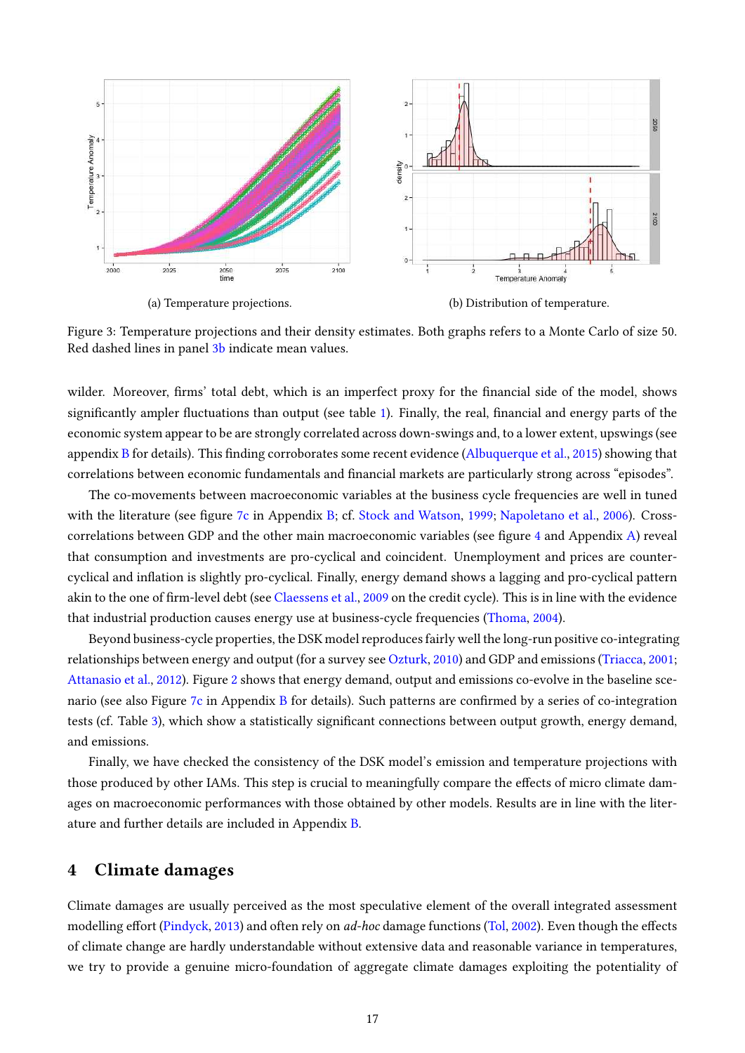<span id="page-18-1"></span>

(a) Temperature projections. (b) Distribution of temperature.

Figure 3: Temperature projections and their density estimates. Both graphs refers to a Monte Carlo of size 50. Red dashed lines in panel [3b](#page-18-1) indicate mean values.

wilder. Moreover, firms' total debt, which is an imperfect proxy for the financial side of the model, shows significantly ampler fluctuations than output (see table [1\)](#page-17-1). Finally, the real, financial and energy parts of the economic system appear to be are strongly correlated across down-swings and, to a lower extent, upswings (see appendix [B](#page-36-0) for details). This finding corroborates some recent evidence [\(Albuquerque et al.,](#page-27-11) [2015\)](#page-27-11) showing that correlations between economic fundamentals and financial markets are particularly strong across "episodes".

The co-movements between macroeconomic variables at the business cycle frequencies are well in tuned with the literature (see figure [7c](#page-38-0) in Appendix [B;](#page-36-0) cf. [Stock and Watson,](#page-33-18) [1999;](#page-33-18) [Napoletano et al.,](#page-32-17) [2006\)](#page-32-17). Cross-correlations between GDP and the other main macroeconomic variables (see figure [4](#page-19-1) and Appendix [A\)](#page-35-0) reveal that consumption and investments are pro-cyclical and coincident. Unemployment and prices are countercyclical and inflation is slightly pro-cyclical. Finally, energy demand shows a lagging and pro-cyclical pattern akin to the one of firm-level debt (see [Claessens et al.,](#page-28-15) [2009](#page-28-15) on the credit cycle). This is in line with the evidence that industrial production causes energy use at business-cycle frequencies [\(Thoma,](#page-33-19) [2004\)](#page-33-19).

Beyond business-cycle properties, the DSK model reproduces fairly well the long-run positive co-integrating relationships between energy and output (for a survey see [Ozturk,](#page-32-18) [2010\)](#page-32-18) and GDP and emissions [\(Triacca,](#page-34-10) [2001;](#page-34-10) [Attanasio et al.,](#page-27-12) [2012\)](#page-27-12). Figure [2](#page-16-0) shows that energy demand, output and emissions co-evolve in the baseline sce-nario (see also Figure [7c](#page-38-0) in Appendix [B](#page-36-0) for details). Such patterns are confirmed by a series of co-integration tests (cf. Table [3\)](#page-20-0), which show a statistically significant connections between output growth, energy demand, and emissions.

Finally, we have checked the consistency of the DSK model's emission and temperature projections with those produced by other IAMs. This step is crucial to meaningfully compare the effects of micro climate damages on macroeconomic performances with those obtained by other models. Results are in line with the literature and further details are included in Appendix [B.](#page-36-0)

# <span id="page-18-0"></span>4 Climate damages

Climate damages are usually perceived as the most speculative element of the overall integrated assessment modelling effort [\(Pindyck,](#page-32-2) [2013\)](#page-32-2) and often rely on *ad-hoc* damage functions [\(Tol,](#page-34-6) [2002\)](#page-34-6). Even though the effects of climate change are hardly understandable without extensive data and reasonable variance in temperatures, we try to provide a genuine micro-foundation of aggregate climate damages exploiting the potentiality of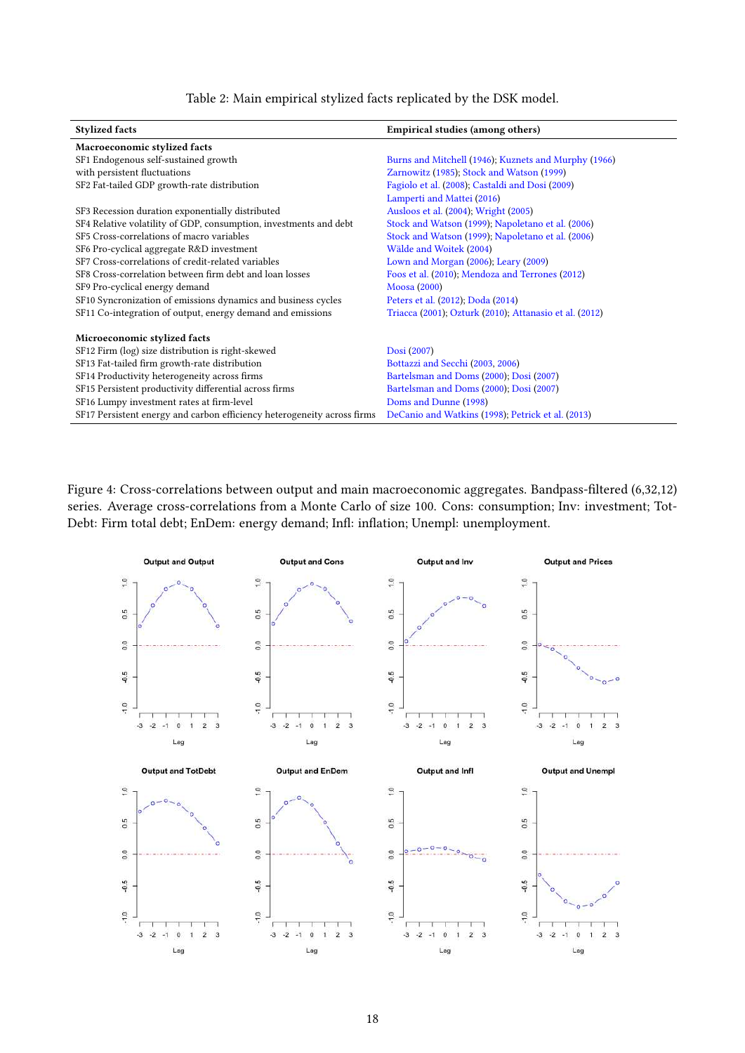Table 2: Main empirical stylized facts replicated by the DSK model.

<span id="page-19-0"></span>

| <b>Stylized facts</b>                                                   | <b>Empirical studies (among others)</b>                |
|-------------------------------------------------------------------------|--------------------------------------------------------|
| Macroeconomic stylized facts                                            |                                                        |
| SF1 Endogenous self-sustained growth                                    | Burns and Mitchell (1946); Kuznets and Murphy (1966)   |
| with persistent fluctuations                                            | Zarnowitz (1985); Stock and Watson (1999)              |
| SF2 Fat-tailed GDP growth-rate distribution                             | Fagiolo et al. (2008); Castaldi and Dosi (2009)        |
|                                                                         | Lamperti and Mattei (2016)                             |
| SF3 Recession duration exponentially distributed                        | Ausloos et al. (2004); Wright (2005)                   |
| SF4 Relative volatility of GDP, consumption, investments and debt       | Stock and Watson (1999); Napoletano et al. (2006)      |
| SF5 Cross-correlations of macro variables                               | Stock and Watson (1999); Napoletano et al. (2006)      |
| SF6 Pro-cyclical aggregate R&D investment                               | Wälde and Woitek (2004)                                |
| SF7 Cross-correlations of credit-related variables                      | Lown and Morgan (2006); Leary (2009)                   |
| SF8 Cross-correlation between firm debt and loan losses                 | Foos et al. (2010); Mendoza and Terrones (2012)        |
| SF9 Pro-cyclical energy demand                                          | Moosa (2000)                                           |
| SF10 Syncronization of emissions dynamics and business cycles           | Peters et al. (2012); Doda (2014)                      |
| SF11 Co-integration of output, energy demand and emissions              | Triacca (2001); Ozturk (2010); Attanasio et al. (2012) |
| Microeconomic stylized facts                                            |                                                        |
| SF12 Firm (log) size distribution is right-skewed                       | Dosi (2007)                                            |
| SF13 Fat-tailed firm growth-rate distribution                           | Bottazzi and Secchi (2003, 2006)                       |
| SF14 Productivity heterogeneity across firms                            | Bartelsman and Doms (2000); Dosi (2007)                |
| SF15 Persistent productivity differential across firms                  | Bartelsman and Doms (2000); Dosi (2007)                |
| SF16 Lumpy investment rates at firm-level                               | Doms and Dunne (1998)                                  |
| SF17 Persistent energy and carbon efficiency heterogeneity across firms | DeCanio and Watkins (1998); Petrick et al. (2013)      |

<span id="page-19-1"></span>Figure 4: Cross-correlations between output and main macroeconomic aggregates. Bandpass-filtered (6,32,12) series. Average cross-correlations from a Monte Carlo of size 100. Cons: consumption; Inv: investment; Tot-Debt: Firm total debt; EnDem: energy demand; Infl: inflation; Unempl: unemployment.

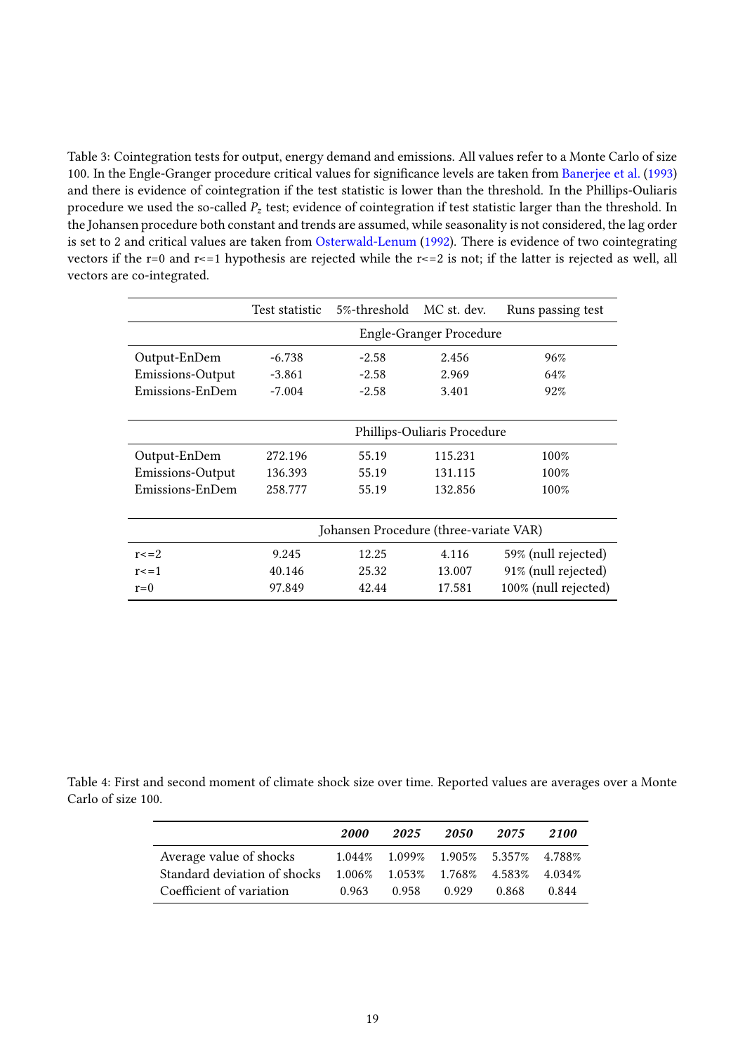<span id="page-20-0"></span>Table 3: Cointegration tests for output, energy demand and emissions. All values refer to a Monte Carlo of size 100. In the Engle-Granger procedure critical values for significance levels are taken from [Banerjee et al.](#page-27-17) [\(1993\)](#page-27-17) and there is evidence of cointegration if the test statistic is lower than the threshold. In the Phillips-Ouliaris procedure we used the so-called  $P_z$  test; evidence of cointegration if test statistic larger than the threshold. In the Johansen procedure both constant and trends are assumed, while seasonality is not considered, the lag order is set to 2 and critical values are taken from [Osterwald-Lenum](#page-32-23) [\(1992\)](#page-32-23). There is evidence of two cointegrating vectors if the r=0 and r<=1 hypothesis are rejected while the r<=2 is not; if the latter is rejected as well, all vectors are co-integrated.

|                  | Test statistic                         | 5%-threshold MC st. dev. |         | Runs passing test    |  |  |
|------------------|----------------------------------------|--------------------------|---------|----------------------|--|--|
|                  | <b>Engle-Granger Procedure</b>         |                          |         |                      |  |  |
| Output-EnDem     | $-6.738$                               | $-2.58$                  | 2.456   | 96%                  |  |  |
| Emissions-Output | -3.861                                 | $-2.58$                  | 2.969   | 64%                  |  |  |
| Emissions-EnDem  | $-7.004$                               | $-2.58$                  | 3.401   | 92%                  |  |  |
|                  |                                        |                          |         |                      |  |  |
|                  | Phillips-Ouliaris Procedure            |                          |         |                      |  |  |
| Output-EnDem     | 272.196                                | 55.19                    | 115.231 | 100%                 |  |  |
| Emissions-Output | 136.393                                | 55.19                    | 131.115 | 100%                 |  |  |
| Emissions-EnDem  | 258.777                                | 55.19                    | 132.856 | 100%                 |  |  |
|                  |                                        |                          |         |                      |  |  |
|                  | Johansen Procedure (three-variate VAR) |                          |         |                      |  |  |
| $r = 2$          | 9.245                                  | 12.25                    | 4.116   | 59% (null rejected)  |  |  |
| $r \leq 1$       | 40.146                                 | 25.32                    | 13.007  | 91% (null rejected)  |  |  |
| $r=0$            | 97.849                                 | 42.44                    | 17.581  | 100% (null rejected) |  |  |

<span id="page-20-1"></span>Table 4: First and second moment of climate shock size over time. Reported values are averages over a Monte Carlo of size 100.

|                              | 2000  | 2025  | 2050                                              | 2075  | 2100   |
|------------------------------|-------|-------|---------------------------------------------------|-------|--------|
| Average value of shocks      |       |       | $1.044\%$ $1.099\%$ $1.905\%$ $5.357\%$ $4.788\%$ |       |        |
| Standard deviation of shocks |       |       | $1.006\%$ $1.053\%$ $1.768\%$ $4.583\%$           |       | 4.034% |
| Coefficient of variation     | 0.963 | 0.958 | 0.929                                             | 0.868 | 0.844  |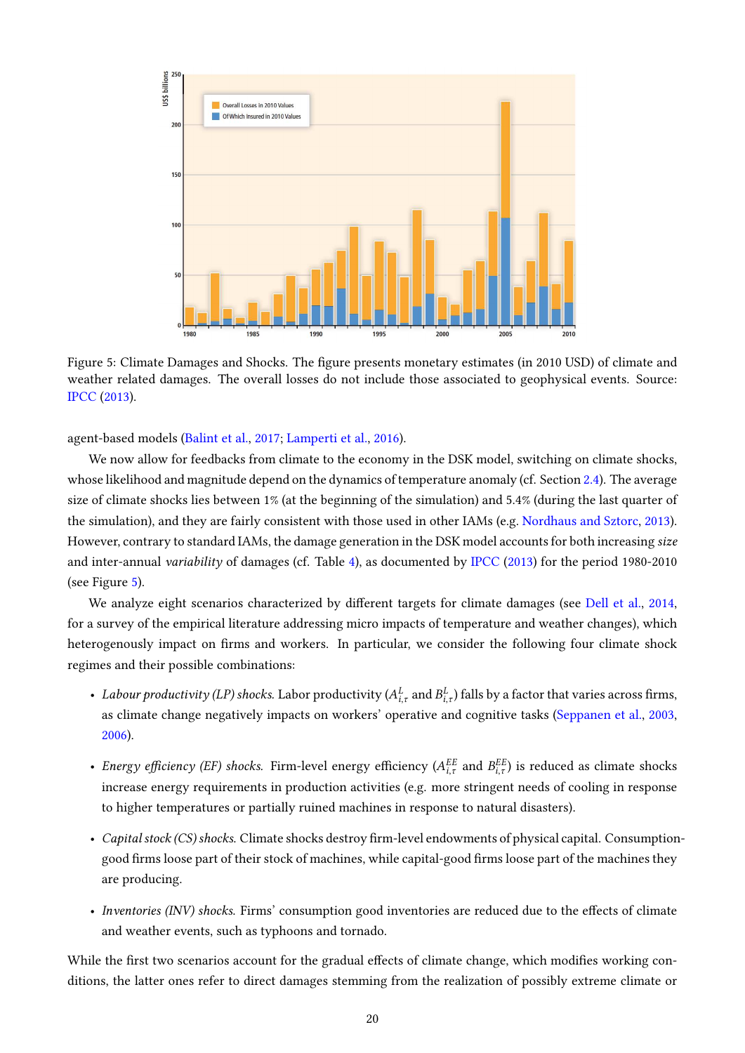<span id="page-21-0"></span>

Figure 5: Climate Damages and Shocks. The figure presents monetary estimates (in 2010 USD) of climate and weather related damages. The overall losses do not include those associated to geophysical events. Source: [IPCC](#page-31-3) [\(2013\)](#page-31-3).

agent-based models [\(Balint et al.,](#page-27-1) [2017;](#page-27-1) [Lamperti et al.,](#page-31-14) [2016\)](#page-31-14).

We now allow for feedbacks from climate to the economy in the DSK model, switching on climate shocks, whose likelihood and magnitude depend on the dynamics of temperature anomaly (cf. Section [2.4\)](#page-14-0). The average size of climate shocks lies between 1% (at the beginning of the simulation) and 5.4% (during the last quarter of the simulation), and they are fairly consistent with those used in other IAMs (e.g. [Nordhaus and Sztorc,](#page-32-24) [2013\)](#page-32-24). However, contrary to standard IAMs, the damage generation in the DSK model accounts for both increasing size and inter-annual variability of damages (cf. Table [4\)](#page-20-1), as documented by [IPCC](#page-31-3) [\(2013\)](#page-31-3) for the period 1980-2010 (see Figure [5\)](#page-21-0).

We analyze eight scenarios characterized by different targets for climate damages (see [Dell et al.,](#page-28-20) [2014,](#page-28-20) for a survey of the empirical literature addressing micro impacts of temperature and weather changes), which heterogenously impact on firms and workers. In particular, we consider the following four climate shock regimes and their possible combinations:

- Labour productivity (LP) shocks. Labor productivity ( $A_{i,\tau}^L$  and  $B_{i,\tau}^L$ ) falls by a factor that varies across firms, as climate change negatively impacts on workers' operative and cognitive tasks [\(Seppanen et al.,](#page-33-20) [2003,](#page-33-20) [2006\)](#page-33-21).
- Energy efficiency (EF) shocks. Firm-level energy efficiency ( $A_{i,\tau}^{EE}$  and  $B_{i,\tau}^{EE}$ ) is reduced as climate shocks increase energy requirements in production activities (e.g. more stringent needs of cooling in response to higher temperatures or partially ruined machines in response to natural disasters).
- Capital stock (CS) shocks. Climate shocks destroy firm-level endowments of physical capital. Consumptiongood firms loose part of their stock of machines, while capital-good firms loose part of the machines they are producing.
- Inventories (INV) shocks. Firms' consumption good inventories are reduced due to the effects of climate and weather events, such as typhoons and tornado.

While the first two scenarios account for the gradual effects of climate change, which modifies working conditions, the latter ones refer to direct damages stemming from the realization of possibly extreme climate or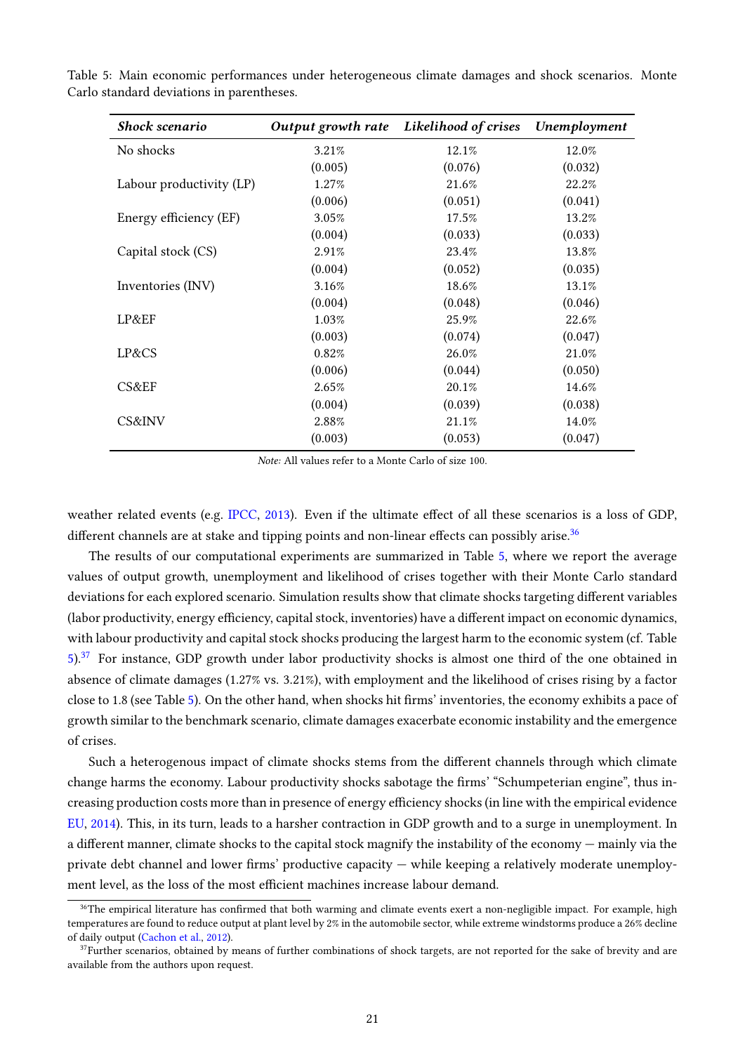| <b>Shock scenario</b>    | Output growth rate | Likelihood of crises | Unemployment |
|--------------------------|--------------------|----------------------|--------------|
| No shocks                | 3.21%              | 12.1%                | 12.0%        |
|                          | (0.005)            | (0.076)              | (0.032)      |
| Labour productivity (LP) | 1.27%              | 21.6%                | 22.2%        |
|                          | (0.006)            | (0.051)              | (0.041)      |
| Energy efficiency (EF)   | 3.05%              | 17.5%                | 13.2%        |
|                          | (0.004)            | (0.033)              | (0.033)      |
| Capital stock (CS)       | 2.91%              | 23.4%                | 13.8%        |
|                          | (0.004)            | (0.052)              | (0.035)      |
| Inventories (INV)        | 3.16%              | 18.6%                | 13.1%        |
|                          | (0.004)            | (0.048)              | (0.046)      |
| LP&EF                    | 1.03%              | 25.9%                | 22.6%        |
|                          | (0.003)            | (0.074)              | (0.047)      |
| LP&CS                    | 0.82%              | 26.0%                | 21.0%        |
|                          | (0.006)            | (0.044)              | (0.050)      |
| CS&EF                    | 2.65%              | 20.1%                | 14.6%        |
|                          | (0.004)            | (0.039)              | (0.038)      |
| CS&INV                   | 2.88%              | 21.1%                | 14.0%        |
|                          | (0.003)            | (0.053)              | (0.047)      |

<span id="page-22-0"></span>Table 5: Main economic performances under heterogeneous climate damages and shock scenarios. Monte Carlo standard deviations in parentheses.

Note: All values refer to a Monte Carlo of size 100.

weather related events (e.g. [IPCC,](#page-31-3) [2013\)](#page-31-3). Even if the ultimate effect of all these scenarios is a loss of GDP, different channels are at stake and tipping points and non-linear effects can possibly arise.<sup>[36](#page-2-0)</sup>

The results of our computational experiments are summarized in Table [5,](#page-22-0) where we report the average values of output growth, unemployment and likelihood of crises together with their Monte Carlo standard deviations for each explored scenario. Simulation results show that climate shocks targeting different variables (labor productivity, energy efficiency, capital stock, inventories) have a different impact on economic dynamics, with labour productivity and capital stock shocks producing the largest harm to the economic system (cf. Table  $5$ ).<sup>[37](#page-2-0)</sup> For instance, GDP growth under labor productivity shocks is almost one third of the one obtained in absence of climate damages (1.27% vs. 3.21%), with employment and the likelihood of crises rising by a factor close to 1.8 (see Table [5\)](#page-22-0). On the other hand, when shocks hit firms' inventories, the economy exhibits a pace of growth similar to the benchmark scenario, climate damages exacerbate economic instability and the emergence of crises.

Such a heterogenous impact of climate shocks stems from the different channels through which climate change harms the economy. Labour productivity shocks sabotage the firms' "Schumpeterian engine", thus increasing production costs more than in presence of energy efficiency shocks (in line with the empirical evidence [EU,](#page-29-18) [2014\)](#page-29-18). This, in its turn, leads to a harsher contraction in GDP growth and to a surge in unemployment. In a different manner, climate shocks to the capital stock magnify the instability of the economy — mainly via the private debt channel and lower firms' productive capacity  $-$  while keeping a relatively moderate unemployment level, as the loss of the most efficient machines increase labour demand.

<sup>&</sup>lt;sup>36</sup>The empirical literature has confirmed that both warming and climate events exert a non-negligible impact. For example, high temperatures are found to reduce output at plant level by 2% in the automobile sector, while extreme windstorms produce a 26% decline of daily output [\(Cachon et al.,](#page-28-21) [2012\)](#page-28-21).

 $37$ Further scenarios, obtained by means of further combinations of shock targets, are not reported for the sake of brevity and are available from the authors upon request.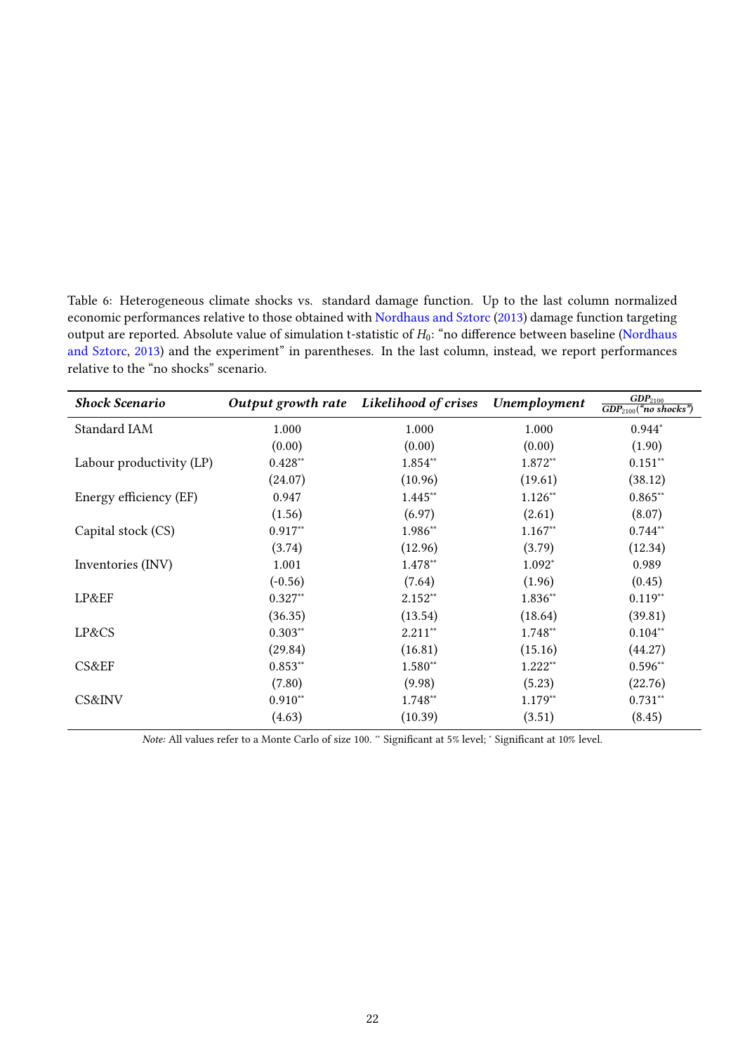<span id="page-23-0"></span>Table 6: Heterogeneous climate shocks vs. standard damage function. Up to the last column normalized economic performances relative to those obtained with [Nordhaus and Sztorc](#page-32-24) [\(2013\)](#page-32-24) damage function targeting output are reported. Absolute value of simulation t-statistic of  $H_0$ : "no difference between baseline [\(Nordhaus](#page-32-24) [and Sztorc,](#page-32-24) [2013\)](#page-32-24) and the experiment" in parentheses. In the last column, instead, we report performances relative to the "no shocks" scenario.

| <b>Shock Scenario</b>    |           | Output growth rate Likelihood of crises | Unemployment | GDP <sub>2100</sub><br>$\overline{GDP_{2100}}$ ("no shocks") |
|--------------------------|-----------|-----------------------------------------|--------------|--------------------------------------------------------------|
| Standard IAM             | 1.000     | 1.000                                   | 1.000        | $0.944*$                                                     |
|                          | (0.00)    | (0.00)                                  | (0.00)       | (1.90)                                                       |
| Labour productivity (LP) | $0.428**$ | 1.854**                                 | 1.872**      | $0.151***$                                                   |
|                          | (24.07)   | (10.96)                                 | (19.61)      | (38.12)                                                      |
| Energy efficiency (EF)   | 0.947     | 1.445**                                 | $1.126**$    | $0.865**$                                                    |
|                          | (1.56)    | (6.97)                                  | (2.61)       | (8.07)                                                       |
| Capital stock (CS)       | $0.917**$ | 1.986**                                 | $1.167**$    | $0.744**$                                                    |
|                          | (3.74)    | (12.96)                                 | (3.79)       | (12.34)                                                      |
| Inventories (INV)        | 1.001     | 1.478**                                 | $1.092*$     | 0.989                                                        |
|                          | $(-0.56)$ | (7.64)                                  | (1.96)       | (0.45)                                                       |
| LP&EF                    | $0.327**$ | $2.152**$                               | 1.836**      | $0.119**$                                                    |
|                          | (36.35)   | (13.54)                                 | (18.64)      | (39.81)                                                      |
| LP&CS                    | $0.303**$ | $2.211**$                               | 1.748**      | $0.104**$                                                    |
|                          | (29.84)   | (16.81)                                 | (15.16)      | (44.27)                                                      |
| CS&EF                    | $0.853**$ | 1.580**                                 | $1.222**$    | $0.596**$                                                    |
|                          | (7.80)    | (9.98)                                  | (5.23)       | (22.76)                                                      |
| CS&INV                   | $0.910**$ | 1.748**                                 | $1.179**$    | $0.731***$                                                   |
|                          | (4.63)    | (10.39)                                 | (3.51)       | (8.45)                                                       |

Note: All values refer to a Monte Carlo of size 100. <sup>\*\*</sup> Significant at 5% level; <sup>\*</sup> Significant at 10% level.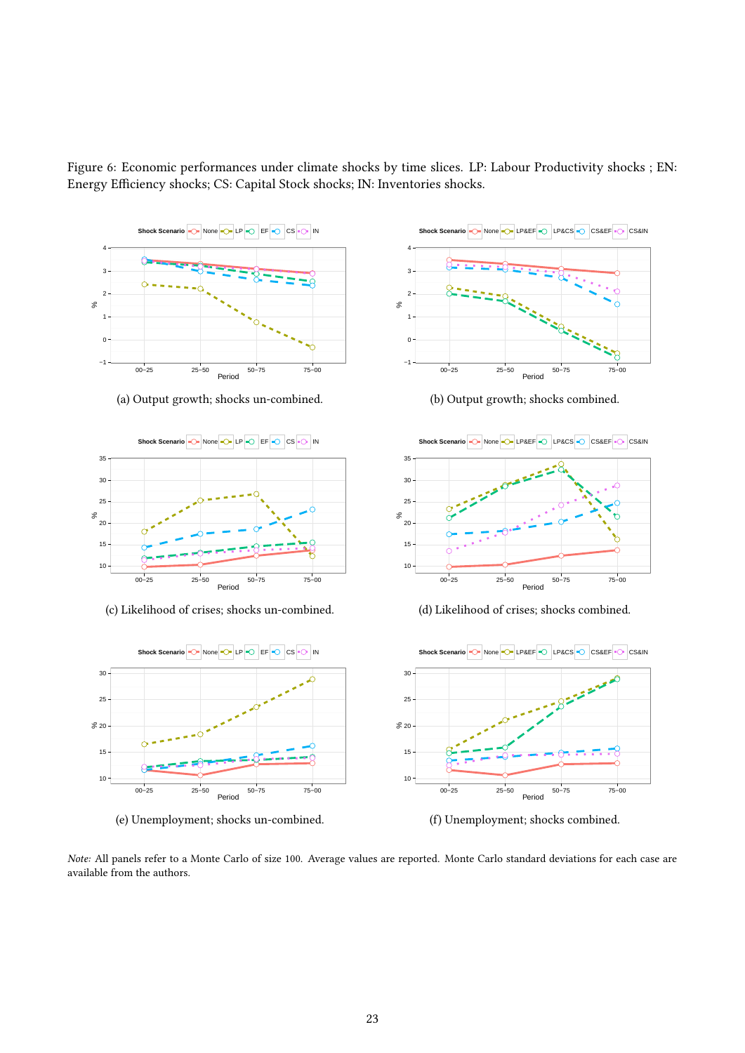<span id="page-24-0"></span>Figure 6: Economic performances under climate shocks by time slices. LP: Labour Productivity shocks ; EN: Energy Efficiency shocks; CS: Capital Stock shocks; IN: Inventories shocks.



(a) Output growth; shocks un-combined.



(c) Likelihood of crises; shocks un-combined.



(e) Unemployment; shocks un-combined.



(b) Output growth; shocks combined.



(d) Likelihood of crises; shocks combined.



(f) Unemployment; shocks combined.

Note: All panels refer to a Monte Carlo of size 100. Average values are reported. Monte Carlo standard deviations for each case are available from the authors.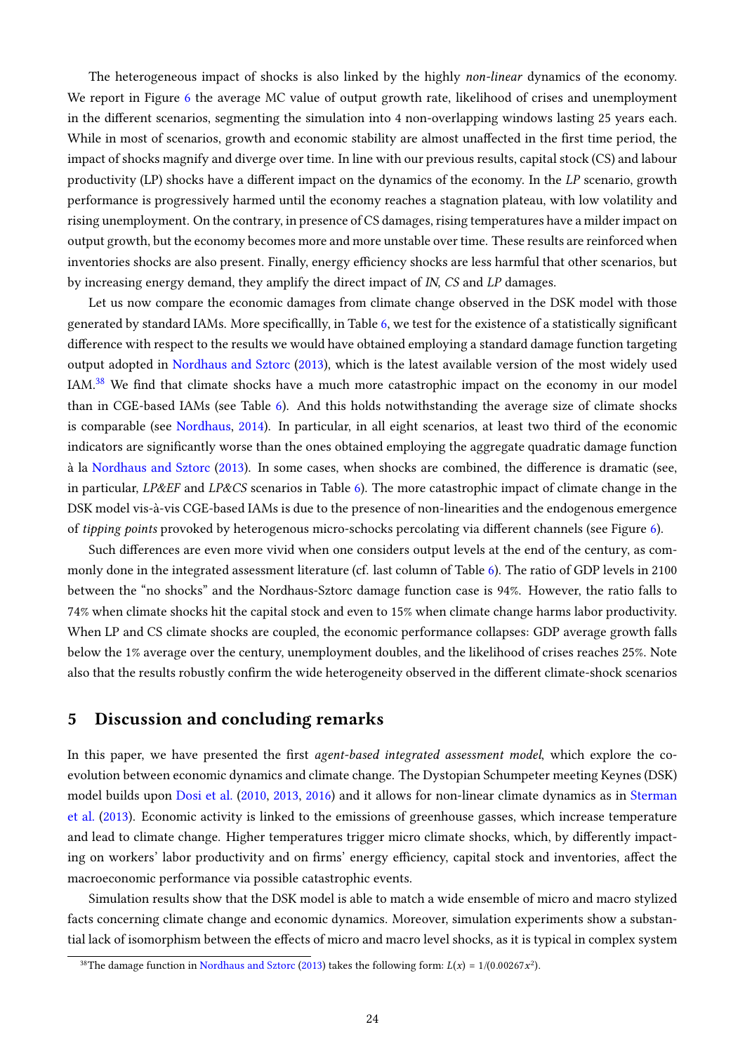The heterogeneous impact of shocks is also linked by the highly *non-linear* dynamics of the economy. We report in Figure [6](#page-24-0) the average MC value of output growth rate, likelihood of crises and unemployment in the different scenarios, segmenting the simulation into 4 non-overlapping windows lasting 25 years each. While in most of scenarios, growth and economic stability are almost unaffected in the first time period, the impact of shocks magnify and diverge over time. In line with our previous results, capital stock (CS) and labour productivity (LP) shocks have a different impact on the dynamics of the economy. In the  $LP$  scenario, growth performance is progressively harmed until the economy reaches a stagnation plateau, with low volatility and rising unemployment. On the contrary, in presence of CS damages, rising temperatures have a milder impact on output growth, but the economy becomes more and more unstable over time. These results are reinforced when inventories shocks are also present. Finally, energy efficiency shocks are less harmful that other scenarios, but by increasing energy demand, they amplify the direct impact of IN, CS and LP damages.

Let us now compare the economic damages from climate change observed in the DSK model with those generated by standard IAMs. More specificallly, in Table [6,](#page-23-0) we test for the existence of a statistically significant difference with respect to the results we would have obtained employing a standard damage function targeting output adopted in [Nordhaus and Sztorc](#page-32-24) [\(2013\)](#page-32-24), which is the latest available version of the most widely used IAM. $38$  We find that climate shocks have a much more catastrophic impact on the economy in our model than in CGE-based IAMs (see Table [6\)](#page-23-0). And this holds notwithstanding the average size of climate shocks is comparable (see [Nordhaus,](#page-32-0) [2014\)](#page-32-0). In particular, in all eight scenarios, at least two third of the economic indicators are signicantly worse than the ones obtained employing the aggregate quadratic damage function à la [Nordhaus and Sztorc](#page-32-24) [\(2013\)](#page-32-24). In some cases, when shocks are combined, the difference is dramatic (see, in particular, LP&EF and LP&CS scenarios in Table [6\)](#page-23-0). The more catastrophic impact of climate change in the DSK model vis-à-vis CGE-based IAMs is due to the presence of non-linearities and the endogenous emergence of *tipping points* provoked by heterogenous micro-schocks percolating via different channels (see Figure [6\)](#page-24-0).

Such differences are even more vivid when one considers output levels at the end of the century, as commonly done in the integrated assessment literature (cf. last column of Table [6\)](#page-23-0). The ratio of GDP levels in 2100 between the "no shocks" and the Nordhaus-Sztorc damage function case is 94%. However, the ratio falls to 74% when climate shocks hit the capital stock and even to 15% when climate change harms labor productivity. When LP and CS climate shocks are coupled, the economic performance collapses: GDP average growth falls below the 1% average over the century, unemployment doubles, and the likelihood of crises reaches 25%. Note also that the results robustly confirm the wide heterogeneity observed in the different climate-shock scenarios

# <span id="page-25-0"></span>5 Discussion and concluding remarks

In this paper, we have presented the first agent-based integrated assessment model, which explore the coevolution between economic dynamics and climate change. The Dystopian Schumpeter meeting Keynes (DSK) model builds upon [Dosi et al.](#page-29-6) [\(2010,](#page-29-6) [2013,](#page-29-7) [2016\)](#page-29-8) and it allows for non-linear climate dynamics as in [Sterman](#page-33-8) [et al.](#page-33-8) [\(2013\)](#page-33-8). Economic activity is linked to the emissions of greenhouse gasses, which increase temperature and lead to climate change. Higher temperatures trigger micro climate shocks, which, by differently impacting on workers' labor productivity and on firms' energy efficiency, capital stock and inventories, affect the macroeconomic performance via possible catastrophic events.

Simulation results show that the DSK model is able to match a wide ensemble of micro and macro stylized facts concerning climate change and economic dynamics. Moreover, simulation experiments show a substantial lack of isomorphism between the effects of micro and macro level shocks, as it is typical in complex system

<sup>&</sup>lt;sup>38</sup>The damage function in [Nordhaus and Sztorc](#page-32-24) [\(2013\)](#page-32-24) takes the following form:  $L(x) = 1/(0.00267x^2)$ .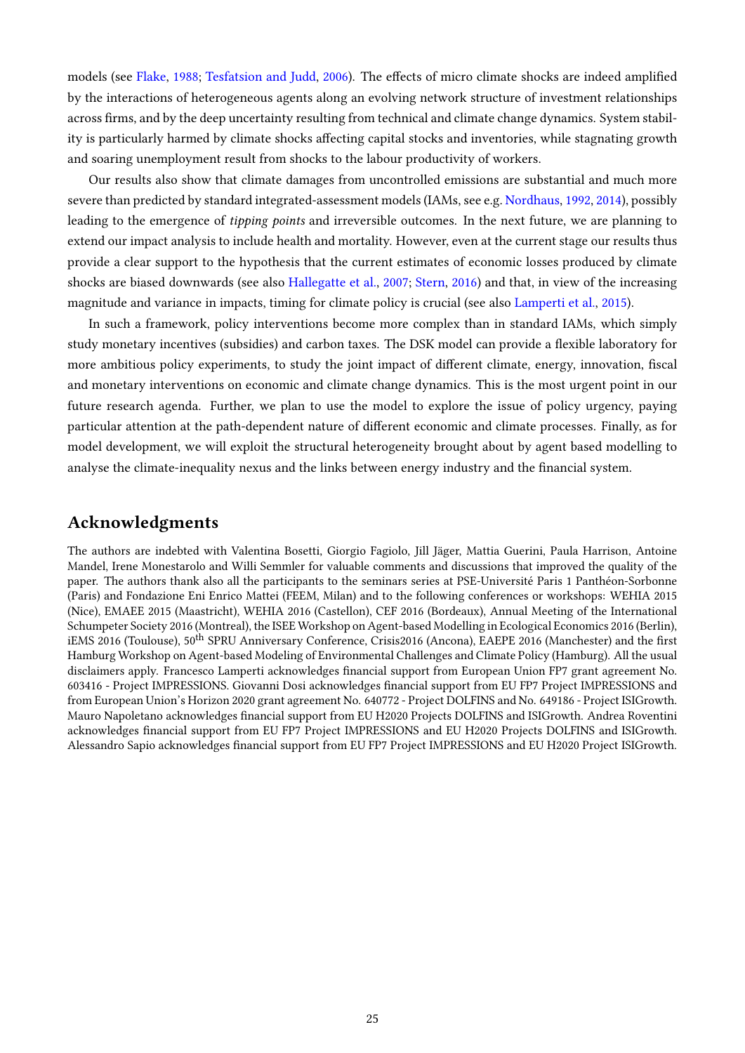models (see [Flake,](#page-30-18) [1988;](#page-30-18) [Tesfatsion and Judd,](#page-33-5) [2006\)](#page-33-5). The effects of micro climate shocks are indeed amplified by the interactions of heterogeneous agents along an evolving network structure of investment relationships across firms, and by the deep uncertainty resulting from technical and climate change dynamics. System stability is particularly harmed by climate shocks affecting capital stocks and inventories, while stagnating growth and soaring unemployment result from shocks to the labour productivity of workers.

Our results also show that climate damages from uncontrolled emissions are substantial and much more severe than predicted by standard integrated-assessment models (IAMs, see e.g. [Nordhaus,](#page-32-1) [1992,](#page-32-1) [2014\)](#page-32-0), possibly leading to the emergence of tipping points and irreversible outcomes. In the next future, we are planning to extend our impact analysis to include health and mortality. However, even at the current stage our results thus provide a clear support to the hypothesis that the current estimates of economic losses produced by climate shocks are biased downwards (see also [Hallegatte et al.,](#page-30-19) [2007;](#page-30-19) [Stern,](#page-33-3) [2016\)](#page-33-3) and that, in view of the increasing magnitude and variance in impacts, timing for climate policy is crucial (see also [Lamperti et al.,](#page-31-15) [2015\)](#page-31-15).

In such a framework, policy interventions become more complex than in standard IAMs, which simply study monetary incentives (subsidies) and carbon taxes. The DSK model can provide a flexible laboratory for more ambitious policy experiments, to study the joint impact of different climate, energy, innovation, fiscal and monetary interventions on economic and climate change dynamics. This is the most urgent point in our future research agenda. Further, we plan to use the model to explore the issue of policy urgency, paying particular attention at the path-dependent nature of different economic and climate processes. Finally, as for model development, we will exploit the structural heterogeneity brought about by agent based modelling to analyse the climate-inequality nexus and the links between energy industry and the financial system.

# Acknowledgments

The authors are indebted with Valentina Bosetti, Giorgio Fagiolo, Jill Jäger, Mattia Guerini, Paula Harrison, Antoine Mandel, Irene Monestarolo and Willi Semmler for valuable comments and discussions that improved the quality of the paper. The authors thank also all the participants to the seminars series at PSE-Université Paris 1 Panthéon-Sorbonne (Paris) and Fondazione Eni Enrico Mattei (FEEM, Milan) and to the following conferences or workshops: WEHIA 2015 (Nice), EMAEE 2015 (Maastricht), WEHIA 2016 (Castellon), CEF 2016 (Bordeaux), Annual Meeting of the International Schumpeter Society 2016 (Montreal), the ISEE Workshop on Agent-based Modelling in Ecological Economics 2016 (Berlin), iEMS 2016 (Toulouse), 50<sup>th</sup> SPRU Anniversary Conference, Crisis2016 (Ancona), EAEPE 2016 (Manchester) and the first Hamburg Workshop on Agent-based Modeling of Environmental Challenges and Climate Policy (Hamburg). All the usual disclaimers apply. Francesco Lamperti acknowledges financial support from European Union FP7 grant agreement No. 603416 - Project IMPRESSIONS. Giovanni Dosi acknowledges financial support from EU FP7 Project IMPRESSIONS and from European Union's Horizon 2020 grant agreement No. 640772 - Project DOLFINS and No. 649186 - Project ISIGrowth. Mauro Napoletano acknowledges financial support from EU H2020 Projects DOLFINS and ISIGrowth. Andrea Roventini acknowledges financial support from EU FP7 Project IMPRESSIONS and EU H2020 Projects DOLFINS and ISIGrowth. Alessandro Sapio acknowledges financial support from EU FP7 Project IMPRESSIONS and EU H2020 Project ISIGrowth.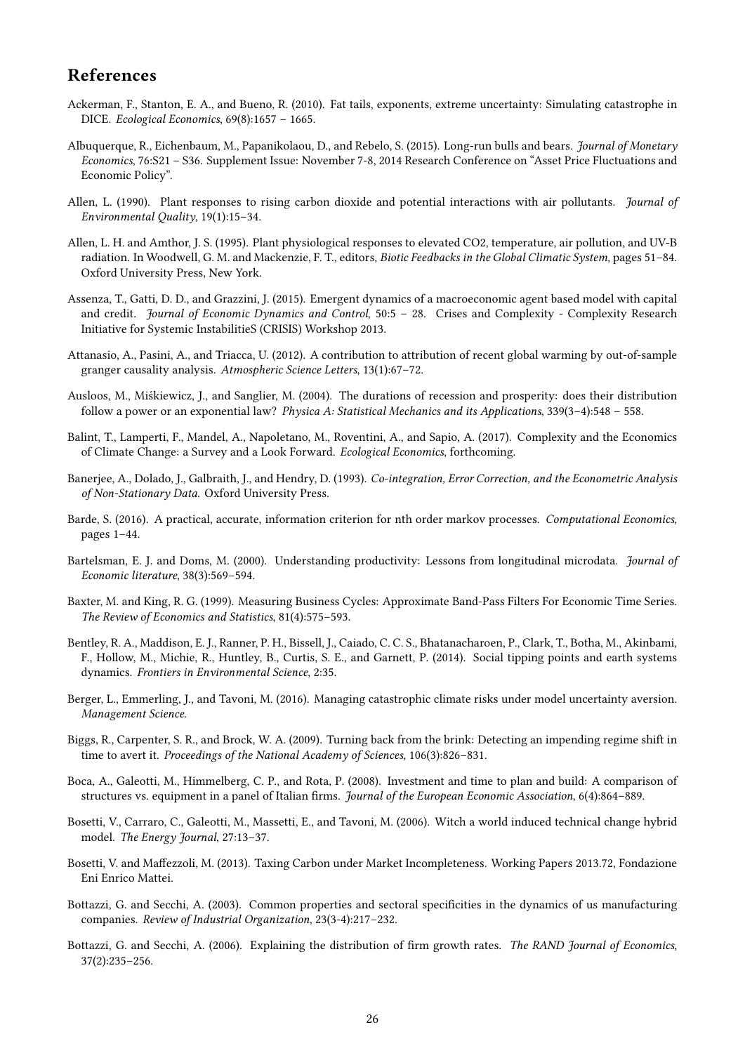# References

- <span id="page-27-8"></span>Ackerman, F., Stanton, E. A., and Bueno, R. (2010). Fat tails, exponents, extreme uncertainty: Simulating catastrophe in DICE. Ecological Economics, 69(8):1657 – 1665.
- <span id="page-27-11"></span>Albuquerque, R., Eichenbaum, M., Papanikolaou, D., and Rebelo, S. (2015). Long-run bulls and bears. Journal of Monetary Economics, 76:S21 – S36. Supplement Issue: November 7-8, 2014 Research Conference on "Asset Price Fluctuations and Economic Policy".
- <span id="page-27-6"></span>Allen, L. (1990). Plant responses to rising carbon dioxide and potential interactions with air pollutants. Journal of Environmental Quality, 19(1):15–34.
- <span id="page-27-7"></span>Allen, L. H. and Amthor, J. S. (1995). Plant physiological responses to elevated CO2, temperature, air pollution, and UV-B radiation. In Woodwell, G. M. and Mackenzie, F. T., editors, Biotic Feedbacks in the Global Climatic System, pages 51–84. Oxford University Press, New York.
- <span id="page-27-18"></span>Assenza, T., Gatti, D. D., and Grazzini, J. (2015). Emergent dynamics of a macroeconomic agent based model with capital and credit. Journal of Economic Dynamics and Control, 50:5 - 28. Crises and Complexity - Complexity Research Initiative for Systemic InstabilitieS (CRISIS) Workshop 2013.
- <span id="page-27-12"></span>Attanasio, A., Pasini, A., and Triacca, U. (2012). A contribution to attribution of recent global warming by out-of-sample granger causality analysis. Atmospheric Science Letters, 13(1):67–72.
- <span id="page-27-13"></span>Ausloos, M., Miśkiewicz, J., and Sanglier, M. (2004). The durations of recession and prosperity: does their distribution follow a power or an exponential law? Physica A: Statistical Mechanics and its Applications, 339(3–4):548 – 558.
- <span id="page-27-1"></span>Balint, T., Lamperti, F., Mandel, A., Napoletano, M., Roventini, A., and Sapio, A. (2017). Complexity and the Economics of Climate Change: a Survey and a Look Forward. Ecological Economics, forthcoming.
- <span id="page-27-17"></span>Banerjee, A., Dolado, J., Galbraith, J., and Hendry, D. (1993). Co-integration, Error Correction, and the Econometric Analysis of Non-Stationary Data. Oxford University Press.
- <span id="page-27-19"></span>Barde, S. (2016). A practical, accurate, information criterion for nth order markov processes. Computational Economics, pages 1–44.
- <span id="page-27-16"></span>Bartelsman, E. J. and Doms, M. (2000). Understanding productivity: Lessons from longitudinal microdata. Journal of Economic literature, 38(3):569–594.
- <span id="page-27-10"></span>Baxter, M. and King, R. G. (1999). Measuring Business Cycles: Approximate Band-Pass Filters For Economic Time Series. The Review of Economics and Statistics, 81(4):575–593.
- <span id="page-27-3"></span>Bentley, R. A., Maddison, E. J., Ranner, P. H., Bissell, J., Caiado, C. C. S., Bhatanacharoen, P., Clark, T., Botha, M., Akinbami, F., Hollow, M., Michie, R., Huntley, B., Curtis, S. E., and Garnett, P. (2014). Social tipping points and earth systems dynamics. Frontiers in Environmental Science, 2:35.
- <span id="page-27-9"></span>Berger, L., Emmerling, J., and Tavoni, M. (2016). Managing catastrophic climate risks under model uncertainty aversion. Management Science.
- <span id="page-27-2"></span>Biggs, R., Carpenter, S. R., and Brock, W. A. (2009). Turning back from the brink: Detecting an impending regime shift in time to avert it. Proceedings of the National Academy of Sciences, 106(3):826–831.
- <span id="page-27-5"></span>Boca, A., Galeotti, M., Himmelberg, C. P., and Rota, P. (2008). Investment and time to plan and build: A comparison of structures vs. equipment in a panel of Italian firms. Journal of the European Economic Association, 6(4):864–889.
- <span id="page-27-0"></span>Bosetti, V., Carraro, C., Galeotti, M., Massetti, E., and Tavoni, M. (2006). Witch a world induced technical change hybrid model. The Energy Journal, 27:13–37.
- <span id="page-27-4"></span>Bosetti, V. and Maffezzoli, M. (2013). Taxing Carbon under Market Incompleteness. Working Papers 2013.72, Fondazione Eni Enrico Mattei.
- <span id="page-27-14"></span>Bottazzi, G. and Secchi, A. (2003). Common properties and sectoral specificities in the dynamics of us manufacturing companies. Review of Industrial Organization, 23(3-4):217–232.
- <span id="page-27-15"></span>Bottazzi, G. and Secchi, A. (2006). Explaining the distribution of firm growth rates. The RAND Journal of Economics, 37(2):235–256.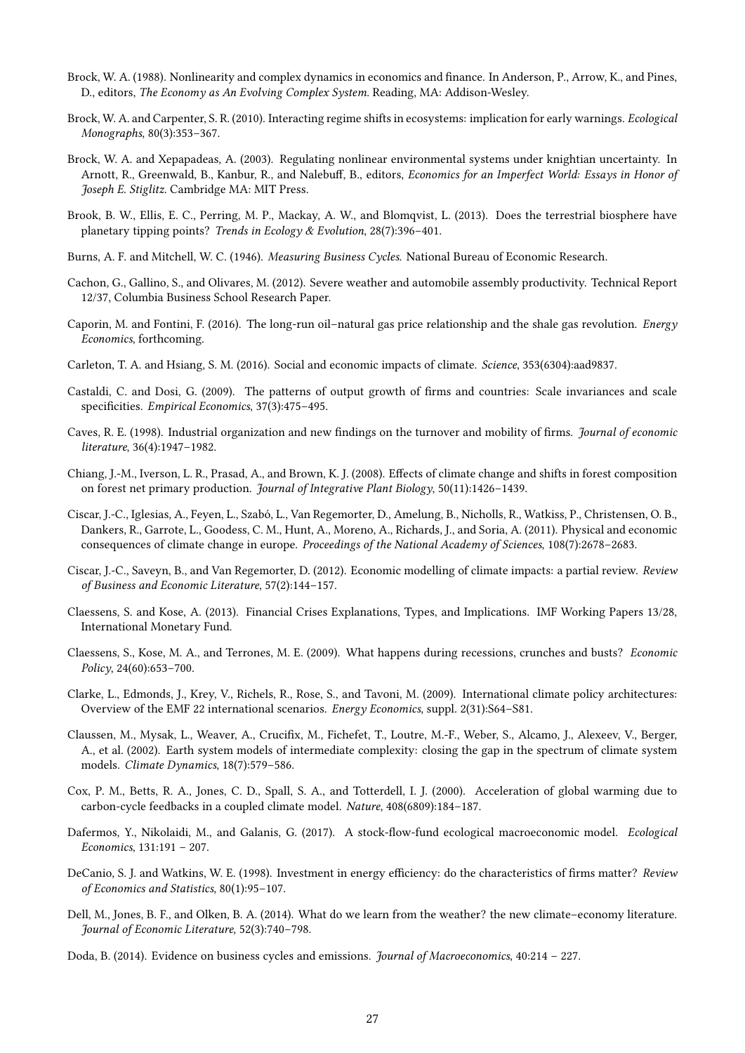- <span id="page-28-12"></span>Brock, W. A. (1988). Nonlinearity and complex dynamics in economics and finance. In Anderson, P., Arrow, K., and Pines, D., editors, The Economy as An Evolving Complex System. Reading, MA: Addison-Wesley.
- <span id="page-28-2"></span>Brock, W. A. and Carpenter, S. R. (2010). Interacting regime shifts in ecosystems: implication for early warnings. Ecological Monographs, 80(3):353–367.
- <span id="page-28-13"></span>Brock, W. A. and Xepapadeas, A. (2003). Regulating nonlinear environmental systems under knightian uncertainty. In Arnott, R., Greenwald, B., Kanbur, R., and Nalebuff, B., editors, Economics for an Imperfect World: Essays in Honor of Joseph E. Stiglitz. Cambridge MA: MIT Press.
- <span id="page-28-0"></span>Brook, B. W., Ellis, E. C., Perring, M. P., Mackay, A. W., and Blomqvist, L. (2013). Does the terrestrial biosphere have planetary tipping points? Trends in Ecology & Evolution, 28(7):396–401.
- <span id="page-28-16"></span>Burns, A. F. and Mitchell, W. C. (1946). Measuring Business Cycles. National Bureau of Economic Research.
- <span id="page-28-21"></span>Cachon, G., Gallino, S., and Olivares, M. (2012). Severe weather and automobile assembly productivity. Technical Report 12/37, Columbia Business School Research Paper.
- <span id="page-28-6"></span>Caporin, M. and Fontini, F. (2016). The long-run oil–natural gas price relationship and the shale gas revolution. Energy Economics, forthcoming.
- <span id="page-28-1"></span>Carleton, T. A. and Hsiang, S. M. (2016). Social and economic impacts of climate. Science, 353(6304):aad9837.
- <span id="page-28-17"></span>Castaldi, C. and Dosi, G. (2009). The patterns of output growth of firms and countries: Scale invariances and scale specificities. Empirical Economics, 37(3):475-495.
- <span id="page-28-5"></span>Caves, R. E. (1998). Industrial organization and new findings on the turnover and mobility of firms. *Journal of economic* literature, 36(4):1947–1982.
- <span id="page-28-9"></span>Chiang, J.-M., Iverson, L. R., Prasad, A., and Brown, K. J. (2008). Effects of climate change and shifts in forest composition on forest net primary production. Journal of Integrative Plant Biology, 50(11):1426–1439.
- <span id="page-28-10"></span>Ciscar, J.-C., Iglesias, A., Feyen, L., Szabó, L., Van Regemorter, D., Amelung, B., Nicholls, R., Watkiss, P., Christensen, O. B., Dankers, R., Garrote, L., Goodess, C. M., Hunt, A., Moreno, A., Richards, J., and Soria, A. (2011). Physical and economic consequences of climate change in europe. Proceedings of the National Academy of Sciences, 108(7):2678–2683.
- <span id="page-28-11"></span>Ciscar, J.-C., Saveyn, B., and Van Regemorter, D. (2012). Economic modelling of climate impacts: a partial review. Review of Business and Economic Literature, 57(2):144–157.
- <span id="page-28-14"></span>Claessens, S. and Kose, A. (2013). Financial Crises Explanations, Types, and Implications. IMF Working Papers 13/28, International Monetary Fund.
- <span id="page-28-15"></span>Claessens, S., Kose, M. A., and Terrones, M. E. (2009). What happens during recessions, crunches and busts? Economic Policy, 24(60):653–700.
- <span id="page-28-3"></span>Clarke, L., Edmonds, J., Krey, V., Richels, R., Rose, S., and Tavoni, M. (2009). International climate policy architectures: Overview of the EMF 22 international scenarios. Energy Economics, suppl. 2(31):S64–S81.
- <span id="page-28-8"></span>Claussen, M., Mysak, L., Weaver, A., Crucifix, M., Fichefet, T., Loutre, M.-F., Weber, S., Alcamo, J., Alexeev, V., Berger, A., et al. (2002). Earth system models of intermediate complexity: closing the gap in the spectrum of climate system models. Climate Dynamics, 18(7):579–586.
- <span id="page-28-7"></span>Cox, P. M., Betts, R. A., Jones, C. D., Spall, S. A., and Totterdell, I. J. (2000). Acceleration of global warming due to carbon-cycle feedbacks in a coupled climate model. Nature, 408(6809):184–187.
- <span id="page-28-4"></span>Dafermos, Y., Nikolaidi, M., and Galanis, G. (2017). A stock-flow-fund ecological macroeconomic model. Ecological Economics, 131:191 – 207.
- <span id="page-28-19"></span>DeCanio, S. J. and Watkins, W. E. (1998). Investment in energy efficiency: do the characteristics of firms matter? Review of Economics and Statistics, 80(1):95–107.
- <span id="page-28-20"></span>Dell, M., Jones, B. F., and Olken, B. A. (2014). What do we learn from the weather? the new climate–economy literature. Journal of Economic Literature, 52(3):740–798.
- <span id="page-28-18"></span>Doda, B. (2014). Evidence on business cycles and emissions. Journal of Macroeconomics, 40:214 – 227.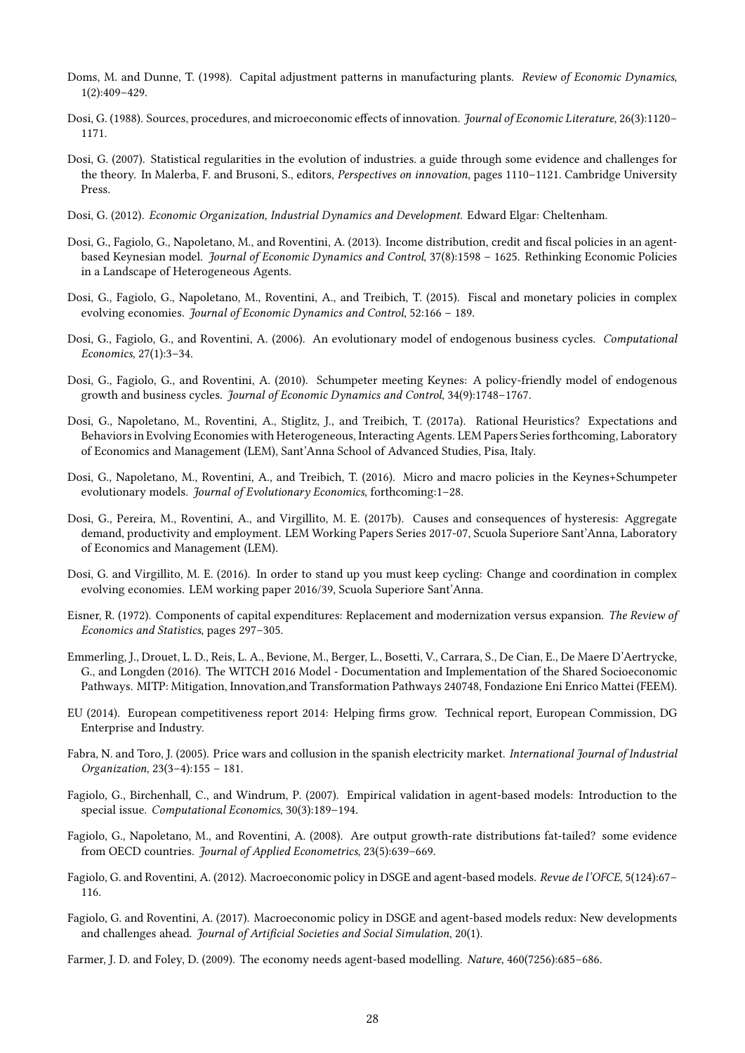- <span id="page-29-17"></span>Doms, M. and Dunne, T. (1998). Capital adjustment patterns in manufacturing plants. Review of Economic Dynamics, 1(2):409–429.
- <span id="page-29-9"></span>Dosi, G. (1988). Sources, procedures, and microeconomic effects of innovation. Journal of Economic Literature, 26(3):1120-1171.
- <span id="page-29-16"></span>Dosi, G. (2007). Statistical regularities in the evolution of industries. a guide through some evidence and challenges for the theory. In Malerba, F. and Brusoni, S., editors, Perspectives on innovation, pages 1110–1121. Cambridge University Press.
- <span id="page-29-4"></span>Dosi, G. (2012). Economic Organization, Industrial Dynamics and Development. Edward Elgar: Cheltenham.
- <span id="page-29-7"></span>Dosi, G., Fagiolo, G., Napoletano, M., and Roventini, A. (2013). Income distribution, credit and fiscal policies in an agentbased Keynesian model. Journal of Economic Dynamics and Control, 37(8):1598 – 1625. Rethinking Economic Policies in a Landscape of Heterogeneous Agents.
- <span id="page-29-20"></span>Dosi, G., Fagiolo, G., Napoletano, M., Roventini, A., and Treibich, T. (2015). Fiscal and monetary policies in complex evolving economies. Journal of Economic Dynamics and Control, 52:166 – 189.
- <span id="page-29-10"></span>Dosi, G., Fagiolo, G., and Roventini, A. (2006). An evolutionary model of endogenous business cycles. Computational Economics, 27(1):3–34.
- <span id="page-29-6"></span>Dosi, G., Fagiolo, G., and Roventini, A. (2010). Schumpeter meeting Keynes: A policy-friendly model of endogenous growth and business cycles. Journal of Economic Dynamics and Control, 34(9):1748–1767.
- <span id="page-29-11"></span>Dosi, G., Napoletano, M., Roventini, A., Stiglitz, J., and Treibich, T. (2017a). Rational Heuristics? Expectations and Behaviors in Evolving Economies with Heterogeneous, Interacting Agents. LEM Papers Series forthcoming, Laboratory of Economics and Management (LEM), Sant'Anna School of Advanced Studies, Pisa, Italy.
- <span id="page-29-8"></span>Dosi, G., Napoletano, M., Roventini, A., and Treibich, T. (2016). Micro and macro policies in the Keynes+Schumpeter evolutionary models. Journal of Evolutionary Economics, forthcoming:1–28.
- <span id="page-29-14"></span>Dosi, G., Pereira, M., Roventini, A., and Virgillito, M. E. (2017b). Causes and consequences of hysteresis: Aggregate demand, productivity and employment. LEM Working Papers Series 2017-07, Scuola Superiore Sant'Anna, Laboratory of Economics and Management (LEM).
- <span id="page-29-5"></span>Dosi, G. and Virgillito, M. E. (2016). In order to stand up you must keep cycling: Change and coordination in complex evolving economies. LEM working paper 2016/39, Scuola Superiore Sant'Anna.
- <span id="page-29-12"></span>Eisner, R. (1972). Components of capital expenditures: Replacement and modernization versus expansion. The Review of Economics and Statistics, pages 297–305.
- <span id="page-29-0"></span>Emmerling, J., Drouet, L. D., Reis, L. A., Bevione, M., Berger, L., Bosetti, V., Carrara, S., De Cian, E., De Maere D'Aertrycke, G., and Longden (2016). The WITCH 2016 Model - Documentation and Implementation of the Shared Socioeconomic Pathways. MITP: Mitigation, Innovation,and Transformation Pathways 240748, Fondazione Eni Enrico Mattei (FEEM).
- <span id="page-29-18"></span>EU (2014). European competitiveness report 2014: Helping firms grow. Technical report, European Commission, DG Enterprise and Industry.
- <span id="page-29-13"></span>Fabra, N. and Toro, J. (2005). Price wars and collusion in the spanish electricity market. *International Journal of Industrial* Organization, 23(3–4):155 – 181.
- <span id="page-29-19"></span>Fagiolo, G., Birchenhall, C., and Windrum, P. (2007). Empirical validation in agent-based models: Introduction to the special issue. Computational Economics, 30(3):189–194.
- <span id="page-29-15"></span>Fagiolo, G., Napoletano, M., and Roventini, A. (2008). Are output growth-rate distributions fat-tailed? some evidence from OECD countries. Journal of Applied Econometrics, 23(5):639–669.
- <span id="page-29-1"></span>Fagiolo, G. and Roventini, A. (2012). Macroeconomic policy in DSGE and agent-based models. Revue de l'OFCE, 5(124):67– 116.
- <span id="page-29-2"></span>Fagiolo, G. and Roventini, A. (2017). Macroeconomic policy in DSGE and agent-based models redux: New developments and challenges ahead. Journal of Artificial Societies and Social Simulation, 20(1).
- <span id="page-29-3"></span>Farmer, J. D. and Foley, D. (2009). The economy needs agent-based modelling. Nature, 460(7256):685–686.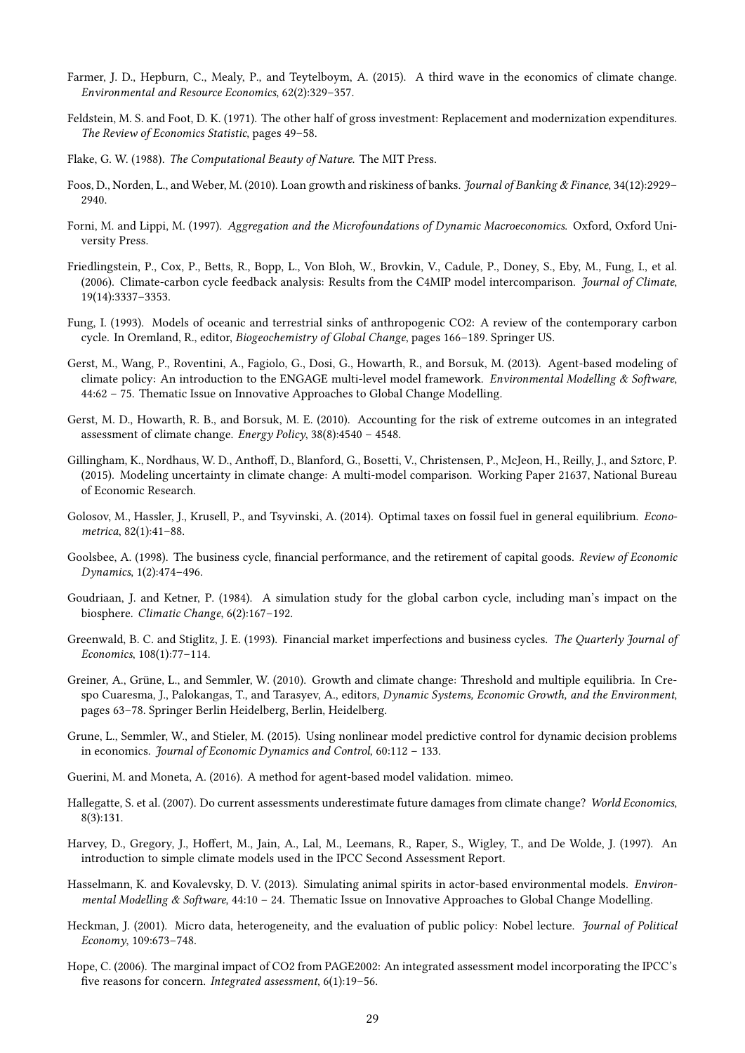- <span id="page-30-22"></span><span id="page-30-21"></span><span id="page-30-4"></span>Farmer, J. D., Hepburn, C., Mealy, P., and Teytelboym, A. (2015). A third wave in the economics of climate change. Environmental and Resource Economics, 62(2):329–357.
- <span id="page-30-10"></span>Feldstein, M. S. and Foot, D. K. (1971). The other half of gross investment: Replacement and modernization expenditures. The Review of Economics Statistic, pages 49–58.
- <span id="page-30-18"></span>Flake, G. W. (1988). The Computational Beauty of Nature. The MIT Press.
- <span id="page-30-17"></span>Foos, D., Norden, L., and Weber, M. (2010). Loan growth and riskiness of banks. Journal of Banking & Finance, 34(12):2929– 2940.
- <span id="page-30-5"></span>Forni, M. and Lippi, M. (1997). Aggregation and the Microfoundations of Dynamic Macroeconomics. Oxford, Oxford University Press.
- Friedlingstein, P., Cox, P., Betts, R., Bopp, L., Von Bloh, W., Brovkin, V., Cadule, P., Doney, S., Eby, M., Fung, I., et al. (2006). Climate-carbon cycle feedback analysis: Results from the C4MIP model intercomparison. Journal of Climate, 19(14):3337–3353.
- <span id="page-30-14"></span>Fung, I. (1993). Models of oceanic and terrestrial sinks of anthropogenic CO2: A review of the contemporary carbon cycle. In Oremland, R., editor, Biogeochemistry of Global Change, pages 166–189. Springer US.
- <span id="page-30-7"></span>Gerst, M., Wang, P., Roventini, A., Fagiolo, G., Dosi, G., Howarth, R., and Borsuk, M. (2013). Agent-based modeling of climate policy: An introduction to the ENGAGE multi-level model framework. Environmental Modelling & Software, 44:62 – 75. Thematic Issue on Innovative Approaches to Global Change Modelling.
- <span id="page-30-15"></span>Gerst, M. D., Howarth, R. B., and Borsuk, M. E. (2010). Accounting for the risk of extreme outcomes in an integrated assessment of climate change. Energy Policy, 38(8):4540 – 4548.
- <span id="page-30-16"></span>Gillingham, K., Nordhaus, W. D., Anthoff, D., Blanford, G., Bosetti, V., Christensen, P., McJeon, H., Reilly, J., and Sztorc, P. (2015). Modeling uncertainty in climate change: A multi-model comparison. Working Paper 21637, National Bureau of Economic Research.
- <span id="page-30-3"></span>Golosov, M., Hassler, J., Krusell, P., and Tsyvinski, A. (2014). Optimal taxes on fossil fuel in general equilibrium. Econometrica, 82(1):41–88.
- <span id="page-30-11"></span>Goolsbee, A. (1998). The business cycle, financial performance, and the retirement of capital goods. Review of Economic Dynamics, 1(2):474–496.
- <span id="page-30-12"></span>Goudriaan, J. and Ketner, P. (1984). A simulation study for the global carbon cycle, including man's impact on the biosphere. Climatic Change, 6(2):167–192.
- <span id="page-30-9"></span>Greenwald, B. C. and Stiglitz, J. E. (1993). Financial market imperfections and business cycles. The Quarterly Journal of Economics, 108(1):77–114.
- <span id="page-30-0"></span>Greiner, A., Grüne, L., and Semmler, W. (2010). Growth and climate change: Threshold and multiple equilibria. In Crespo Cuaresma, J., Palokangas, T., and Tarasyev, A., editors, Dynamic Systems, Economic Growth, and the Environment, pages 63–78. Springer Berlin Heidelberg, Berlin, Heidelberg.
- <span id="page-30-1"></span>Grune, L., Semmler, W., and Stieler, M. (2015). Using nonlinear model predictive control for dynamic decision problems in economics. Journal of Economic Dynamics and Control, 60:112 – 133.
- <span id="page-30-20"></span>Guerini, M. and Moneta, A. (2016). A method for agent-based model validation. mimeo.
- <span id="page-30-19"></span>Hallegatte, S. et al. (2007). Do current assessments underestimate future damages from climate change? World Economics, 8(3):131.
- <span id="page-30-13"></span>Harvey, D., Gregory, J., Hoffert, M., Jain, A., Lal, M., Leemans, R., Raper, S., Wigley, T., and De Wolde, J. (1997). An introduction to simple climate models used in the IPCC Second Assessment Report.
- <span id="page-30-8"></span>Hasselmann, K. and Kovalevsky, D. V. (2013). Simulating animal spirits in actor-based environmental models. Environmental Modelling & Software, 44:10 – 24. Thematic Issue on Innovative Approaches to Global Change Modelling.
- <span id="page-30-6"></span>Heckman, J. (2001). Micro data, heterogeneity, and the evaluation of public policy: Nobel lecture. *Journal of Political* Economy, 109:673–748.
- <span id="page-30-2"></span>Hope, C. (2006). The marginal impact of CO2 from PAGE2002: An integrated assessment model incorporating the IPCC's five reasons for concern. Integrated assessment,  $6(1):19-56$ .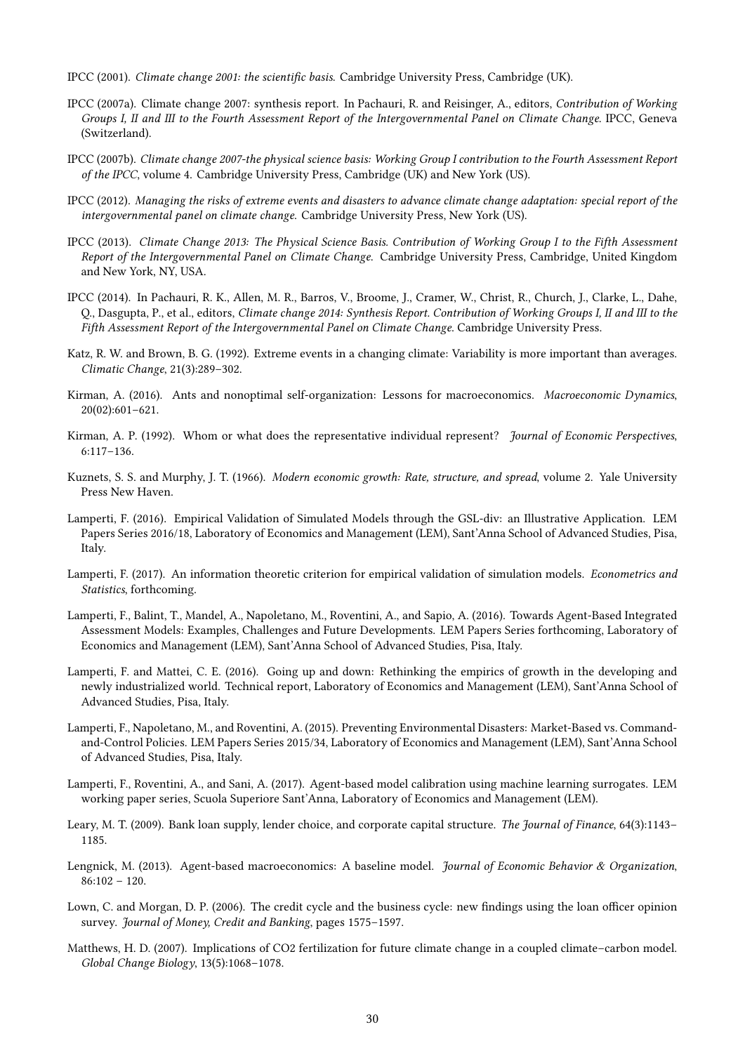- <span id="page-31-20"></span><span id="page-31-5"></span>IPCC (2001). Climate change 2001: the scientific basis. Cambridge University Press, Cambridge (UK).
- <span id="page-31-7"></span>IPCC (2007a). Climate change 2007: synthesis report. In Pachauri, R. and Reisinger, A., editors, Contribution of Working Groups I, II and III to the Fourth Assessment Report of the Intergovernmental Panel on Climate Change. IPCC, Geneva (Switzerland).
- <span id="page-31-6"></span>IPCC (2007b). Climate change 2007-the physical science basis: Working Group I contribution to the Fourth Assessment Report of the IPCC, volume 4. Cambridge University Press, Cambridge (UK) and New York (US).
- <span id="page-31-9"></span>IPCC (2012). Managing the risks of extreme events and disasters to advance climate change adaptation: special report of the intergovernmental panel on climate change. Cambridge University Press, New York (US).
- <span id="page-31-3"></span>IPCC (2013). Climate Change 2013: The Physical Science Basis. Contribution of Working Group I to the Fifth Assessment Report of the Intergovernmental Panel on Climate Change. Cambridge University Press, Cambridge, United Kingdom and New York, NY, USA.
- <span id="page-31-0"></span>IPCC (2014). In Pachauri, R. K., Allen, M. R., Barros, V., Broome, J., Cramer, W., Christ, R., Church, J., Clarke, L., Dahe, Q., Dasgupta, P., et al., editors, Climate change 2014: Synthesis Report. Contribution of Working Groups I, II and III to the Fifth Assessment Report of the Intergovernmental Panel on Climate Change. Cambridge University Press.
- <span id="page-31-8"></span>Katz, R. W. and Brown, B. G. (1992). Extreme events in a changing climate: Variability is more important than averages. Climatic Change, 21(3):289–302.
- <span id="page-31-2"></span>Kirman, A. (2016). Ants and nonoptimal self-organization: Lessons for macroeconomics. Macroeconomic Dynamics, 20(02):601–621.
- <span id="page-31-1"></span>Kirman, A. P. (1992). Whom or what does the representative individual represent? *Journal of Economic Perspectives*, 6:117–136.
- <span id="page-31-10"></span>Kuznets, S. S. and Murphy, J. T. (1966). Modern economic growth: Rate, structure, and spread, volume 2. Yale University Press New Haven.
- <span id="page-31-18"></span>Lamperti, F. (2016). Empirical Validation of Simulated Models through the GSL-div: an Illustrative Application. LEM Papers Series 2016/18, Laboratory of Economics and Management (LEM), Sant'Anna School of Advanced Studies, Pisa, Italy.
- <span id="page-31-17"></span>Lamperti, F. (2017). An information theoretic criterion for empirical validation of simulation models. Econometrics and Statistics, forthcoming.
- <span id="page-31-14"></span>Lamperti, F., Balint, T., Mandel, A., Napoletano, M., Roventini, A., and Sapio, A. (2016). Towards Agent-Based Integrated Assessment Models: Examples, Challenges and Future Developments. LEM Papers Series forthcoming, Laboratory of Economics and Management (LEM), Sant'Anna School of Advanced Studies, Pisa, Italy.
- <span id="page-31-11"></span>Lamperti, F. and Mattei, C. E. (2016). Going up and down: Rethinking the empirics of growth in the developing and newly industrialized world. Technical report, Laboratory of Economics and Management (LEM), Sant'Anna School of Advanced Studies, Pisa, Italy.
- <span id="page-31-15"></span>Lamperti, F., Napoletano, M., and Roventini, A. (2015). Preventing Environmental Disasters: Market-Based vs. Commandand-Control Policies. LEM Papers Series 2015/34, Laboratory of Economics and Management (LEM), Sant'Anna School of Advanced Studies, Pisa, Italy.
- <span id="page-31-19"></span>Lamperti, F., Roventini, A., and Sani, A. (2017). Agent-based model calibration using machine learning surrogates. LEM working paper series, Scuola Superiore Sant'Anna, Laboratory of Economics and Management (LEM).
- <span id="page-31-13"></span>Leary, M. T. (2009). Bank loan supply, lender choice, and corporate capital structure. The Journal of Finance, 64(3):1143– 1185.
- <span id="page-31-16"></span>Lengnick, M. (2013). Agent-based macroeconomics: A baseline model. Journal of Economic Behavior & Organization, 86:102 – 120.
- <span id="page-31-12"></span>Lown, C. and Morgan, D. P. (2006). The credit cycle and the business cycle: new findings using the loan officer opinion survey. Journal of Money, Credit and Banking, pages 1575–1597.
- <span id="page-31-4"></span>Matthews, H. D. (2007). Implications of CO2 fertilization for future climate change in a coupled climate–carbon model. Global Change Biology, 13(5):1068–1078.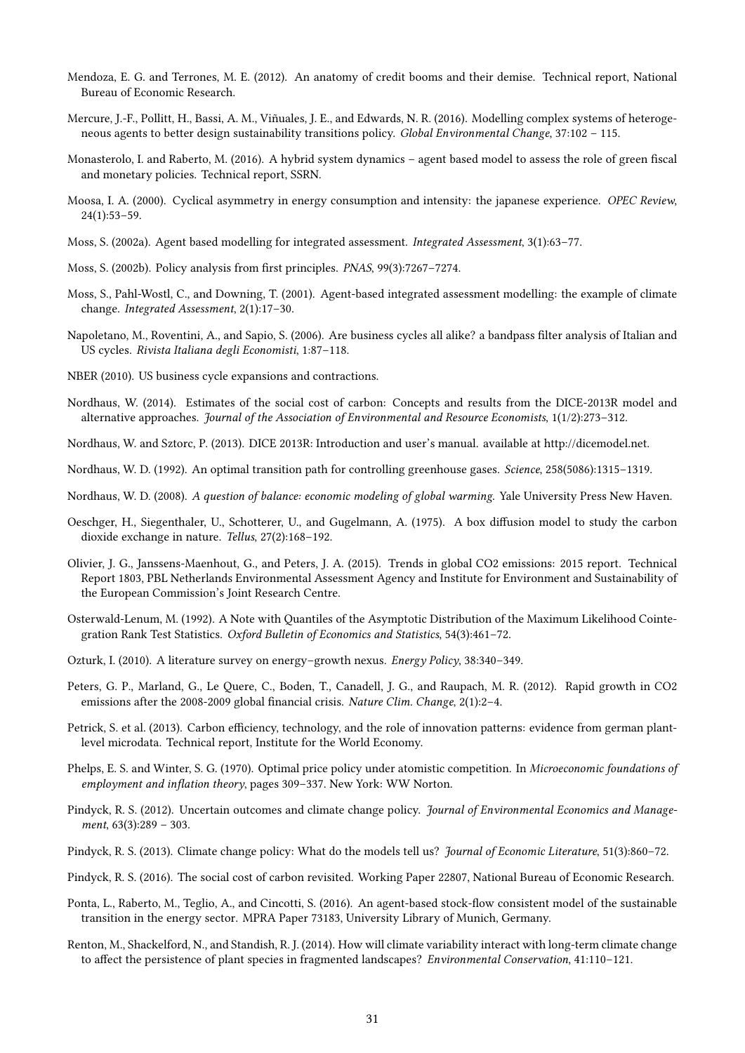- <span id="page-32-26"></span><span id="page-32-25"></span><span id="page-32-19"></span>Mendoza, E. G. and Terrones, M. E. (2012). An anatomy of credit booms and their demise. Technical report, National Bureau of Economic Research.
- <span id="page-32-4"></span>Mercure, J.-F., Pollitt, H., Bassi, A. M., Viñuales, J. E., and Edwards, N. R. (2016). Modelling complex systems of heterogeneous agents to better design sustainability transitions policy. Global Environmental Change, 37:102 – 115.
- <span id="page-32-9"></span>Monasterolo, I. and Raberto, M. (2016). A hybrid system dynamics – agent based model to assess the role of green fiscal and monetary policies. Technical report, SSRN.
- <span id="page-32-20"></span>Moosa, I. A. (2000). Cyclical asymmetry in energy consumption and intensity: the japanese experience. OPEC Review, 24(1):53–59.
- <span id="page-32-7"></span>Moss, S. (2002a). Agent based modelling for integrated assessment. Integrated Assessment, 3(1):63–77.
- <span id="page-32-8"></span>Moss, S. (2002b). Policy analysis from first principles. *PNAS*, 99(3):7267–7274.
- <span id="page-32-6"></span>Moss, S., Pahl-Wostl, C., and Downing, T. (2001). Agent-based integrated assessment modelling: the example of climate change. Integrated Assessment, 2(1):17–30.
- <span id="page-32-17"></span>Napoletano, M., Roventini, A., and Sapio, S. (2006). Are business cycles all alike? a bandpass filter analysis of Italian and US cycles. Rivista Italiana degli Economisti, 1:87–118.
- <span id="page-32-16"></span>NBER (2010). US business cycle expansions and contractions.
- <span id="page-32-0"></span>Nordhaus, W. (2014). Estimates of the social cost of carbon: Concepts and results from the DICE-2013R model and alternative approaches. Journal of the Association of Environmental and Resource Economists, 1(1/2):273–312.
- <span id="page-32-24"></span>Nordhaus, W. and Sztorc, P. (2013). DICE 2013R: Introduction and user's manual. available at http://dicemodel.net.
- <span id="page-32-1"></span>Nordhaus, W. D. (1992). An optimal transition path for controlling greenhouse gases. Science, 258(5086):1315–1319.
- <span id="page-32-12"></span>Nordhaus, W. D. (2008). A question of balance: economic modeling of global warming. Yale University Press New Haven.
- <span id="page-32-11"></span>Oeschger, H., Siegenthaler, U., Schotterer, U., and Gugelmann, A. (1975). A box diffusion model to study the carbon dioxide exchange in nature. Tellus, 27(2):168–192.
- <span id="page-32-15"></span>Olivier, J. G., Janssens-Maenhout, G., and Peters, J. A. (2015). Trends in global CO2 emissions: 2015 report. Technical Report 1803, PBL Netherlands Environmental Assessment Agency and Institute for Environment and Sustainability of the European Commission's Joint Research Centre.
- <span id="page-32-23"></span>Osterwald-Lenum, M. (1992). A Note with Quantiles of the Asymptotic Distribution of the Maximum Likelihood Cointegration Rank Test Statistics. Oxford Bulletin of Economics and Statistics, 54(3):461–72.
- <span id="page-32-18"></span>Ozturk, I. (2010). A literature survey on energy–growth nexus. Energy Policy, 38:340–349.
- <span id="page-32-21"></span>Peters, G. P., Marland, G., Le Quere, C., Boden, T., Canadell, J. G., and Raupach, M. R. (2012). Rapid growth in CO2 emissions after the 2008-2009 global financial crisis. Nature Clim. Change,  $2(1):2-4$ .
- <span id="page-32-22"></span>Petrick, S. et al. (2013). Carbon efficiency, technology, and the role of innovation patterns: evidence from german plantlevel microdata. Technical report, Institute for the World Economy.
- <span id="page-32-10"></span>Phelps, E. S. and Winter, S. G. (1970). Optimal price policy under atomistic competition. In Microeconomic foundations of employment and inflation theory, pages 309-337. New York: WW Norton.
- <span id="page-32-14"></span>Pindyck, R. S. (2012). Uncertain outcomes and climate change policy. Journal of Environmental Economics and Management, 63(3):289 – 303.
- <span id="page-32-2"></span>Pindyck, R. S. (2013). Climate change policy: What do the models tell us? *Journal of Economic Literature*, 51(3):860–72.
- <span id="page-32-3"></span>Pindyck, R. S. (2016). The social cost of carbon revisited. Working Paper 22807, National Bureau of Economic Research.
- <span id="page-32-5"></span>Ponta, L., Raberto, M., Teglio, A., and Cincotti, S. (2016). An agent-based stock-flow consistent model of the sustainable transition in the energy sector. MPRA Paper 73183, University Library of Munich, Germany.
- <span id="page-32-13"></span>Renton, M., Shackelford, N., and Standish, R. J. (2014). How will climate variability interact with long-term climate change to affect the persistence of plant species in fragmented landscapes? *Environmental Conservation*, 41:110-121.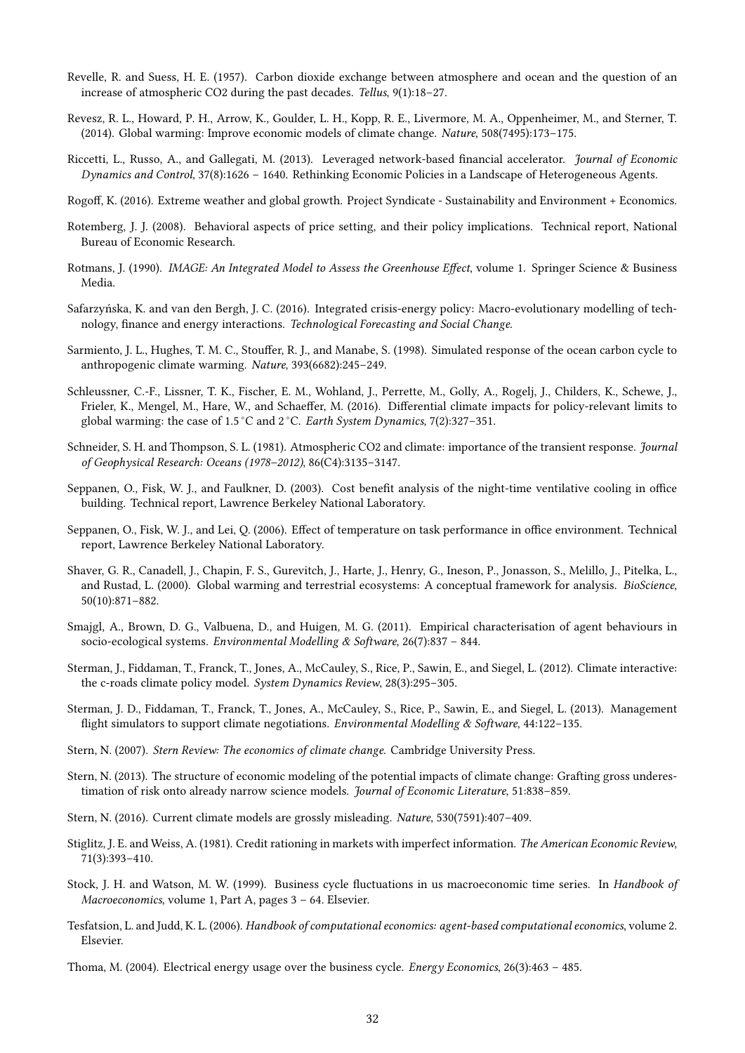- <span id="page-33-23"></span><span id="page-33-15"></span>Revelle, R. and Suess, H. E. (1957). Carbon dioxide exchange between atmosphere and ocean and the question of an increase of atmospheric CO2 during the past decades. Tellus, 9(1):18–27.
- <span id="page-33-4"></span>Revesz, R. L., Howard, P. H., Arrow, K., Goulder, L. H., Kopp, R. E., Livermore, M. A., Oppenheimer, M., and Sterner, T. (2014). Global warming: Improve economic models of climate change. Nature, 508(7495):173–175.
- <span id="page-33-22"></span>Riccetti, L., Russo, A., and Gallegati, M. (2013). Leveraged network-based financial accelerator. Journal of Economic Dynamics and Control, 37(8):1626 – 1640. Rethinking Economic Policies in a Landscape of Heterogeneous Agents.
- <span id="page-33-17"></span>Rogoff, K. (2016). Extreme weather and global growth. Project Syndicate - Sustainability and Environment + Economics.
- <span id="page-33-11"></span>Rotemberg, J. J. (2008). Behavioral aspects of price setting, and their policy implications. Technical report, National Bureau of Economic Research.
- <span id="page-33-12"></span>Rotmans, J. (1990). IMAGE: An Integrated Model to Assess the Greenhouse Effect, volume 1. Springer Science & Business Media.
- <span id="page-33-7"></span>Safarzyńska, K. and van den Bergh, J. C. (2016). Integrated crisis-energy policy: Macro-evolutionary modelling of technology, finance and energy interactions. Technological Forecasting and Social Change.
- <span id="page-33-13"></span>Sarmiento, J. L., Hughes, T. M. C., Stouffer, R. J., and Manabe, S. (1998). Simulated response of the ocean carbon cycle to anthropogenic climate warming. Nature, 393(6682):245–249.
- <span id="page-33-0"></span>Schleussner, C.-F., Lissner, T. K., Fischer, E. M., Wohland, J., Perrette, M., Golly, A., Rogelj, J., Childers, K., Schewe, J., Frieler, K., Mengel, M., Hare, W., and Schaeffer, M. (2016). Differential climate impacts for policy-relevant limits to global warming: the case of 1.5 °C and 2 °C. Earth System Dynamics, 7(2):327–351.
- <span id="page-33-16"></span>Schneider, S. H. and Thompson, S. L. (1981). Atmospheric CO2 and climate: importance of the transient response. Journal of Geophysical Research: Oceans (1978–2012), 86(C4):3135–3147.
- <span id="page-33-20"></span>Seppanen, O., Fisk, W. J., and Faulkner, D. (2003). Cost benefit analysis of the night-time ventilative cooling in office building. Technical report, Lawrence Berkeley National Laboratory.
- <span id="page-33-21"></span>Seppanen, O., Fisk, W. J., and Lei, Q. (2006). Effect of temperature on task performance in office environment. Technical report, Lawrence Berkeley National Laboratory.
- <span id="page-33-14"></span>Shaver, G. R., Canadell, J., Chapin, F. S., Gurevitch, J., Harte, J., Henry, G., Ineson, P., Jonasson, S., Melillo, J., Pitelka, L., and Rustad, L. (2000). Global warming and terrestrial ecosystems: A conceptual framework for analysis. BioScience, 50(10):871–882.
- <span id="page-33-6"></span>Smajgl, A., Brown, D. G., Valbuena, D., and Huigen, M. G. (2011). Empirical characterisation of agent behaviours in socio-ecological systems. Environmental Modelling & Software, 26(7):837 – 844.
- <span id="page-33-9"></span>Sterman, J., Fiddaman, T., Franck, T., Jones, A., McCauley, S., Rice, P., Sawin, E., and Siegel, L. (2012). Climate interactive: the c-roads climate policy model. System Dynamics Review, 28(3):295–305.
- <span id="page-33-8"></span>Sterman, J. D., Fiddaman, T., Franck, T., Jones, A., McCauley, S., Rice, P., Sawin, E., and Siegel, L. (2013). Management flight simulators to support climate negotiations. Environmental Modelling & Software,  $44:122-135$ .
- <span id="page-33-1"></span>Stern, N. (2007). Stern Review: The economics of climate change. Cambridge University Press.
- <span id="page-33-2"></span>Stern, N. (2013). The structure of economic modeling of the potential impacts of climate change: Grafting gross underestimation of risk onto already narrow science models. Journal of Economic Literature, 51:838–859.
- <span id="page-33-3"></span>Stern, N. (2016). Current climate models are grossly misleading. Nature, 530(7591):407–409.
- <span id="page-33-10"></span>Stiglitz, J. E. and Weiss, A. (1981). Credit rationing in markets with imperfect information. The American Economic Review, 71(3):393–410.
- <span id="page-33-18"></span>Stock, J. H. and Watson, M. W. (1999). Business cycle fluctuations in us macroeconomic time series. In Handbook of Macroeconomics, volume 1, Part A, pages 3 – 64. Elsevier.
- <span id="page-33-5"></span>Tesfatsion, L. and Judd, K. L. (2006). Handbook of computational economics: agent-based computational economics, volume 2. Elsevier.

<span id="page-33-19"></span>Thoma, M. (2004). Electrical energy usage over the business cycle. Energy Economics, 26(3):463 – 485.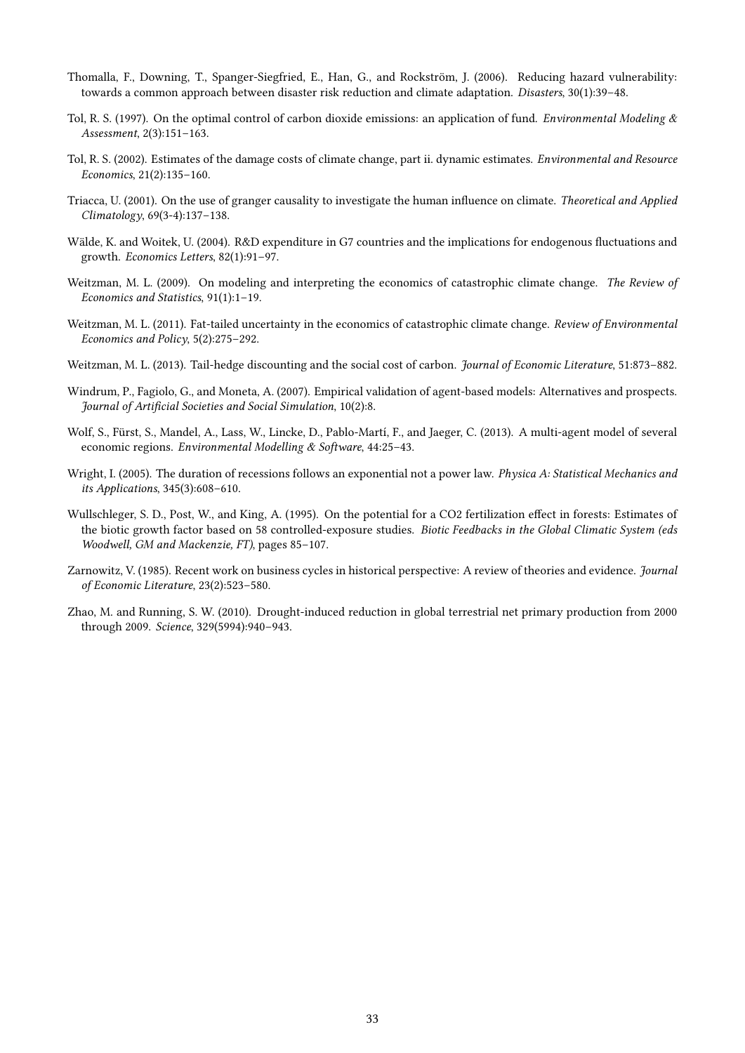- <span id="page-34-7"></span>Thomalla, F., Downing, T., Spanger-Siegfried, E., Han, G., and Rockström, J. (2006). Reducing hazard vulnerability: towards a common approach between disaster risk reduction and climate adaptation. Disasters, 30(1):39–48.
- <span id="page-34-1"></span>Tol, R. S. (1997). On the optimal control of carbon dioxide emissions: an application of fund. *Environmental Modeling &* Assessment, 2(3):151–163.
- <span id="page-34-6"></span>Tol, R. S. (2002). Estimates of the damage costs of climate change, part ii. dynamic estimates. Environmental and Resource Economics, 21(2):135–160.
- <span id="page-34-10"></span>Triacca, U. (2001). On the use of granger causality to investigate the human influence on climate. Theoretical and Applied Climatology, 69(3-4):137–138.
- <span id="page-34-13"></span>Wälde, K. and Woitek, U. (2004). R&D expenditure in G7 countries and the implications for endogenous fluctuations and growth. Economics Letters, 82(1):91–97.
- <span id="page-34-0"></span>Weitzman, M. L. (2009). On modeling and interpreting the economics of catastrophic climate change. The Review of Economics and Statistics, 91(1):1–19.
- <span id="page-34-8"></span>Weitzman, M. L. (2011). Fat-tailed uncertainty in the economics of catastrophic climate change. Review of Environmental Economics and Policy, 5(2):275–292.
- <span id="page-34-2"></span>Weitzman, M. L. (2013). Tail-hedge discounting and the social cost of carbon. *Journal of Economic Literature*, 51:873–882.
- <span id="page-34-9"></span>Windrum, P., Fagiolo, G., and Moneta, A. (2007). Empirical validation of agent-based models: Alternatives and prospects. Journal of Artificial Societies and Social Simulation, 10(2):8.
- <span id="page-34-3"></span>Wolf, S., Fürst, S., Mandel, A., Lass, W., Lincke, D., Pablo-Martí, F., and Jaeger, C. (2013). A multi-agent model of several economic regions. Environmental Modelling & Software, 44:25–43.
- <span id="page-34-12"></span>Wright, I. (2005). The duration of recessions follows an exponential not a power law. Physica A: Statistical Mechanics and its Applications, 345(3):608–610.
- <span id="page-34-4"></span>Wullschleger, S. D., Post, W., and King, A. (1995). On the potential for a CO2 fertilization effect in forests: Estimates of the biotic growth factor based on 58 controlled-exposure studies. Biotic Feedbacks in the Global Climatic System (eds Woodwell, GM and Mackenzie, FT), pages 85–107.
- <span id="page-34-11"></span>Zarnowitz, V. (1985). Recent work on business cycles in historical perspective: A review of theories and evidence. Journal of Economic Literature, 23(2):523–580.
- <span id="page-34-5"></span>Zhao, M. and Running, S. W. (2010). Drought-induced reduction in global terrestrial net primary production from 2000 through 2009. Science, 329(5994):940–943.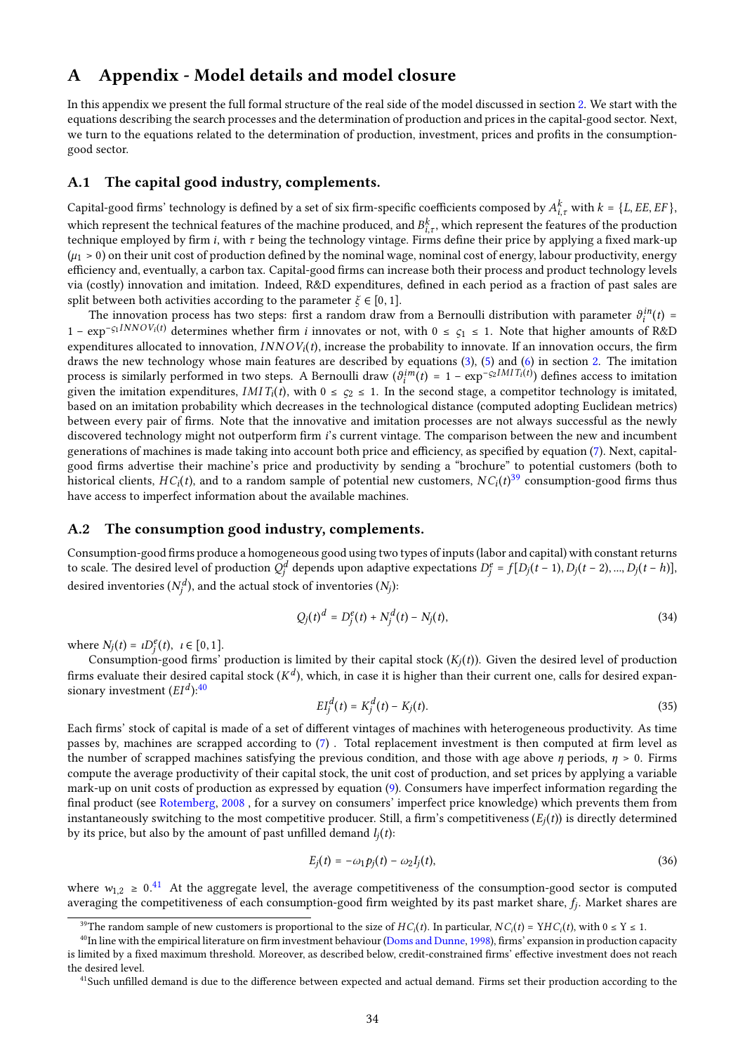# <span id="page-35-0"></span>A Appendix - Model details and model closure

In this appendix we present the full formal structure of the real side of the model discussed in section [2.](#page-5-0) We start with the equations describing the search processes and the determination of production and prices in the capital-good sector. Next, we turn to the equations related to the determination of production, investment, prices and profits in the consumptiongood sector.

#### A.1 The capital good industry, complements.

Capital-good firms' technology is defined by a set of six firm-specific coefficients composed by  $A_{i,\tau}^k$  with  $k = \{L, EE, EF\}$ , which represent the technical features of the machine produced, and  $B_{i,\tau}^k$ , which represent the features of the production technique employed by firm *i*, with  $\tau$  being the technology vintage. Firms define their price by applying a fixed mark-up  $(\mu_1 > 0)$  on their unit cost of production defined by the nominal wage, nominal cost of energy, labour productivity, energy efficiency and, eventually, a carbon tax. Capital-good firms can increase both their process and product technology levels via (costly) innovation and imitation. Indeed, R&D expenditures, defined in each period as a fraction of past sales are split between both activities according to the parameter  $\xi \in [0, 1]$ .

The innovation process has two steps: first a random draw from a Bernoulli distribution with parameter  $\vartheta_i^{in}(t)$  = 1 –  $\exp^{-\varsigma_1 INNOV_i(t)}$  determines whether firm *i* innovates or not, with 0 ≤  $\varsigma_1$  ≤ 1. Note that higher amounts of R&D expenditures allocated to innovation,  $INNOV_i(t)$ , increase the probability to innovate. If an innovation occurs, the firm draws the new technology whose main features are described by equations [\(3\)](#page-6-1), [\(5\)](#page-7-0) and [\(6\)](#page-7-0) in section [2.](#page-5-0) The imitation process is similarly performed in two steps. A Bernoulli draw  $(\theta_i^{im}(t) = 1 - \exp^{-\varsigma_2 IMIT_i(t)})$  defines access to imitation given the imitation expenditures,  $IMIT_i(t)$ , with  $0 \leq \varsigma_2 \leq 1$ . In the second stage, a competitor technology is imitated, based on an imitation probability which decreases in the technological distance (computed adopting Euclidean metrics) between every pair of firms. Note that the innovative and imitation processes are not always successful as the newly discovered technology might not outperform firm *i*'s current vintage. The comparison between the new and incumbent generations of machines is made taking into account both price and efficiency, as specified by equation  $(7)$ . Next, capitalgood firms advertise their machine's price and productivity by sending a "brochure" to potential customers (both to historical clients,  $HC_i(t)$ , and to a random sample of potential new customers,  $NC_i(t)^{39}$  $NC_i(t)^{39}$  $NC_i(t)^{39}$  consumption-good firms thus have access to imperfect information about the available machines.

#### A.2 The consumption good industry, complements.

Consumption-good firms produce a homogeneous good using two types of inputs (labor and capital) with constant returns to scale. The desired level of production  $Q_i^d$  depends upon adaptive expectations  $D_j^e = f[D_j(t-1), D_j(t-2),..., D_j(t-h)]$ desired inventories  $(N_j^d)$ , and the actual stock of inventories  $(N_j)$ :

$$
Q_j(t)^d = D_j^e(t) + N_j^d(t) - N_j(t),
$$
\n(34)

where  $N_j(t) = \iota D_j^e(t), \ \iota \in [0, 1].$ 

Consumption-good firms' production is limited by their capital stock  $(K_i(t))$ . Given the desired level of production firms evaluate their desired capital stock  $(K^d)$ , which, in case it is higher than their current one, calls for desired expansionary investment  $(EI<sup>d</sup>)$ :<sup>[40](#page-2-0)</sup>

$$
EI_j^d(t) = K_j^d(t) - K_j(t).
$$
\n(35)

Each firms' stock of capital is made of a set of different vintages of machines with heterogeneous productivity. As time passes by, machines are scrapped according to  $(7)$ . Total replacement investment is then computed at firm level as the number of scrapped machines satisfying the previous condition, and those with age above  $\eta$  periods,  $\eta > 0$ . Firms compute the average productivity of their capital stock, the unit cost of production, and set prices by applying a variable mark-up on unit costs of production as expressed by equation [\(9\)](#page-8-1). Consumers have imperfect information regarding the final product (see [Rotemberg,](#page-33-11) [2008](#page-33-11), for a survey on consumers' imperfect price knowledge) which prevents them from instantaneously switching to the most competitive producer. Still, a firm's competitiveness  $(E_i(t))$  is directly determined by its price, but also by the amount of past unfilled demand  $l_i(t)$ :

$$
E_j(t) = -\omega_1 p_j(t) - \omega_2 I_j(t),\tag{36}
$$

where  $w_{1,2} \ge 0.41$  $w_{1,2} \ge 0.41$  At the aggregate level, the average competitiveness of the consumption-good sector is computed averaging the competitiveness of each consumption-good firm weighted by its past market share,  $f_j$ . Market shares are

<sup>&</sup>lt;sup>39</sup>The random sample of new customers is proportional to the size of  $HC_i(t)$ . In particular,  $NC_i(t) = YHC_i(t)$ , with  $0 \le Y \le 1$ .

 $40$ In line with the empirical literature on firm investment behaviour [\(Doms and Dunne,](#page-29-17) [1998\)](#page-29-17), firms' expansion in production capacity is limited by a fixed maximum threshold. Moreover, as described below, credit-constrained firms' effective investment does not reach the desired level.

<sup>&</sup>lt;sup>41</sup>Such unfilled demand is due to the difference between expected and actual demand. Firms set their production according to the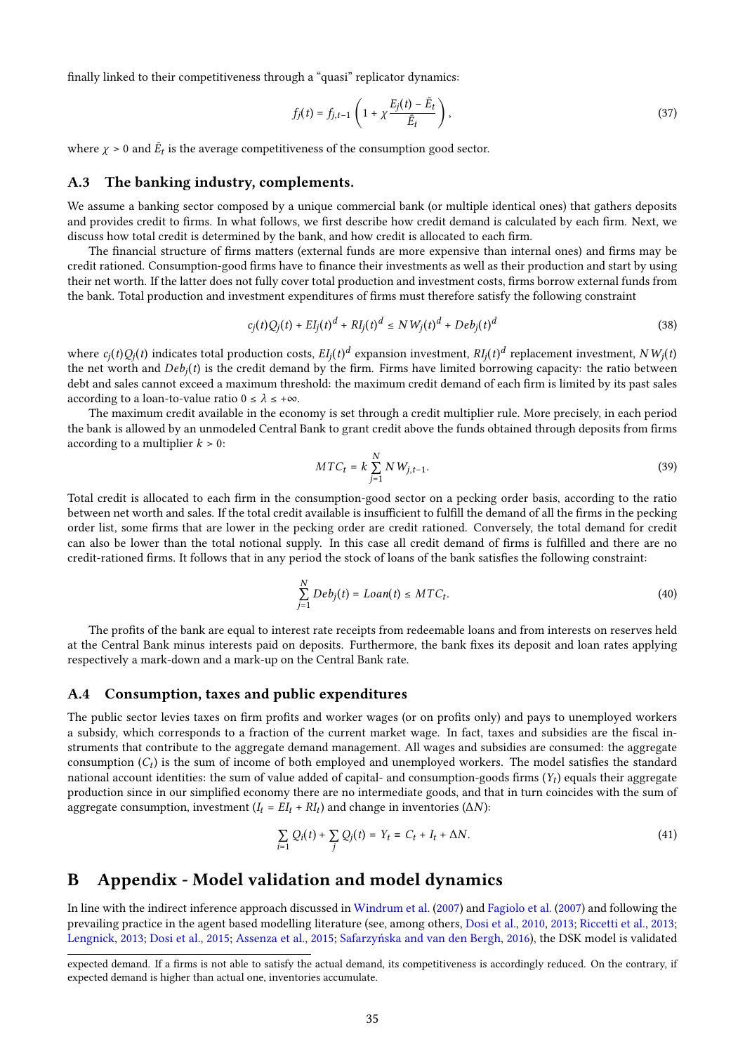finally linked to their competitiveness through a "quasi" replicator dynamics:

$$
f_j(t) = f_{j,t-1}\left(1 + \chi \frac{E_j(t) - \bar{E}_t}{\bar{E}_t}\right),\tag{37}
$$

where  $\chi > 0$  and  $\bar{E}_t$  is the average competitiveness of the consumption good sector.

#### A.3 The banking industry, complements.

We assume a banking sector composed by a unique commercial bank (or multiple identical ones) that gathers deposits and provides credit to firms. In what follows, we first describe how credit demand is calculated by each firm. Next, we discuss how total credit is determined by the bank, and how credit is allocated to each firm.

The financial structure of firms matters (external funds are more expensive than internal ones) and firms may be credit rationed. Consumption-good firms have to finance their investments as well as their production and start by using their net worth. If the latter does not fully cover total production and investment costs, firms borrow external funds from the bank. Total production and investment expenditures of firms must therefore satisfy the following constraint

$$
c_j(t)Q_j(t) + EI_j(t)^d + RI_j(t)^d \le N W_j(t)^d + Deb_j(t)^d
$$
\n(38)

where  $c_j(t)Q_j(t)$  indicates total production costs,  $EI_j(t)^d$  expansion investment,  $RI_j(t)^d$  replacement investment,  $NW_j(t)$ the net worth and  $Deb_i(t)$  is the credit demand by the firm. Firms have limited borrowing capacity: the ratio between debt and sales cannot exceed a maximum threshold: the maximum credit demand of each firm is limited by its past sales according to a loan-to-value ratio  $0 \leq \lambda \leq +\infty$ .

The maximum credit available in the economy is set through a credit multiplier rule. More precisely, in each period the bank is allowed by an unmodeled Central Bank to grant credit above the funds obtained through deposits from firms according to a multiplier  $k > 0$ :

$$
MTC_t = k \sum_{j=1}^{N} N W_{j,t-1}.
$$
\n(39)

Total credit is allocated to each firm in the consumption-good sector on a pecking order basis, according to the ratio between net worth and sales. If the total credit available is insufficient to fulfill the demand of all the firms in the pecking order list, some firms that are lower in the pecking order are credit rationed. Conversely, the total demand for credit can also be lower than the total notional supply. In this case all credit demand of firms is fulfilled and there are no credit-rationed firms. It follows that in any period the stock of loans of the bank satisfies the following constraint:

$$
\sum_{j=1}^{N} Deb_j(t) = Loan(t) \leq MTC_t.
$$
\n(40)

The profits of the bank are equal to interest rate receipts from redeemable loans and from interests on reserves held at the Central Bank minus interests paid on deposits. Furthermore, the bank fixes its deposit and loan rates applying respectively a mark-down and a mark-up on the Central Bank rate.

#### A.4 Consumption, taxes and public expenditures

The public sector levies taxes on firm profits and worker wages (or on profits only) and pays to unemployed workers a subsidy, which corresponds to a fraction of the current market wage. In fact, taxes and subsidies are the fiscal instruments that contribute to the aggregate demand management. All wages and subsidies are consumed: the aggregate consumption  $(C_t)$  is the sum of income of both employed and unemployed workers. The model satisfies the standard national account identities: the sum of value added of capital- and consumption-goods firms  $(Y_t)$  equals their aggregate production since in our simplied economy there are no intermediate goods, and that in turn coincides with the sum of aggregate consumption, investment ( $I_t = EI_t + RI_t$ ) and change in inventories ( $\Delta N$ ):

$$
\sum_{i=1} Q_i(t) + \sum_j Q_j(t) = Y_t = C_t + I_t + \Delta N.
$$
\n(41)

# <span id="page-36-0"></span>B Appendix - Model validation and model dynamics

In line with the indirect inference approach discussed in [Windrum et al.](#page-34-9) [\(2007\)](#page-34-9) and [Fagiolo et al.](#page-29-19) [\(2007\)](#page-29-19) and following the prevailing practice in the agent based modelling literature (see, among others, [Dosi et al.,](#page-29-6) [2010,](#page-29-6) [2013;](#page-29-7) [Riccetti et al.,](#page-33-22) [2013;](#page-33-22) [Lengnick,](#page-31-16) [2013;](#page-31-16) [Dosi et al.,](#page-29-20) [2015;](#page-29-20) [Assenza et al.,](#page-27-18) [2015;](#page-27-18) [Safarzyńska and van den Bergh,](#page-33-7) [2016\)](#page-33-7), the DSK model is validated

expected demand. If a firms is not able to satisfy the actual demand, its competitiveness is accordingly reduced. On the contrary, if expected demand is higher than actual one, inventories accumulate.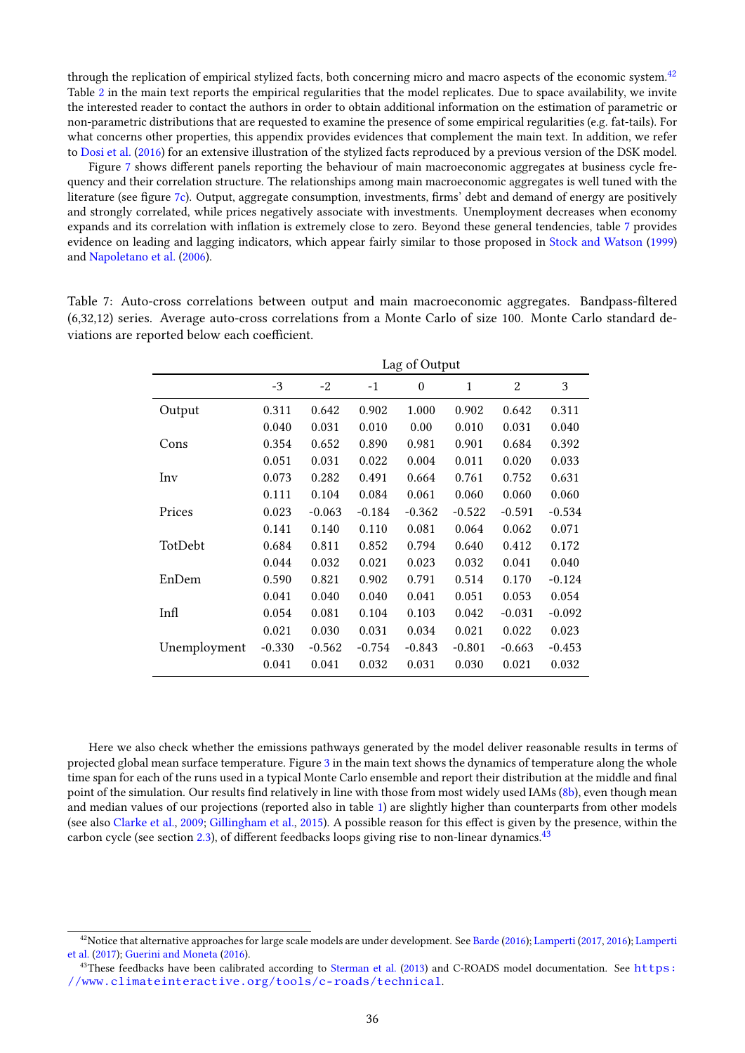through the replication of empirical stylized facts, both concerning micro and macro aspects of the economic system.<sup>[42](#page-2-0)</sup> Table [2](#page-19-0) in the main text reports the empirical regularities that the model replicates. Due to space availability, we invite the interested reader to contact the authors in order to obtain additional information on the estimation of parametric or non-parametric distributions that are requested to examine the presence of some empirical regularities (e.g. fat-tails). For what concerns other properties, this appendix provides evidences that complement the main text. In addition, we refer to [Dosi et al.](#page-29-8) [\(2016\)](#page-29-8) for an extensive illustration of the stylized facts reproduced by a previous version of the DSK model.

Figure [7](#page-38-0) shows different panels reporting the behaviour of main macroeconomic aggregates at business cycle frequency and their correlation structure. The relationships among main macroeconomic aggregates is well tuned with the literature (see figure [7c\)](#page-38-0). Output, aggregate consumption, investments, firms' debt and demand of energy are positively and strongly correlated, while prices negatively associate with investments. Unemployment decreases when economy expands and its correlation with inflation is extremely close to zero. Beyond these general tendencies, table [7](#page-37-0) provides evidence on leading and lagging indicators, which appear fairly similar to those proposed in [Stock and Watson](#page-33-18) [\(1999\)](#page-33-18) and [Napoletano et al.](#page-32-17) [\(2006\)](#page-32-17).

<span id="page-37-0"></span>Table 7: Auto-cross correlations between output and main macroeconomic aggregates. Bandpass-ltered (6,32,12) series. Average auto-cross correlations from a Monte Carlo of size 100. Monte Carlo standard deviations are reported below each coefficient.

|              | Lag of Output |          |          |          |              |          |          |
|--------------|---------------|----------|----------|----------|--------------|----------|----------|
|              | $-3$          | -2       | $-1$     | $\theta$ | $\mathbf{1}$ | 2        | 3        |
| Output       | 0.311         | 0.642    | 0.902    | 1.000    | 0.902        | 0.642    | 0.311    |
|              | 0.040         | 0.031    | 0.010    | 0.00     | 0.010        | 0.031    | 0.040    |
| Cons         | 0.354         | 0.652    | 0.890    | 0.981    | 0.901        | 0.684    | 0.392    |
|              | 0.051         | 0.031    | 0.022    | 0.004    | 0.011        | 0.020    | 0.033    |
| Inv          | 0.073         | 0.282    | 0.491    | 0.664    | 0.761        | 0.752    | 0.631    |
|              | 0.111         | 0.104    | 0.084    | 0.061    | 0.060        | 0.060    | 0.060    |
| Prices       | 0.023         | $-0.063$ | $-0.184$ | $-0.362$ | $-0.522$     | $-0.591$ | $-0.534$ |
|              | 0.141         | 0.140    | 0.110    | 0.081    | 0.064        | 0.062    | 0.071    |
| TotDebt      | 0.684         | 0.811    | 0.852    | 0.794    | 0.640        | 0.412    | 0.172    |
|              | 0.044         | 0.032    | 0.021    | 0.023    | 0.032        | 0.041    | 0.040    |
| EnDem        | 0.590         | 0.821    | 0.902    | 0.791    | 0.514        | 0.170    | $-0.124$ |
|              | 0.041         | 0.040    | 0.040    | 0.041    | 0.051        | 0.053    | 0.054    |
| Infl         | 0.054         | 0.081    | 0.104    | 0.103    | 0.042        | $-0.031$ | $-0.092$ |
|              | 0.021         | 0.030    | 0.031    | 0.034    | 0.021        | 0.022    | 0.023    |
| Unemployment | $-0.330$      | $-0.562$ | $-0.754$ | $-0.843$ | $-0.801$     | $-0.663$ | $-0.453$ |
|              | 0.041         | 0.041    | 0.032    | 0.031    | 0.030        | 0.021    | 0.032    |

Here we also check whether the emissions pathways generated by the model deliver reasonable results in terms of projected global mean surface temperature. Figure [3](#page-18-1) in the main text shows the dynamics of temperature along the whole time span for each of the runs used in a typical Monte Carlo ensemble and report their distribution at the middle and final point of the simulation. Our results find relatively in line with those from most widely used IAMs [\(8b\)](#page-39-0), even though mean and median values of our projections (reported also in table [1\)](#page-17-1) are slightly higher than counterparts from other models (see also [Clarke et al.,](#page-28-3) [2009;](#page-28-3) [Gillingham et al.,](#page-30-16) [2015\)](#page-30-16). A possible reason for this effect is given by the presence, within the carbon cycle (see section [2.3\)](#page-11-1), of different feedbacks loops giving rise to non-linear dynamics.<sup>[43](#page-2-0)</sup>

 $42$ Notice that alternative approaches for large scale models are under development. See [Barde](#page-27-19) [\(2016\)](#page-27-19); [Lamperti](#page-31-19) [\(2017,](#page-31-17) [2016\)](#page-31-18); Lamperti [et al.](#page-31-19) [\(2017\)](#page-31-19); [Guerini and Moneta](#page-30-20) [\(2016\)](#page-30-20).

<sup>&</sup>lt;sup>43</sup>These feedbacks have been calibrated according to [Sterman et al.](#page-33-8) [\(2013\)](#page-33-8) and C-ROADS model documentation. See  $https:$ [//www.climateinteractive.org/tools/c-roads/technical](https://www.climateinteractive.org/tools/c-roads/technical).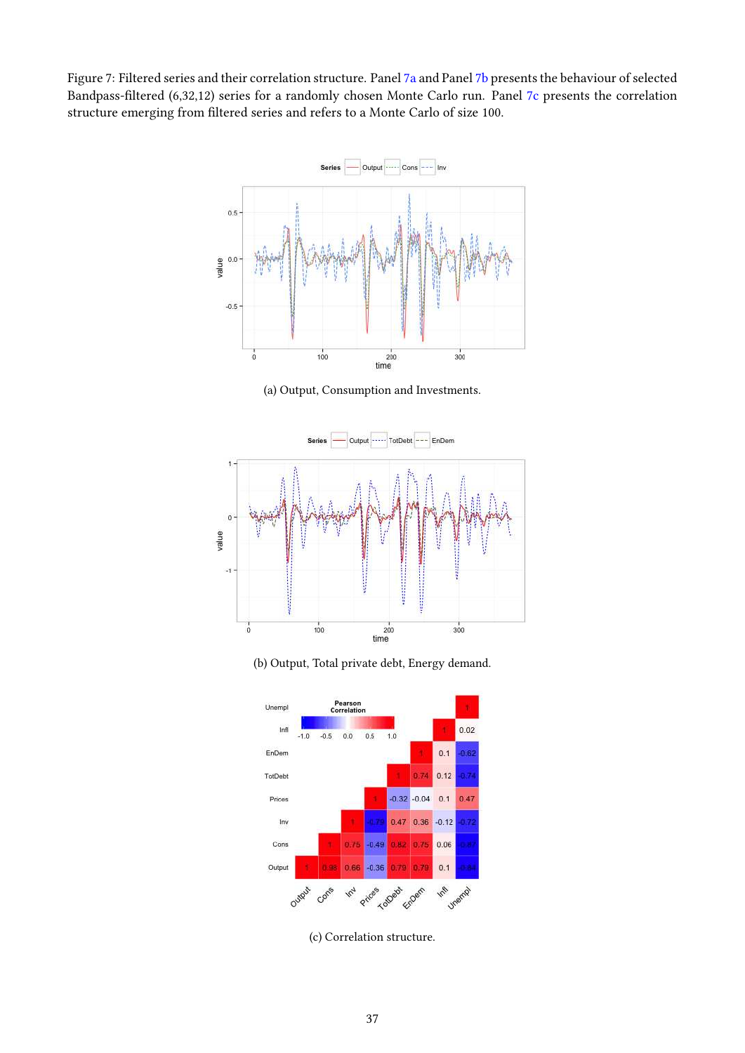<span id="page-38-0"></span>Figure 7: Filtered series and their correlation structure. Panel [7a](#page-38-0) and Panel [7b](#page-38-0) presents the behaviour of selected Bandpass-filtered (6,32,12) series for a randomly chosen Monte Carlo run. Panel [7c](#page-38-0) presents the correlation structure emerging from filtered series and refers to a Monte Carlo of size 100.



(a) Output, Consumption and Investments.







(c) Correlation structure.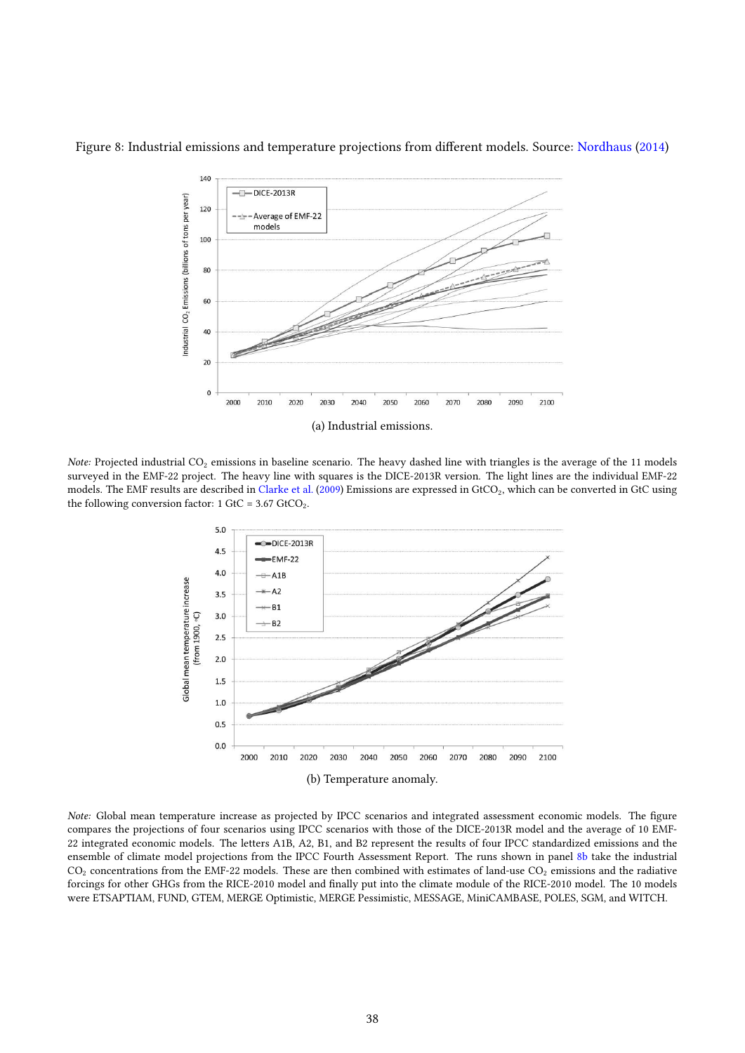

<span id="page-39-0"></span>Figure 8: Industrial emissions and temperature projections from different models. Source: [Nordhaus](#page-32-0) [\(2014\)](#page-32-0)

Note: Projected industrial  $CO<sub>2</sub>$  emissions in baseline scenario. The heavy dashed line with triangles is the average of the 11 models surveyed in the EMF-22 project. The heavy line with squares is the DICE-2013R version. The light lines are the individual EMF-22 models. The EMF results are described in [Clarke et al.](#page-28-3) [\(2009\)](#page-28-3) Emissions are expressed in GtCO<sub>2</sub>, which can be converted in GtC using the following conversion factor:  $1 \text{ GtC} = 3.67 \text{ GtCO}_2$ .



Note: Global mean temperature increase as projected by IPCC scenarios and integrated assessment economic models. The figure compares the projections of four scenarios using IPCC scenarios with those of the DICE-2013R model and the average of 10 EMF-22 integrated economic models. The letters A1B, A2, B1, and B2 represent the results of four IPCC standardized emissions and the ensemble of climate model projections from the IPCC Fourth Assessment Report. The runs shown in panel [8b](#page-39-0) take the industrial  $CO<sub>2</sub>$  concentrations from the EMF-22 models. These are then combined with estimates of land-use  $CO<sub>2</sub>$  emissions and the radiative forcings for other GHGs from the RICE-2010 model and finally put into the climate module of the RICE-2010 model. The 10 models were ETSAPTIAM, FUND, GTEM, MERGE Optimistic, MERGE Pessimistic, MESSAGE, MiniCAMBASE, POLES, SGM, and WITCH.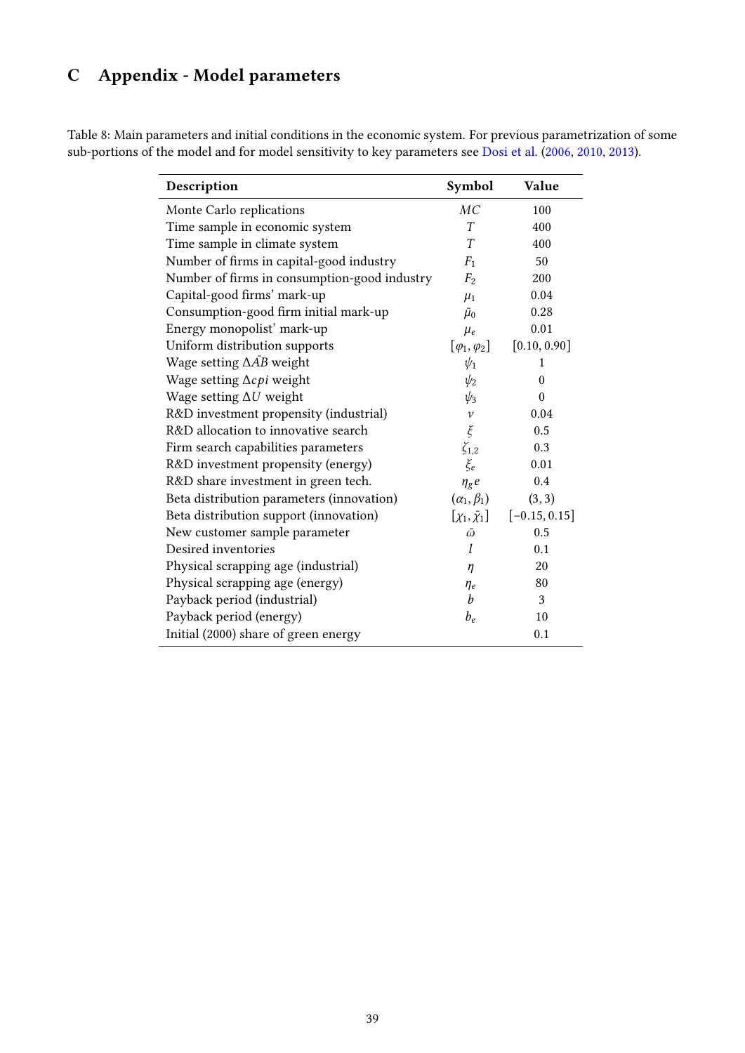# C Appendix - Model parameters

Table 8: Main parameters and initial conditions in the economic system. For previous parametrization of some sub-portions of the model and for model sensitivity to key parameters see [Dosi et al.](#page-29-10) [\(2006,](#page-29-10) [2010,](#page-29-6) [2013\)](#page-29-7).

| Description                                  | Symbol                   | Value           |
|----------------------------------------------|--------------------------|-----------------|
| Monte Carlo replications                     | MC                       | 100             |
| Time sample in economic system               | T                        | 400             |
| Time sample in climate system                | T                        | 400             |
| Number of firms in capital-good industry     | F <sub>1</sub>           | 50              |
| Number of firms in consumption-good industry | $F_2$                    | 200             |
| Capital-good firms' mark-up                  | $\mu_1$                  | 0.04            |
| Consumption-good firm initial mark-up        | $\bar{\mu}_0$            | 0.28            |
| Energy monopolist' mark-up                   | $\mu_e$                  | 0.01            |
| Uniform distribution supports                | $[\varphi_1, \varphi_2]$ | [0.10, 0.90]    |
| Wage setting $\Delta AB$ weight              | $\psi_1$                 | 1               |
| Wage setting $\Delta c$ <i>pi</i> weight     | $\psi_2$                 | $\theta$        |
| Wage setting $\Delta U$ weight               | $\psi_3$                 | $\theta$        |
| R&D investment propensity (industrial)       | $\boldsymbol{\nu}$       | 0.04            |
| R&D allocation to innovative search          | $\xi$                    | 0.5             |
| Firm search capabilities parameters          | $\zeta_{1,2}$            | 0.3             |
| R&D investment propensity (energy)           | $\xi_e$                  | 0.01            |
| R&D share investment in green tech.          | $\eta_{\rm g} e$         | 0.4             |
| Beta distribution parameters (innovation)    | $(\alpha_1, \beta_1)$    | (3, 3)          |
| Beta distribution support (innovation)       | $[\chi_1,\bar{\chi}_1]$  | $[-0.15, 0.15]$ |
| New customer sample parameter                | $\bar{\omega}$           | 0.5             |
| Desired inventories                          | l                        | 0.1             |
| Physical scrapping age (industrial)          | η                        | 20              |
| Physical scrapping age (energy)              | $\eta_e$                 | 80              |
| Payback period (industrial)                  | b                        | 3               |
| Payback period (energy)                      | $b_e$                    | 10              |
| Initial (2000) share of green energy         |                          | 0.1             |